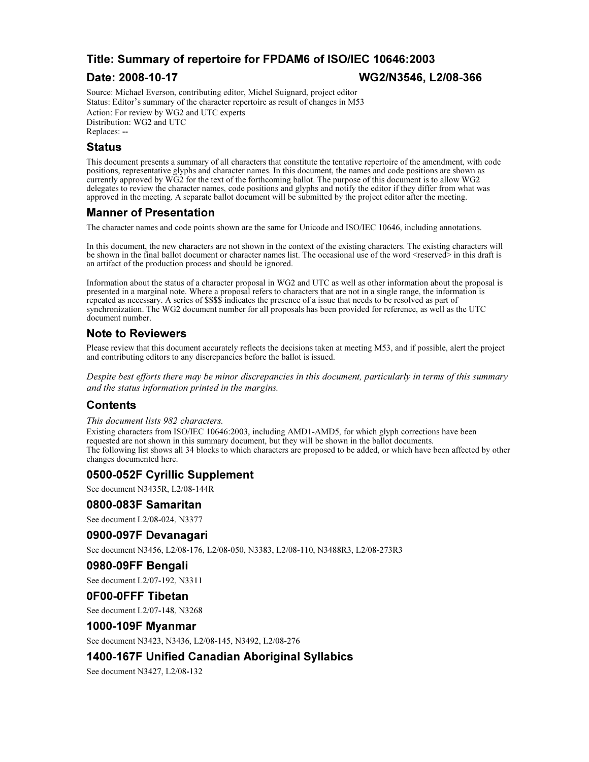## Title: Summary of repertoire for FPDAM6 of ISO/IEC 10646:2003

#### Date: 2008-10-17 WG2/N3546, L2/08-366

Source: Michael Everson, contributing editor, Michel Suignard, project editor Source: Michael Everson, contributing editor, Michel Suignard, project editor<br>Status: Editor's summary of the character repertoire as result of changes in M53 Action: For review by WG2 and UTC experts Distribution: WG2 and UTC Replaces: --

#### Status

This document presents a summary of all characters that constitute the tentative repertoire of the amendment, with code positions, representative glyphs and character names. In this document, the names and code positions are shown as currently approved by WG2 for the text of the forthcoming ballot. The purpose of this document is to allow WG2 delegates to review the character names, code positions and glyphs and notify the editor if they differ from what was approved in the meeting. A separate ballot document will be submitted by the project editor after the meeting.

### Manner of Presentation

The character names and code points shown are the same for Unicode and ISO/IEC 10646, including annotations.

In this document, the new characters are not shown in the context of the existing characters. The existing characters will be shown in the final ballot document or character names list. The occasional use of the word <reserved> in this draft is an artifact of the production process and should be ignored.

Information about the status of a character proposal in WG2 and UTC as well as other information about the proposal is presented in a marginal note. Where a proposal refers to characters that are not in a single range, the information is repeated as necessary. A series of \$\$\$\$ indicates the presence of a issue that needs to be resolved as part of synchronization. The WG2 document number for all proposals has been provided for reference, as well as the UTC document number.

### Note to Reviewers

Please review that this document accurately reflects the decisions taken at meeting M53, and if possible, alert the project and contributing editors to any discrepancies before the ballot is issued.

Despite best efforts there may be minor discrepancies in this document, particularly in terms of this summary and the status information printed in the margins.

### Contents

#### This document lists 982 characters.

Existing characters from ISO/IEC 10646:2003, including AMD1-AMD5, for which glyph corrections have been requested are not shown in this summary document, but they will be shown in the ballot documents. The following list shows all 34 blocks to which characters are proposed to be added, or which have been affected by other changes documented here.

#### 0500-052F Cyrillic Supplement

See document N3435R, L2/08-144R

#### 0800-083F Samaritan

See document L2/08-024, N3377

#### 0900-097F Devanagari

See document N3456, L2/08-176, L2/08-050, N3383, L2/08-110, N3488R3, L2/08-273R3

### 0980-09FF Bengali

See document L2/07-192, N3311

#### 0F00-0FFF Tibetan

See document L2/07-148, N3268

#### 1000-109F Myanmar

See document N3423, N3436, L2/08-145, N3492, L2/08-276

#### 1400-167F Unified Canadian Aboriginal Syllabics

See document N3427, L2/08-132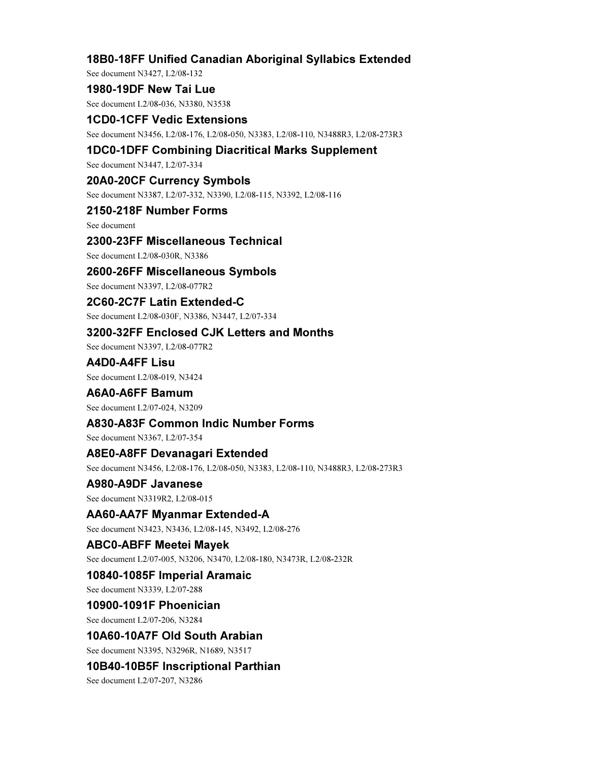## 18B0-18FF Unified Canadian Aboriginal Syllabics Extended

See document N3427, L2/08-132

1980-19DF New Tai Lue

See document L2/08-036, N3380, N3538

#### 1CD0-1CFF Vedic Extensions See document N3456, L2/08-176, L2/08-050, N3383, L2/08-110, N3488R3, L2/08-273R3

## 1DC0-1DFF Combining Diacritical Marks Supplement

See document N3447, L2/07-334

#### 20A0-20CF Currency Symbols

See document N3387, L2/07-332, N3390, L2/08-115, N3392, L2/08-116

## 2150-218F Number Forms

See document

### 2300-23FF Miscellaneous Technical

See document L2/08-030R, N3386

### 2600-26FF Miscellaneous Symbols

See document N3397, L2/08-077R2

### 2C60-2C7F Latin Extended-C

See document L2/08-030F, N3386, N3447, L2/07-334

### 3200-32FF Enclosed CJK Letters and Months

See document N3397, L2/08-077R2

# A4D0-A4FF Lisu

See document L2/08-019, N3424

## A6A0-A6FF Bamum

See document L2/07-024, N3209

### A830-A83F Common Indic Number Forms

See document N3367, L2/07-354

### A8E0-A8FF Devanagari Extended

See document N3456, L2/08-176, L2/08-050, N3383, L2/08-110, N3488R3, L2/08-273R3

### A980-A9DF Javanese

See document N3319R2, L2/08-015

## AA60-AA7F Myanmar Extended-A

See document N3423, N3436, L2/08-145, N3492, L2/08-276

### ABC0-ABFF Meetei Mayek

See document L2/07-005, N3206, N3470, L2/08-180, N3473R, L2/08-232R

### 10840-1085F Imperial Aramaic

See document N3339, L2/07-288

## 10900-1091F Phoenician

See document L2/07-206, N3284

#### 10A60-10A7F Old South Arabian

See document N3395, N3296R, N1689, N3517

## 10B40-10B5F Inscriptional Parthian

See document L2/07-207, N3286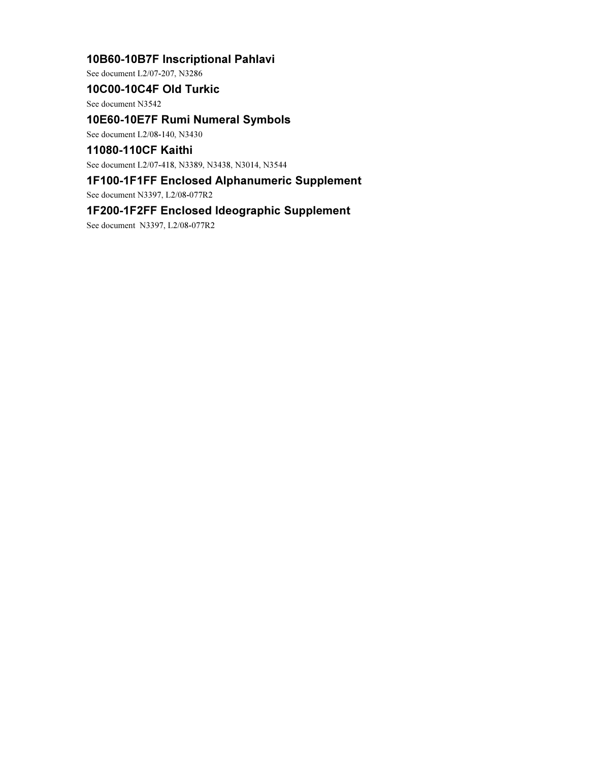## 10B60-10B7F Inscriptional Pahlavi

See document L2/07-207, N3286

## 10C00-10C4F Old Turkic

See document N3542

## 10E60-10E7F Rumi Numeral Symbols

See document L2/08-140, N3430

## 11080-110CF Kaithi

See document L2/07-418, N3389, N3438, N3014, N3544

## 1F100-1F1FF Enclosed Alphanumeric Supplement

See document N3397, L2/08-077R2

## 1F200-1F2FF Enclosed Ideographic Supplement

See document N3397, L2/08-077R2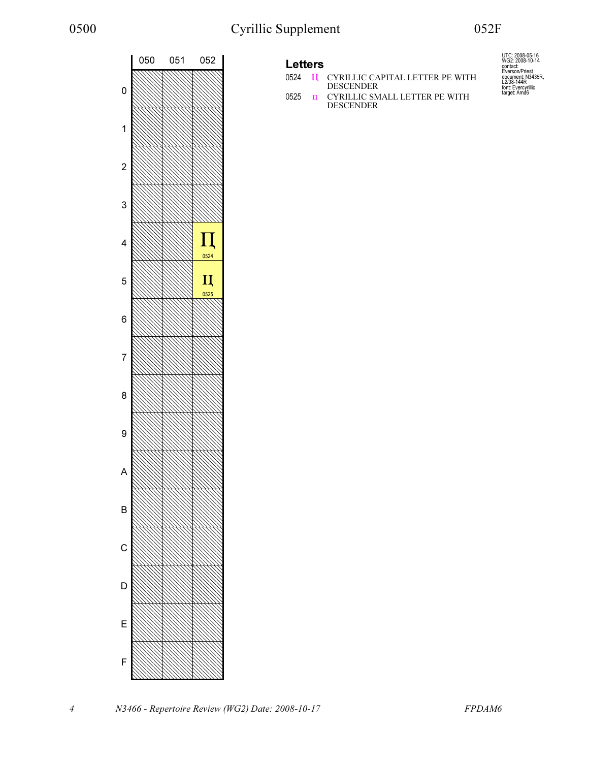





0525  $\overline{u}$  CYRILLIC SMALL LETTER PE WITH DESCENDER

UTC: 2008-05-16<br>WG2: 2008-10-14<br>contact:<br>Everson/Priest<br>document: N3435R,<br>L2/08-144R<br>font: Evercyrillic<br>target: Amd6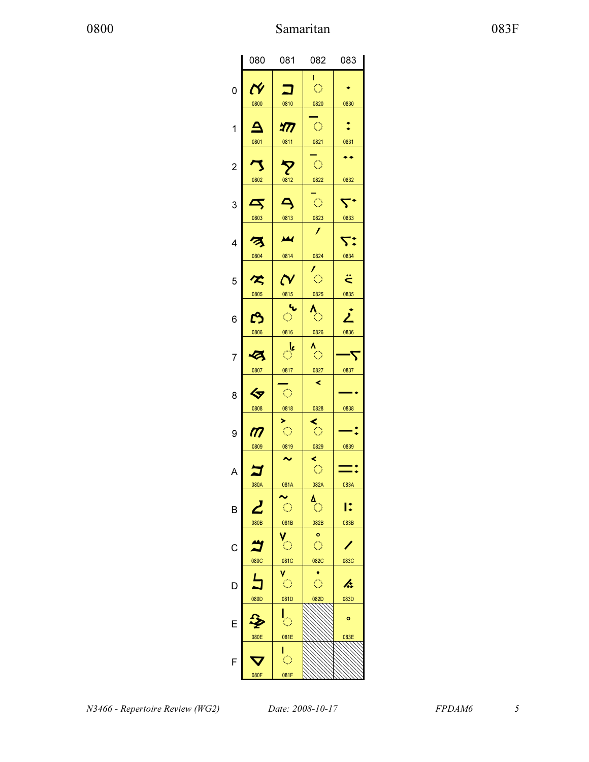|                | 080                       | 081                           | 082                     | 083                |
|----------------|---------------------------|-------------------------------|-------------------------|--------------------|
|                |                           |                               | г<br>$\bigcirc$         |                    |
| 0              | $\boldsymbol{\mathsf{N}}$ |                               |                         |                    |
|                | 0800                      | 0810                          | 0820                    | 0830               |
| 1              |                           | <u>477</u>                    | $\bigcirc$              |                    |
|                | 0801                      | 0811                          | 0821                    | 0831               |
|                |                           |                               |                         | ٠                  |
| $\overline{c}$ | 7                         | $\boldsymbol{\nabla}$         | $\langle \cdot \rangle$ |                    |
|                | 0802                      | 0812                          | 0822                    | 0832               |
|                |                           | $\overline{\mathsf{A}}$       | $\mathbb{C}^2$          |                    |
| 3              | $\blacktriangleleft$      |                               |                         |                    |
|                | 0803                      | 0813                          | 0823<br>$\prime$        | 0833               |
| 4              | z                         | ш                             |                         | 7:                 |
|                | 0804                      | 0814                          | 0824                    | 0834               |
|                |                           |                               |                         |                    |
| 5              | $\tilde{\mathcal{K}}$     | $\boldsymbol{\mathsf{N}}$     | $\overline{\circ}$      | $\ddot{\tilde{c}}$ |
|                | 0805                      | 0815                          | 0825                    | 0835               |
|                |                           | ч.                            | ဲ                       | j                  |
| 6              | ෆ                         | $\hat{\mathcal{C}}$           |                         |                    |
|                | 0806                      | 0816                          | 0826                    | 0836               |
| 7              | Ø                         | ै                             | $\langle \rangle$       |                    |
|                | 0807                      | 0817                          | 0827                    | 0837               |
|                |                           |                               | ≺                       |                    |
| 8              | ぐ                         | $\hat{\mathcal{C}}$           |                         |                    |
|                | 0808                      | 0818                          | 0828                    | 0838               |
|                |                           | ×.                            | $\zeta$                 |                    |
| 9              | $\boldsymbol{m}$          | $\langle \rangle$             |                         |                    |
|                | 0809                      | 0819<br>$\tilde{\phantom{a}}$ | 0829                    | 0839               |
| Α              |                           |                               | ≺<br>$\bigcirc$         |                    |
|                | 080A                      | 081A                          | 082A                    | 083A               |
|                |                           |                               |                         |                    |
| B              |                           | $\langle \rangle$             | Ö                       | I:                 |
|                | 080B                      | 081B                          | 082B                    | 083B               |
|                |                           |                               | o                       |                    |
| C              |                           | $\hat{\mathbb{C}}$            | $\bigcirc$              |                    |
|                | 080C                      | 081C                          | 082C                    | 083C               |
| D              | $\overline{\mathbf{L}}$   | $\overline{\mathbb{C}}$       | $\hat{\mathcal{O}}$     | h.                 |
|                | 080D                      | 081D                          | 082D                    | 083D               |
|                |                           |                               |                         |                    |
| E              |                           | $\overline{\mathbb{C}}$       |                         | ō                  |
|                | 080E                      | 081E                          |                         | 083E               |
|                |                           |                               |                         |                    |
| F              |                           | $\langle \rangle$             |                         |                    |
|                | 080F                      | 081F                          |                         |                    |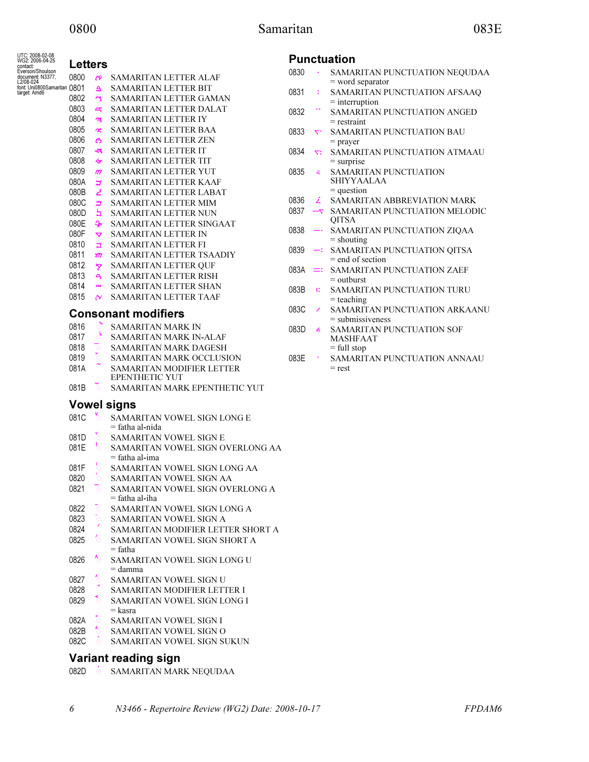## 0800 Samaritan 083E

| UTC: 2008-02-08<br>WG2: 2006-04-25<br>contact: | Letters      |                      |                                                      |      |           | <b>Punctuation</b> |
|------------------------------------------------|--------------|----------------------|------------------------------------------------------|------|-----------|--------------------|
| Everson/Shoulson<br>document: N3377,           | 0800         | Ń                    | SAMARITAN LETTER ALAF                                | 0830 | $\bullet$ | SAMA               |
| L2/08-024<br>font: Uni0800Samaritan 0801       |              | $\Delta$             | <b>SAMARITAN LETTER BIT</b>                          |      |           | = word             |
| target: Amd6                                   | 0802         | 7                    | SAMARITAN LETTER GAMAN                               | 0831 | ÷         | SAMA               |
|                                                | 0803         | 5                    | SAMARITAN LETTER DALAT                               |      |           | $=$ intern         |
|                                                | 0804         |                      | SAMARITAN LETTER IY                                  | 0832 |           | SAMA               |
|                                                | 0805         | z                    | <b>SAMARITAN LETTER BAA</b>                          |      |           | $=$ restra         |
|                                                | 0806         | $\tilde{\mathbf{x}}$ |                                                      | 0833 | خ.        | <b>SAMA</b>        |
|                                                |              | ఴ                    | <b>SAMARITAN LETTER ZEN</b>                          |      |           | $=$ praye          |
|                                                | 0807         | ચ                    | <b>SAMARITAN LETTER IT</b>                           | 0834 | 53        | <b>SAMA</b>        |
|                                                | 0808         | ≪                    | <b>SAMARITAN LETTER TIT</b>                          |      |           | $=$ surpr          |
|                                                | 0809<br>080A | $\boldsymbol{m}$     | SAMARITAN LETTER YUT<br><b>SAMARITAN LETTER KAAF</b> | 0835 | ä         | SAMA<br>SHIYY      |
|                                                | 080B         | E                    |                                                      |      |           | $=$ quest          |
|                                                |              | 2                    | <b>SAMARITAN LETTER LABAT</b>                        | 0836 | 2         | <b>SAMA</b>        |
|                                                | 080C<br>080D | ᄲ<br>5               | SAMARITAN LETTER MIM                                 | 0837 | $-\tau$   | SAMA               |
|                                                |              |                      | SAMARITAN LETTER NUN                                 |      |           | QITSA              |
|                                                | 080E<br>080F | չ                    | SAMARITAN LETTER SINGAAT                             | 0838 |           | SAMA               |
|                                                |              | $\blacktriangledown$ | <b>SAMARITAN LETTER IN</b>                           |      |           | = shout            |
|                                                | 0810         | ב                    | <b>SAMARITAN LETTER FI</b>                           | 0839 | ≕         | SAMA               |
|                                                | 0811         | $\frac{1}{2}$        | SAMARITAN LETTER TSAADIY                             |      |           | $=$ end c          |
|                                                | 0812         | タ                    | <b>SAMARITAN LETTER QUF</b>                          | 083A |           | SAMA               |
|                                                | 0813         | $\triangleleft$      | <b>SAMARITAN LETTER RISH</b>                         |      |           | $=$ outbu          |
|                                                | 0814         | M                    | <b>SAMARITAN LETTER SHAN</b>                         | 083B | к         | SAMA               |
|                                                | 0815         | $\sim$               | <b>SAMARITAN LETTER TAAF</b>                         |      |           | = teach            |
|                                                |              |                      | <b>Consonant modifiers</b>                           | 083C | ∕         | SAMA<br>= subm     |
|                                                | 0816         | ैं                   | <b>SAMARITAN MARK IN</b>                             | 083D | h.        | SAMA               |
|                                                | 0817         | ऺ                    | <b>SAMARITAN MARK IN-ALAF</b>                        |      |           | MASH               |
|                                                | 0818         | $\circ$              | <b>SAMARITAN MARK DAGESH</b>                         |      |           | $=$ full s         |
|                                                | 0819         | $\circ$              | SAMARITAN MARK OCCLUSION                             | 083E |           | SAMA               |
|                                                | 081A         |                      | SAMARITAN MODIFIER LETTER<br><b>EPENTHETIC YUT</b>   |      |           | $=$ rest           |
|                                                | 081B         | $\circ$              | SAMARITAN MARK EPENTHETIC YUT                        |      |           |                    |
|                                                |              |                      | <b>Vowel signs</b>                                   |      |           |                    |
|                                                | 081C         | $\gamma$             | SAMARITAN VOWEL SIGN LONG E<br>= fatha al-nida       |      |           |                    |
|                                                | 081D         | $\circ$              | SAMARITAN VOWEL SIGN E                               |      |           |                    |
|                                                | 081E         | b                    | SAMARITAN VOWEL SIGN OVERLONG AA                     |      |           |                    |
|                                                |              |                      | = fatha al-ima                                       |      |           |                    |
|                                                | 081F         | O                    | SAMARITAN VOWEL SIGN LONG AA                         |      |           |                    |
|                                                | 0820         |                      | SAMARITAN VOWEL SIGN AA                              |      |           |                    |
|                                                | 0821         | $\circ$              | SAMARITAN VOWEL SIGN OVERLONG A                      |      |           |                    |
|                                                |              |                      | $=$ fatha al-iha                                     |      |           |                    |
|                                                | 0822         | $\circ$              | SAMARITAN VOWEL SIGN LONG A                          |      |           |                    |
|                                                | 0823         | $\circ$              | SAMARITAN VOWEL SIGN A                               |      |           |                    |
|                                                | 0824         |                      | SAMARITAN MODIFIER LETTER SHORT A                    |      |           |                    |
|                                                | 0825         | Ō.                   | SAMARITAN VOWEL SIGN SHORT A                         |      |           |                    |
|                                                |              |                      | $=$ fatha                                            |      |           |                    |
|                                                | 0826         | $\ddot{\circ}$       | SAMARITAN VOWEL SIGN LONG U<br>$=$ damma             |      |           |                    |
|                                                | 0827         |                      | SAMARITAN VOWEL SIGN U                               |      |           |                    |
|                                                | 0828         |                      | SAMARITAN MODIFIER LETTER I                          |      |           |                    |
|                                                | 0829         |                      | <b>SAMARITAN VOWEL SIGN LONG I</b>                   |      |           |                    |
|                                                |              |                      | = kasra                                              |      |           |                    |
|                                                | 082A         |                      | SAMARITAN VOWEL SIGN I                               |      |           |                    |
|                                                | 082B         | $^4\circ$            | SAMARITAN VOWEL SIGN O                               |      |           |                    |
|                                                | 082C         |                      | SAMARITAN VOWEL SIGN SUKUN                           |      |           |                    |

## Variant reading sign

082D **SAMARITAN MARK NEQUDAA** 

- 0830 ࠰ SAMARITAN PUNCTUATION NEQUDAA d separator
- **ARITAN PUNCTUATION AFSAAQ** rruption
- ARITAN PUNCTUATION ANGED aint
- **ARITAN PUNCTUATION BAU** er
- 0834 ࠴ SAMARITAN PUNCTUATION ATMAAU rise
- **ARITAN PUNCTUATION** YAALAA stion
- **ARITAN ABBREVIATION MARK**
- 0837 ࠷ SAMARITAN PUNCTUATION MELODIC  $\Lambda$
- 0838 ࠸ SAMARITAN PUNCTUATION ZIQAA iting
- 0839 ࠹ SAMARITAN PUNCTUATION QITSA of section
- **ARITAN PUNCTUATION ZAEF** vurst
- **ARITAN PUNCTUATION TURU** hing
- 083C ࠼ SAMARITAN PUNCTUATION ARKAANU nissiveness
- **ARITAN PUNCTUATION SOF HFAAT** stop
- ARITAN PUNCTUATION ANNAAU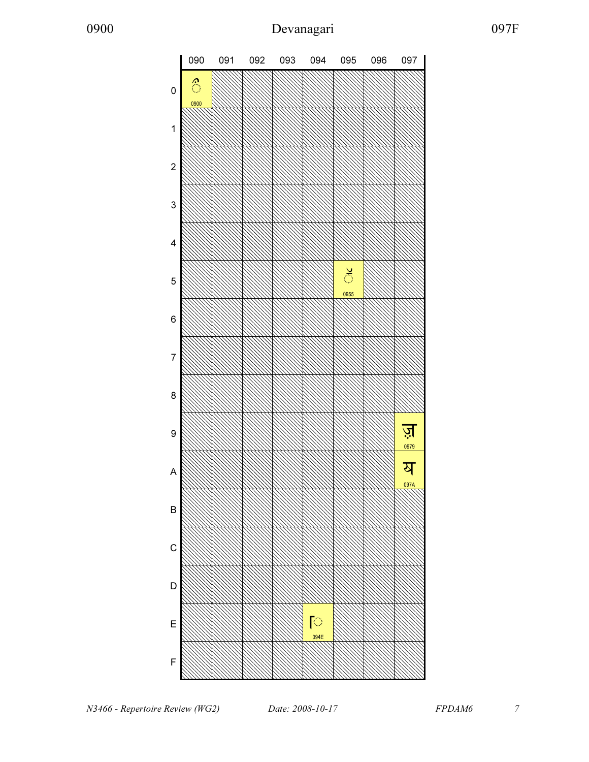

N3466 - Repertoire Review (WG2)  $Date: 2008-10-17$  FPDAM6 7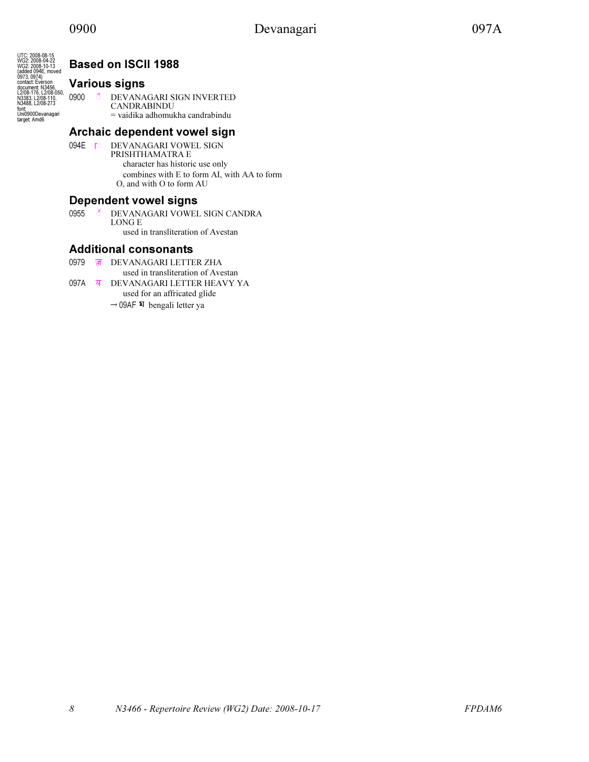

## Based on ISCII 1988

## Various signs

<sup>0900</sup> \$ऀ DEVANAGARI SIGN INVERTED CANDRABINDU = vaidika adhomukha candrabindu

## Archaic dependent vowel sign

094E \$ॎ DEVANAGARI VOWEL SIGN PRISHTHAMATRA E character has historic use only combines with E to form AI, with AA to form O, and with O to form AU

## Dependent vowel signs

0955 **& DEVANAGARI VOWEL SIGN CANDRA** LONG E used in transliteration of Avestan

## Additional consonants

- 0979 ॹ DEVANAGARI LETTER ZHA used in transliteration of Avestan
- 097A ॺ DEVANAGARI LETTER HEAVY YA used for an affricated glide  $\rightarrow$  09AF  $\overline{x}$  bengali letter ya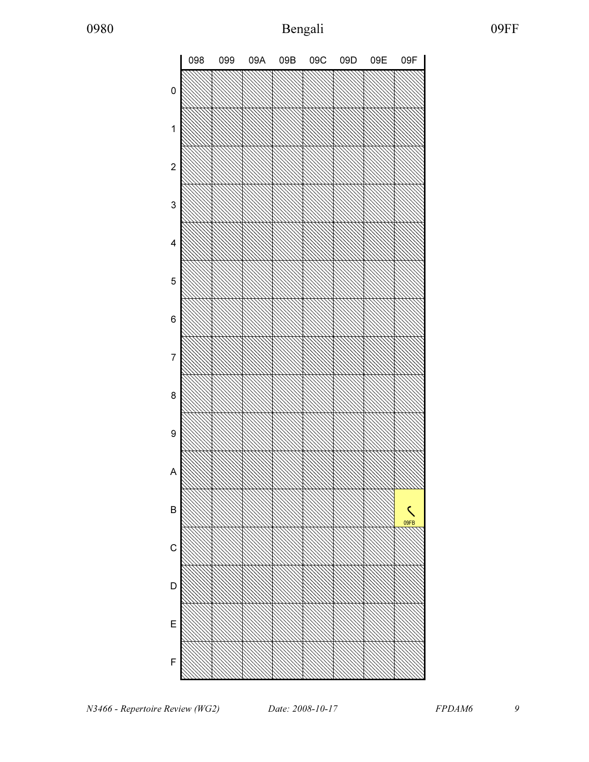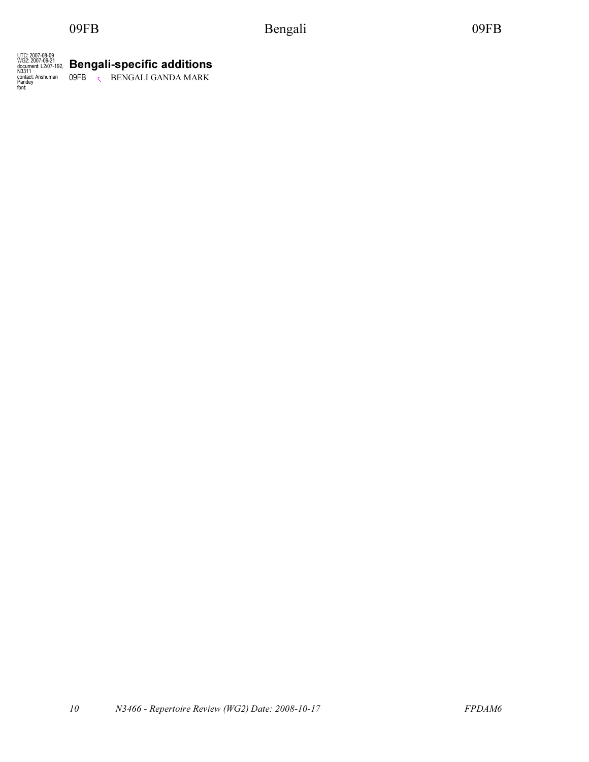09FB Bengali 09FB 09FB

UTC: 2007-08-09 WG2: 2007-09-21 document: L2/07-192, N3311 contact: Anshuman Pandey font: Bengali-specific additions 09FB **RENGALI GANDA MARK**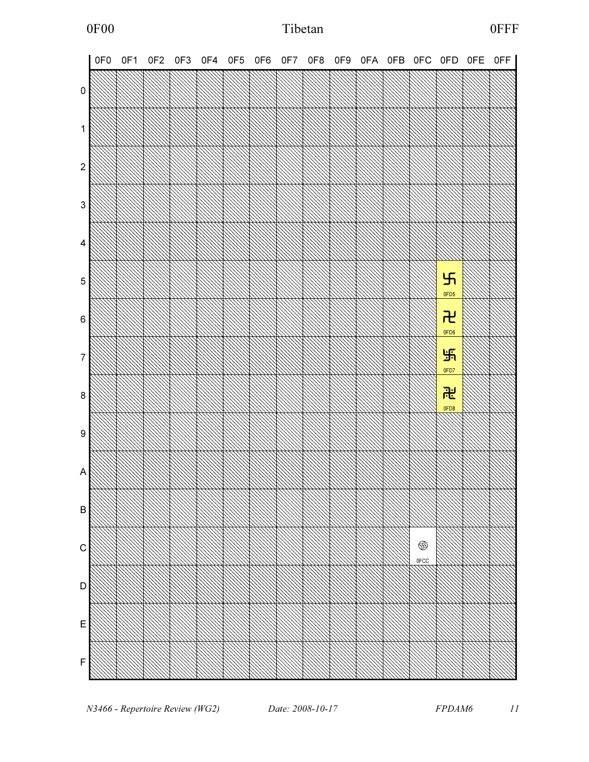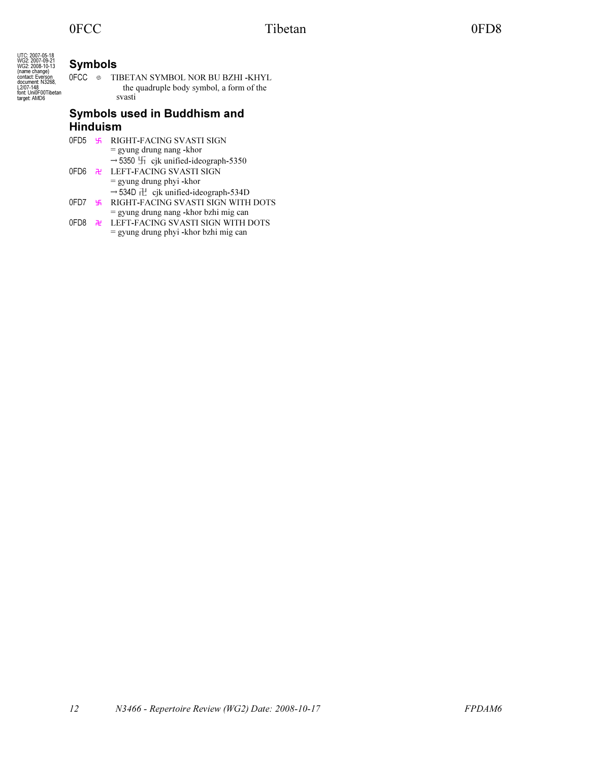UTC: 2007-05-18 WG2: 2007-09-21 WG2: 2008-10-13 (name change) contact: Everson document: N3268, L2/07-148 font: Uni0F00Tibetan target: AMD6

## Symbols

OFCC <sup>◎</sup> TIBETAN SYMBOL NOR BU BZHI -KHYL the quadruple body symbol, a form of the svasti

## Symbols used in Buddhism and Hinduism

|  | 0FD5 5 RIGHT-FACING SVASTI SIGN                              |
|--|--------------------------------------------------------------|
|  | $=$ gyung drung nang -khor                                   |
|  | $\rightarrow$ 5350 $\overline{1}$ cjk unified-ideograph-5350 |
|  | OFD6 <b>R</b> LEFT-FACING SVASTI SIGN                        |
|  | $=$ gyung drung phyi -khor                                   |
|  | $\rightarrow$ 534D $\pm$ cjk unified-ideograph-534D          |
|  | OFD7 5 RIGHT-FACING SVASTI SIGN WITH DOTS                    |
|  | = gyung drung nang -khor bzhi mig can                        |
|  | OFD8 <u>N</u> LEFT-FACING SVASTI SIGN WITH DOTS              |
|  | = gyung drung phyi -khor bzhi mig can                        |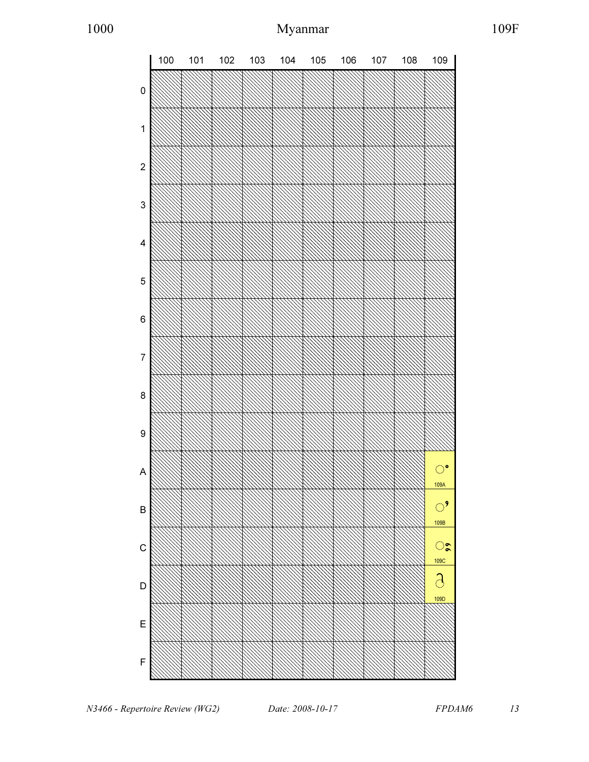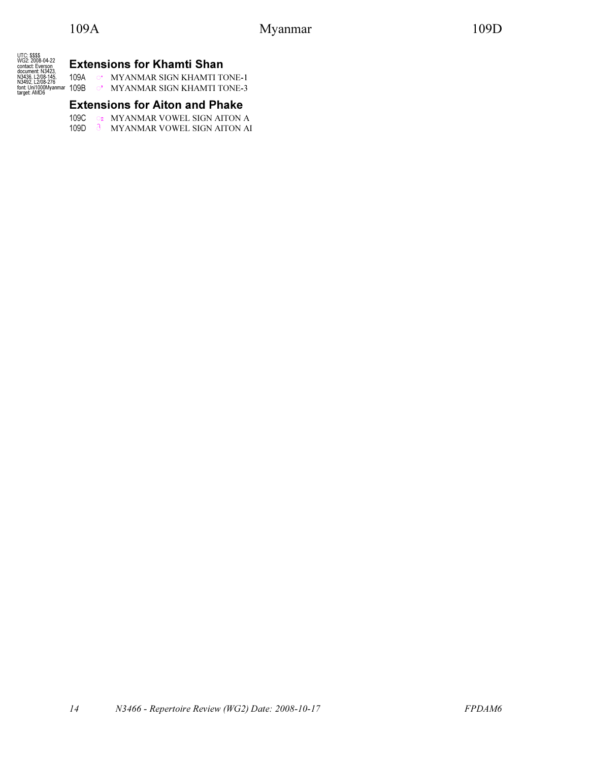UTC: \$\$\$\$<br>WG2: 2008-04-22<br>contact: Everson<br>document: N3423,<br>N3436, L2/08-145,<br>N3436, L2/08-276<br>font: Uni1000Myanmar<br>target: AMD6

## Extensions for Khamti Shan

109A \$ႚ MYANMAR SIGN KHAMTI TONE-1 109B \$ႛ MYANMAR SIGN KHAMTI TONE-3

## Extensions for Aiton and Phake

109C  $\circ$  MYANMAR VOWEL SIGN AITON A 109D & MYANMAR VOWEL SIGN AITON AI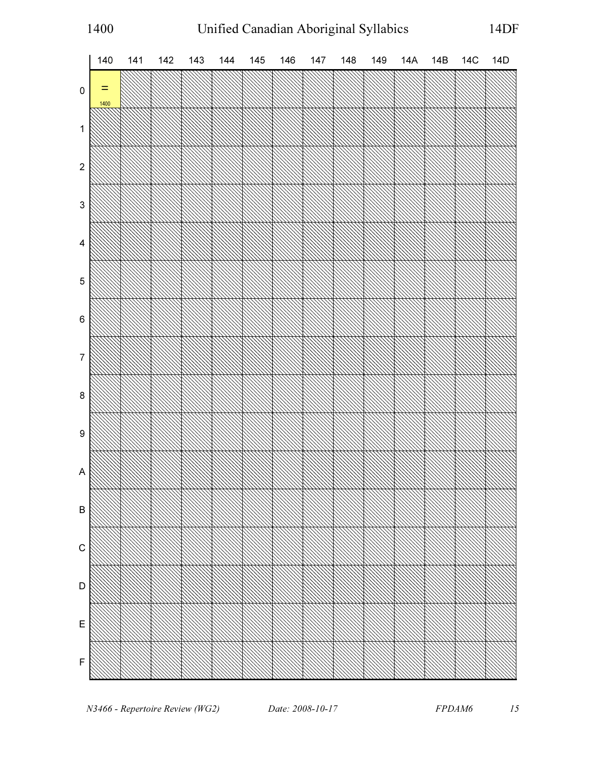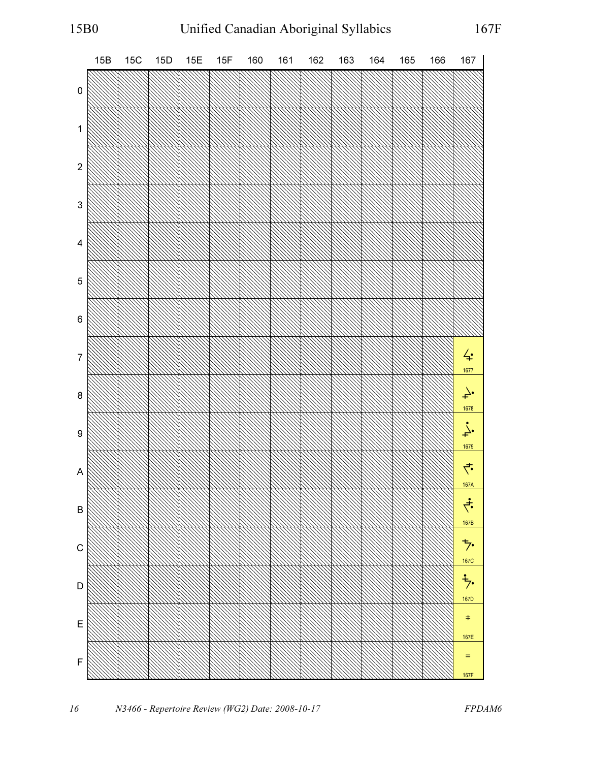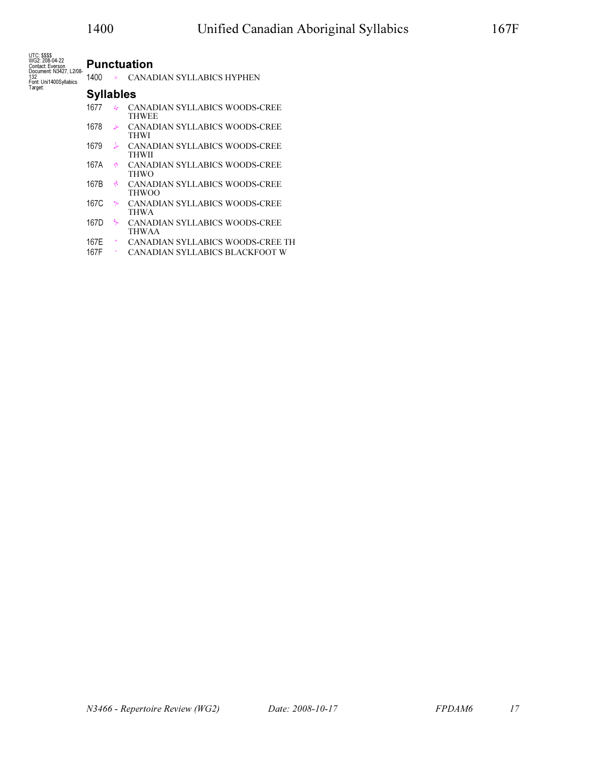UTC: \$\$\$\$ WG2: 208-04-22 Contact: Everson Document: N3427, L2/08- 132 Font: Uni1400Syllabics Target:

## Punctuation

1400 = CANADIAN SYLLABICS HYPHEN

#### Syllables

- 1677  $\leftrightarrow$  CANADIAN SYLLABICS WOODS-CREE THWEE
- 1678 ᙸ CANADIAN SYLLABICS WOODS-CREE THWI
- 1679 ᙹ CANADIAN SYLLABICS WOODS-CREE THWII
- 167A ᙺ CANADIAN SYLLABICS WOODS-CREE THWO
- 167B ᙻ CANADIAN SYLLABICS WOODS-CREE THWOO
- 167C  $\div$  CANADIAN SYLLABICS WOODS-CREE THWA
- 167D  $\div$  CANADIAN SYLLABICS WOODS-CREE THWAA
- 167E ᙾ CANADIAN SYLLABICS WOODS-CREE TH
- 167F ᙿ CANADIAN SYLLABICS BLACKFOOT W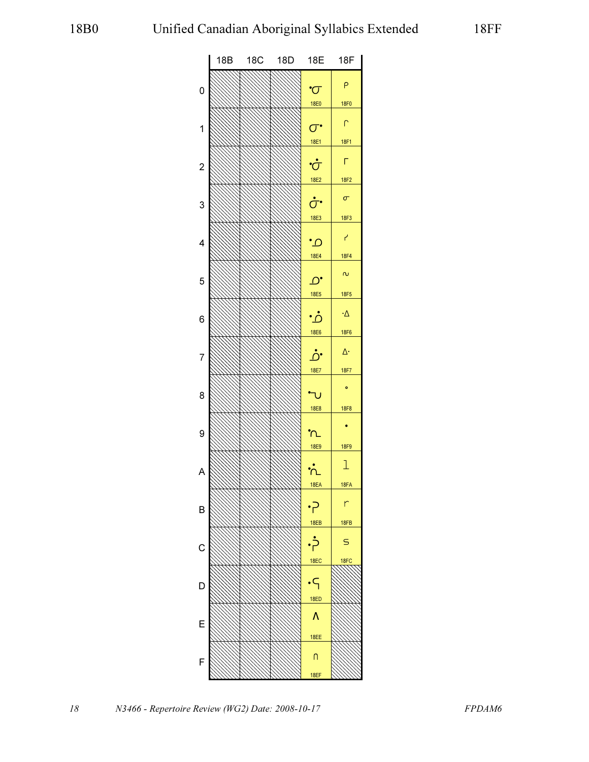

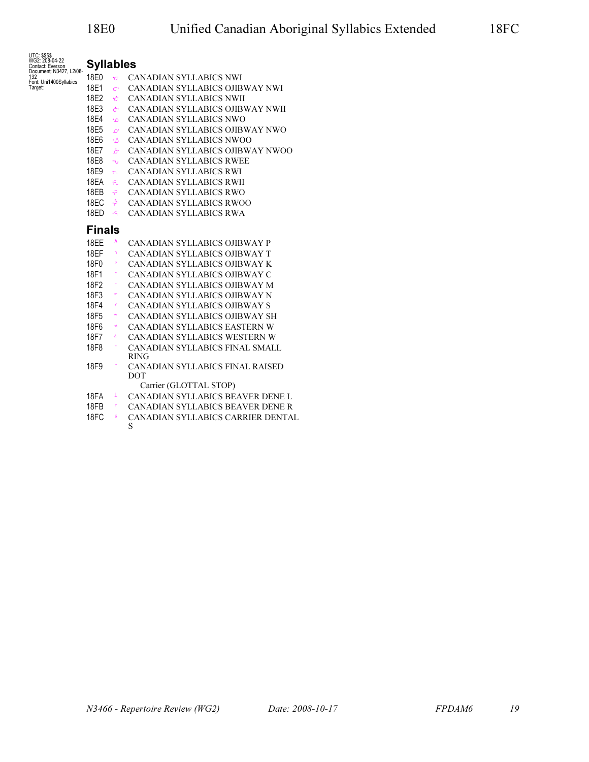| UTC: \$\$\$\$<br>WG2: 208-04-22<br>Contact: Everson | <b>Syllables</b>   |                         |                                               |
|-----------------------------------------------------|--------------------|-------------------------|-----------------------------------------------|
| Document: N3427, L2/08-<br>132                      | 18E0 $\sigma$      |                         | CANADIAN SYLLABICS NWI                        |
| Font: Uni1400Syllabics<br>Target:                   | 18E1               | $\sigma$ .              | CANADIAN SYLLABICS OJIBWAY NWI                |
|                                                     | 18E2               | ਿਹਾਂ                    | <b>CANADIAN SYLLABICS NWII</b>                |
|                                                     | 18E3               | ਨਾਂ ਹ                   | CANADIAN SYLLABICS OJIBWAY NWII               |
|                                                     | 18E4               | $\cdot$ $\circ$         | <b>CANADIAN SYLLABICS NWO</b>                 |
|                                                     | 18E5               | $\mathcal{D}^{\bullet}$ | CANADIAN SYLLABICS OJIBWAY NWO                |
|                                                     | 18E6               | ∙ô∴                     | CANADIAN SYLLABICS NWOO                       |
|                                                     | 18E7               | ்                       | CANADIAN SYLLABICS OJIBWAY NWOO               |
|                                                     | 18E8               | $\neg$                  | <b>CANADIAN SYLLABICS RWEE</b>                |
|                                                     | 18E9               | n                       | <b>CANADIAN SYLLABICS RWI</b>                 |
|                                                     | 18EA               | $\dot{n}$               | <b>CANADIAN SYLLABICS RWII</b>                |
|                                                     | 18EB               | ⊶?                      | <b>CANADIAN SYLLABICS RWO</b>                 |
|                                                     | 18EC               | . خ.                    | <b>CANADIAN SYLLABICS RWOO</b>                |
|                                                     | $18ED \rightarrow$ |                         | <b>CANADIAN SYLLABICS RWA</b>                 |
|                                                     | <b>Finals</b>      |                         |                                               |
|                                                     | 18FF               | Λ                       | CANADIAN SYLLABICS OJIBWAY P                  |
|                                                     | 18EF               | $\mathsf{n}$            | CANADIAN SYLLABICS OJIBWAY T                  |
|                                                     | 18F0               | $\mathsf P$             | CANADIAN SYLLABICS OJIBWAY K                  |
|                                                     | 18F1               | $\Gamma$                | CANADIAN SYLLABICS OJIBWAY C                  |
|                                                     | 18F2               | $\Gamma$                | CANADIAN SYLLABICS OJIBWAY M                  |
|                                                     | 18F3               | $\sigma$                | CANADIAN SYLLABICS OJIBWAY N                  |
|                                                     | 18F4               | ×                       | CANADIAN SYLLABICS OJIBWAY S                  |
|                                                     | 18F5               | $\sim$                  | CANADIAN SYLLABICS OJIBWAY SH                 |
|                                                     | 18F6               | ۰Δ                      | CANADIAN SYLLABICS EASTERN W                  |
|                                                     | 18F7               | $\Delta\cdot$           | CANADIAN SYLLABICS WESTERN W                  |
|                                                     | 18F8               |                         | CANADIAN SYLLABICS FINAL SMALL<br><b>RING</b> |
|                                                     | 18F9               |                         | CANADIAN SYLLABICS FINAL RAISED<br>DOT        |
|                                                     |                    |                         | Carrier (GLOTTAL STOP)                        |
|                                                     | 18FA               | $\perp$                 | CANADIAN SYLLABICS BEAVER DENE L              |
|                                                     | 18FB               | $\mathsf{r}$            | CANADIAN SYLLABICS BEAVER DENE R              |
|                                                     | 18FC               | $\mathsf{s}$            | CANADIAN SYLLABICS CARRIER DENTAL<br>S        |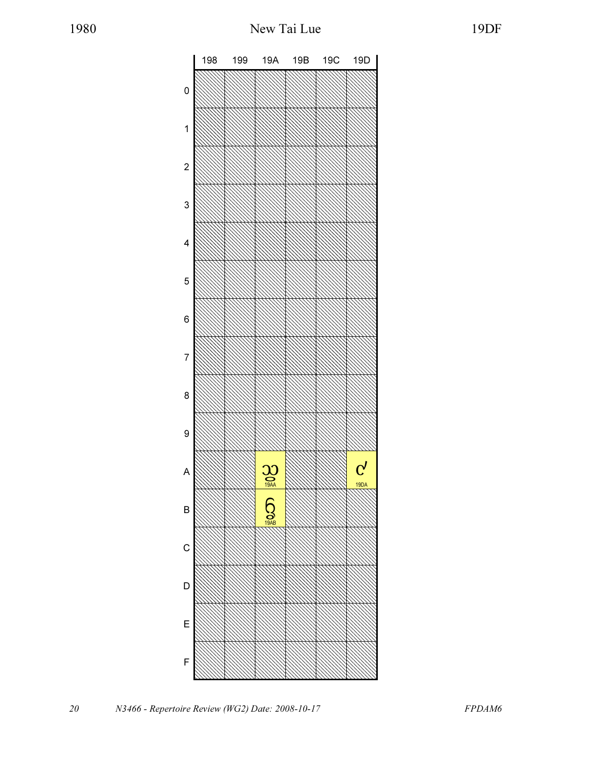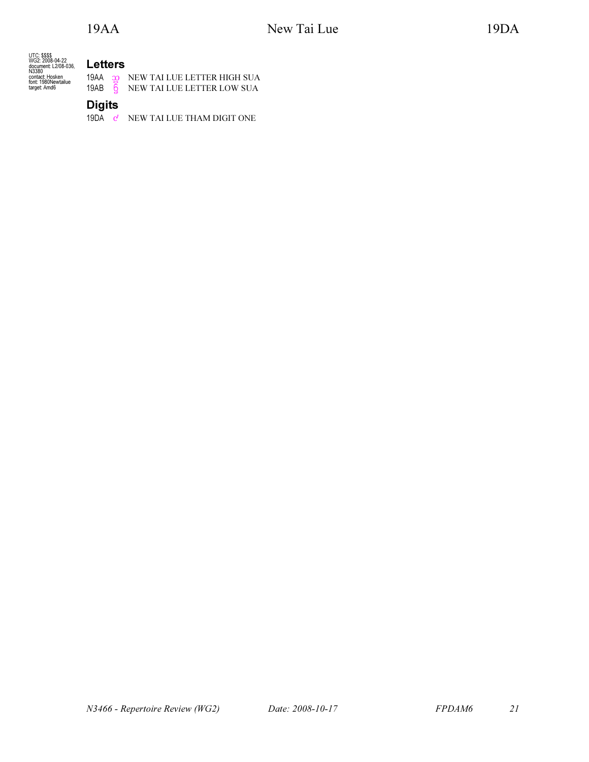| UTC: SSSS            |  |
|----------------------|--|
| WG2: 2008-04-22      |  |
| document: L2/08-036. |  |
| N3380                |  |
| contact: Hosken      |  |
| font: 1980Newtailue  |  |
| target: Amd6         |  |
|                      |  |

Letters 19AA a NEW TAI LUE LETTER HIGH SUA 19AB G NEW TAI LUE LETTER LOW SUA

**Digits** 

19DA  $\mathbf{c}'$  NEW TAI LUE THAM DIGIT ONE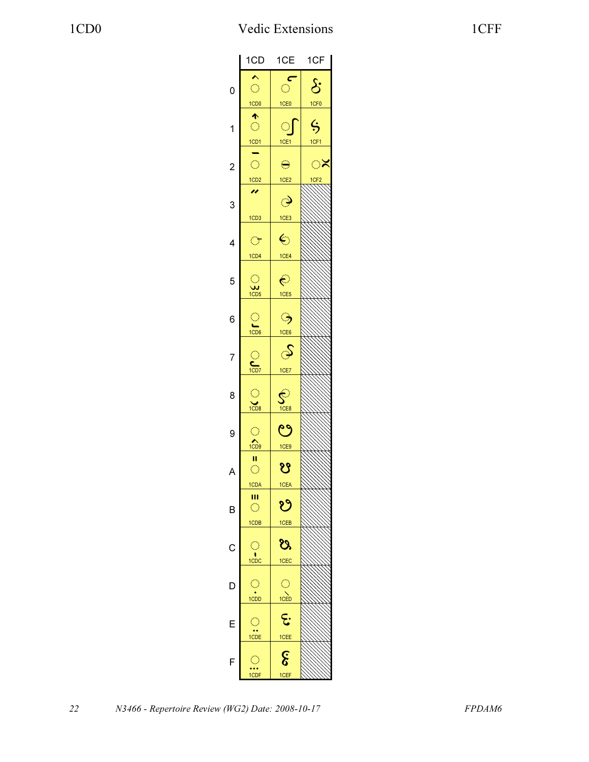|                | 1CD                         | 1CE                         | 1CF                 |
|----------------|-----------------------------|-----------------------------|---------------------|
|                |                             | c                           |                     |
| 0              | $\mathbb{C}$                | Ó                           | $\mathcal{S}$       |
|                | 1CD0                        | 1CE <sub>0</sub>            | 1CF <sub>0</sub>    |
|                | 个                           |                             |                     |
| 1              | $\bigcirc$                  | ୍ରୀ                         | $\ddot{\bm{\zeta}}$ |
|                | $\frac{1CD1}{\blacksquare}$ | 1CE1                        | 1CF1                |
|                |                             |                             |                     |
| $\overline{c}$ | $\bigcirc$                  | $\ominus$                   | ್                   |
|                | 1CD2                        | 1CE2                        | 1CF <sub>2</sub>    |
|                |                             |                             |                     |
| 3              |                             | $\hat{\mathcal{O}}$         |                     |
|                | 1CD <sub>3</sub>            | 1CE3                        |                     |
|                |                             |                             |                     |
| 4              | $\bigcirc$                  | $\bm{\epsilon}$             |                     |
|                | 1CD4                        | 1CE4                        |                     |
|                |                             |                             |                     |
| 5              | $\bigcirc$                  | $\in$                       |                     |
|                | $\frac{1}{1CD5}$            | 1CE5                        |                     |
|                |                             |                             |                     |
| 6              |                             | ್ರ                          |                     |
|                | $\frac{1}{1CD6}$            | 1CE6                        |                     |
|                |                             |                             |                     |
| 7              |                             | S                           |                     |
|                | $\sum_{1CD7}$               | 1CE7                        |                     |
|                |                             |                             |                     |
| 8              |                             |                             |                     |
|                | $\frac{1}{1008}$            | $\sum_{1 \in \mathsf{B}}$   |                     |
|                |                             |                             |                     |
|                | $\bigcirc$                  | ಲ                           |                     |
| 9              | $\widehat{1CD9}$            |                             |                     |
|                |                             | 1CE9                        |                     |
|                | Ш<br>$\bigcirc$             | ೪                           |                     |
| A              |                             |                             |                     |
|                | 1CDA                        | 1CEA                        |                     |
|                | Ш<br>$\mathbb{C}$           | ಲಿ                          |                     |
| B              |                             |                             |                     |
|                | 1CDB                        | 1CEB                        |                     |
|                |                             |                             |                     |
| С              | $\bigcirc$                  | ೮ಿ                          |                     |
|                | $\frac{1}{100}$             | 1CEC                        |                     |
|                |                             |                             |                     |
| D              | Ģ                           |                             |                     |
|                | 1CDD                        | $\frac{1}{100}$             |                     |
|                |                             |                             |                     |
| Е              | $\bigcirc$                  | E.                          |                     |
|                | $\overrightarrow{1}$        | 1CEE                        |                     |
|                |                             |                             |                     |
|                | $\bigcirc$                  | $\boldsymbol{\hat{\delta}}$ |                     |
|                | 1CDF                        | 1CEF                        |                     |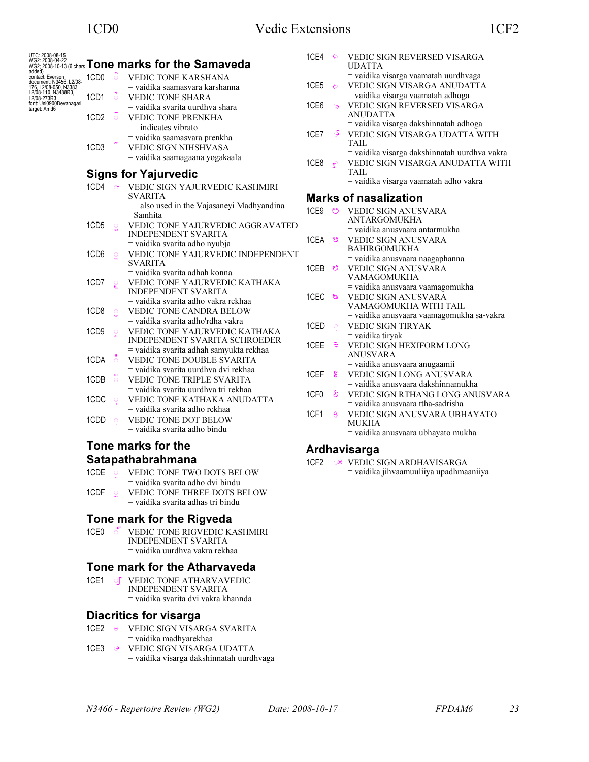| added)                                                                                                                                         |                  |                     | UTC: 2008-08-15<br>WG2: 2008-04-22<br>WG2: 2008-10-13 (6 chars <b>Tone marks for the Samaveda</b> | 1CE4             | $\epsilon$          | VEDIC SIGN REVERSED VISARGA<br><b>UDATTA</b> |
|------------------------------------------------------------------------------------------------------------------------------------------------|------------------|---------------------|---------------------------------------------------------------------------------------------------|------------------|---------------------|----------------------------------------------|
| aueug<br>contact Everson<br>document: N3456, L2/08-<br>176, L2/08-050, N3383,<br>L2/08-110, N3488R3,<br>L2/08-273R3<br>font: Uni0900Devanagari | 1CD <sub>0</sub> | ö                   | <b>VEDIC TONE KARSHANA</b>                                                                        |                  |                     | = vaidika visarga vaamatah uurdhvaga         |
|                                                                                                                                                |                  |                     | $=$ vaidika saamasvara karshanna                                                                  | 1CE5             | $\epsilon$          | VEDIC SIGN VISARGA ANUDATTA                  |
|                                                                                                                                                | 1CD1             | $\delta$            | VEDIC TONE SHARA                                                                                  |                  |                     | = vaidika visarga vaamatah adhoga            |
| target: Amd6                                                                                                                                   |                  |                     | $=$ vaidika svarita uurdhva shara                                                                 | 1CE <sub>6</sub> | $\Theta$            | VEDIC SIGN REVERSED VISARGA                  |
|                                                                                                                                                | 1CD <sub>2</sub> | $\circ$             | <b>VEDIC TONE PRENKHA</b>                                                                         |                  |                     | <b>ANUDATTA</b>                              |
|                                                                                                                                                |                  |                     | indicates vibrato                                                                                 |                  |                     | = vaidika visarga dakshinnatah adhoga        |
|                                                                                                                                                |                  |                     | = vaidika saamasvara prenkha                                                                      | 1CE7             | Š                   | VEDIC SIGN VISARGA UDATTA WITH               |
|                                                                                                                                                | 1CD <sub>3</sub> |                     | <b>VEDIC SIGN NIHSHVASA</b>                                                                       |                  |                     | TAIL                                         |
|                                                                                                                                                |                  |                     | = vaidika saamagaana yogakaala                                                                    |                  |                     | = vaidika visarga dakshinnatah uurdhva vakra |
|                                                                                                                                                |                  |                     |                                                                                                   | 1CE8             | $\epsilon$          | VEDIC SIGN VISARGA ANUDATTA WITH<br>TAIL     |
|                                                                                                                                                |                  |                     | <b>Signs for Yajurvedic</b>                                                                       |                  |                     | = vaidika visarga vaamatah adho vakra        |
|                                                                                                                                                | 1CD4             | $\sigma$            | VEDIC SIGN YAJURVEDIC KASHMIRI                                                                    |                  |                     |                                              |
|                                                                                                                                                |                  |                     | <b>SVARITA</b>                                                                                    |                  |                     | <b>Marks of nasalization</b>                 |
|                                                                                                                                                |                  |                     | also used in the Vajasaneyi Madhyandina                                                           |                  |                     | 1CE9 © VEDIC SIGN ANUSVARA                   |
|                                                                                                                                                |                  |                     | Samhita                                                                                           |                  |                     | <b>ANTARGOMUKHA</b>                          |
|                                                                                                                                                | 1CD <sub>5</sub> | $\mathcal{Q}$       | VEDIC TONE YAJURVEDIC AGGRAVATED<br><b>INDEPENDENT SVARITA</b>                                    |                  |                     | $=$ vaidika anusvaara antarmukha             |
|                                                                                                                                                |                  |                     | = vaidika svarita adho nyubja                                                                     | 1CEA             | ೮                   | <b>VEDIC SIGN ANUSVARA</b>                   |
|                                                                                                                                                | 1CD <sub>6</sub> | $\circ$             | VEDIC TONE YAJURVEDIC INDEPENDENT                                                                 |                  |                     | <b>BAHIRGOMUKHA</b>                          |
|                                                                                                                                                |                  |                     | <b>SVARITA</b>                                                                                    |                  |                     | = vaidika anusvaara naagaphanna              |
|                                                                                                                                                |                  |                     | = vaidika svarita adhah konna                                                                     | 1CEB             | ಲಿ                  | VEDIC SIGN ANUSVARA                          |
|                                                                                                                                                | 1CD7             | ୂ                   | VEDIC TONE YAJURVEDIC KATHAKA                                                                     |                  |                     | <b>VAMAGOMUKHA</b>                           |
|                                                                                                                                                |                  |                     | <b>INDEPENDENT SVARITA</b>                                                                        |                  |                     | = vaidika anusvaara vaamagomukha             |
|                                                                                                                                                |                  |                     | = vaidika svarita adho vakra rekhaa                                                               | 1CEC छ           |                     | VEDIC SIGN ANUSVARA<br>VAMAGOMUKHA WITH TAIL |
|                                                                                                                                                | 1CD <sub>8</sub> | $\mathcal{L}$       | VEDIC TONE CANDRA BELOW                                                                           |                  |                     | = vaidika anusvaara vaamagomukha sa-vakra    |
|                                                                                                                                                |                  |                     | = vaidika svarita adho'rdha vakra                                                                 | 1CED             | Q                   | VEDIC SIGN TIRYAK                            |
|                                                                                                                                                | 1CD <sub>9</sub> | $\circ$             | VEDIC TONE YAJURVEDIC KATHAKA                                                                     |                  |                     | $=$ vaidika tiryak                           |
|                                                                                                                                                |                  |                     | INDEPENDENT SVARITA SCHROEDER                                                                     | 1CEE             | -ද.                 | VEDIC SIGN HEXIFORM LONG                     |
|                                                                                                                                                |                  |                     | = vaidika svarita adhah samyukta rekhaa                                                           |                  |                     | <b>ANUSVARA</b>                              |
|                                                                                                                                                | 1CDA             | $\circ$             | <b>VEDIC TONE DOUBLE SVARITA</b>                                                                  |                  |                     | = vaidika anusvaara anugaamii                |
|                                                                                                                                                |                  |                     | = vaidika svarita uurdhva dvi rekhaa                                                              | 1CEF             | g                   | <b>VEDIC SIGN LONG ANUSVARA</b>              |
|                                                                                                                                                | 1CDB             | ៉                   | VEDIC TONE TRIPLE SVARITA                                                                         |                  |                     | $=$ vaidika anusvaara dakshinnamukha         |
|                                                                                                                                                |                  |                     | = vaidika svarita uurdhva tri rekhaa                                                              | 1CF <sub>0</sub> | કે                  | VEDIC SIGN RTHANG LONG ANUSVARA              |
|                                                                                                                                                | 1CDC             | $\circlearrowright$ | VEDIC TONE KATHAKA ANUDATTA                                                                       |                  |                     | $=$ vaidika anusvaara ttha-sadrisha          |
|                                                                                                                                                |                  |                     | = vaidika svarita adho rekhaa                                                                     | 1CF1             | $\ddot{\mathbf{s}}$ | VEDIC SIGN ANUSVARA UBHAYATO                 |
|                                                                                                                                                | 1CDD             | $\circlearrowright$ | VEDIC TONE DOT BELOW<br>= vaidika svarita adho bindu                                              |                  |                     | MUKHA                                        |
|                                                                                                                                                |                  |                     |                                                                                                   |                  |                     | = vaidika anusvaara ubhayato mukha           |
|                                                                                                                                                |                  |                     | Tone marks for the                                                                                |                  |                     | <b>Ardhavisarga</b>                          |

# Satapathabrahmana

| 1CDE ⊙ ∶ |         | VEDIC TONE TWO DOTS BELOW                                                                                       |
|----------|---------|-----------------------------------------------------------------------------------------------------------------|
| 1CDF     | $\circ$ | $=$ vaidika svarita adho dvi bindu<br><b>VEDIC TONE THREE DOTS BELOW</b><br>$=$ vaidika svarita adhas tri bindu |

## Tone mark for the Rigveda

1CE0  $\circ$  VEDIC TONE RIGVEDIC KASHMIRI INDEPENDENT SVARITA = vaidika uurdhva vakra rekhaa

## Tone mark for the Atharvaveda

1CE1 of VEDIC TONE ATHARVAVEDIC INDEPENDENT SVARITA = vaidika svarita dvi vakra khannda

## Diacritics for visarga

- 1CE2  $\div$  VEDIC SIGN VISARGA SVARITA = vaidika madhyarekhaa
- 1CE3  $\odot$  VEDIC SIGN VISARGA UDATTA = vaidika visarga dakshinnatah uurdhvaga

1CF2  $\circ\checkmark$  VEDIC SIGN ARDHAVISARGA

= vaidika jihvaamuuliiya upadhmaaniiya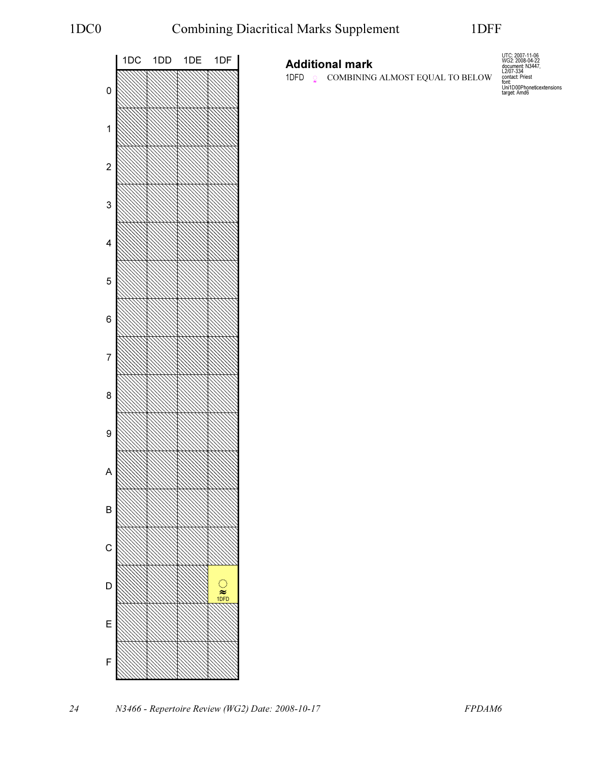

## Additional mark

1DFD  $\circ$  COMBINING ALMOST EQUAL TO BELOW

UTC: 2007-11-06 WG2: 2008-04-22 document: N3447, L2/07-334 contact: Priest font: Uni1D00Phoneticextensions target: Amd6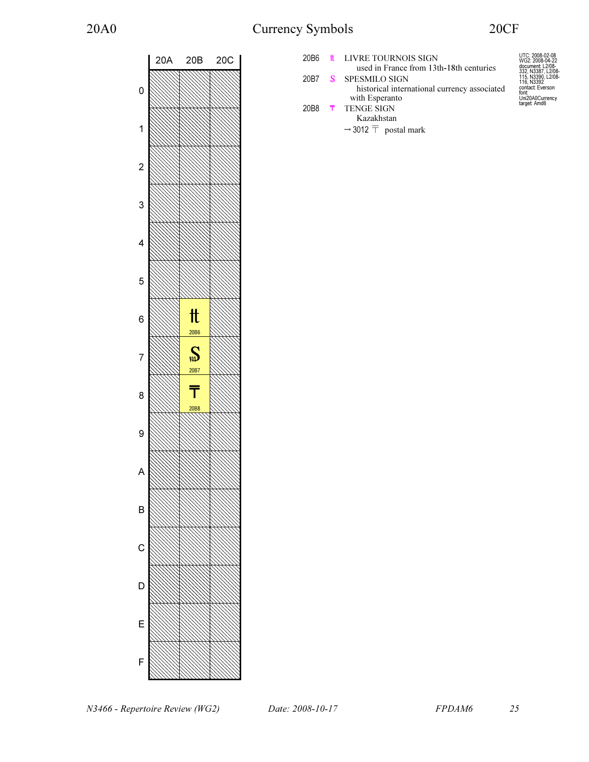# 20A0 Currency Symbols 20CF



| 20B6             | <b>t</b> LIVRE TOURNOIS SIGN                  | UTC: 2008-02-08<br>WG2: 2008-04-22     |
|------------------|-----------------------------------------------|----------------------------------------|
|                  | used in France from 13th-18th centuries       | document: L2/08-<br>332, N3387, L2/08- |
| 20B7             | <b>SPESMILO SIGN</b>                          | 115, N3390, L2/08-<br>116, N3392       |
|                  | historical international currency associated  | contact: Everson<br>font:              |
|                  | with Esperanto                                | Uni20A0Currency<br>target: Amd6        |
| 20 <sub>B8</sub> | <b>T</b> TENGE SIGN                           |                                        |
|                  | Kazakhstan                                    |                                        |
|                  | $\rightarrow$ 3012 $\overline{T}$ postal mark |                                        |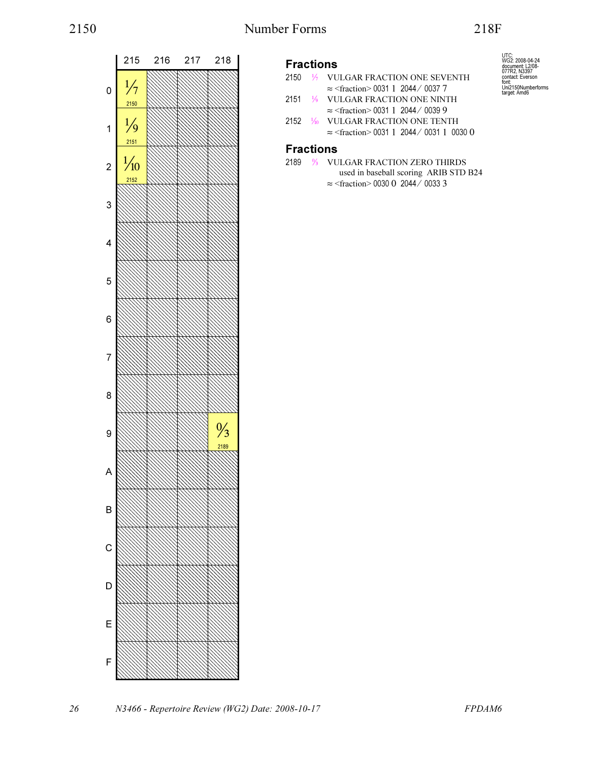

## Fractions

- 2150 ⅐ VULGAR FRACTION ONE SEVENTH ≈ <fraction> 0031 1 2044 ⁄ 0037 7
- 2151 ⅑ VULGAR FRACTION ONE NINTH ≈ <fraction> 0031 1 2044 ⁄ 0039 9
- 2152 ⅒ VULGAR FRACTION ONE TENTH ≈ <fraction> 0031 1 2044 ⁄ 0031 1 0030 0

## Fractions

2189 ↉ VULGAR FRACTION ZERO THIRDS used in baseball scoring ARIB STD B24 ≈ <fraction> 0030 0 2044 ⁄ 0033 3

UTC: WG2: 2008-04-24 document: L2/08- 077R2, N3397 contact: Everson font: Uni2150Numberforms target: Amd6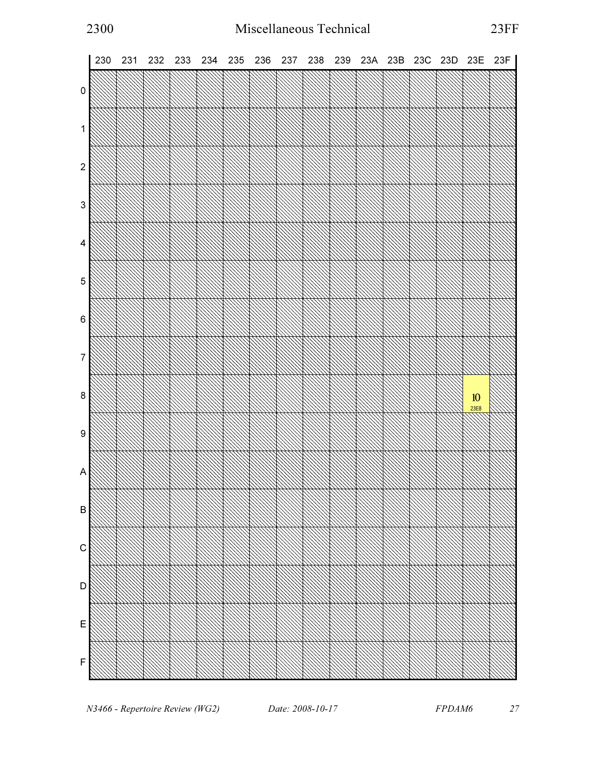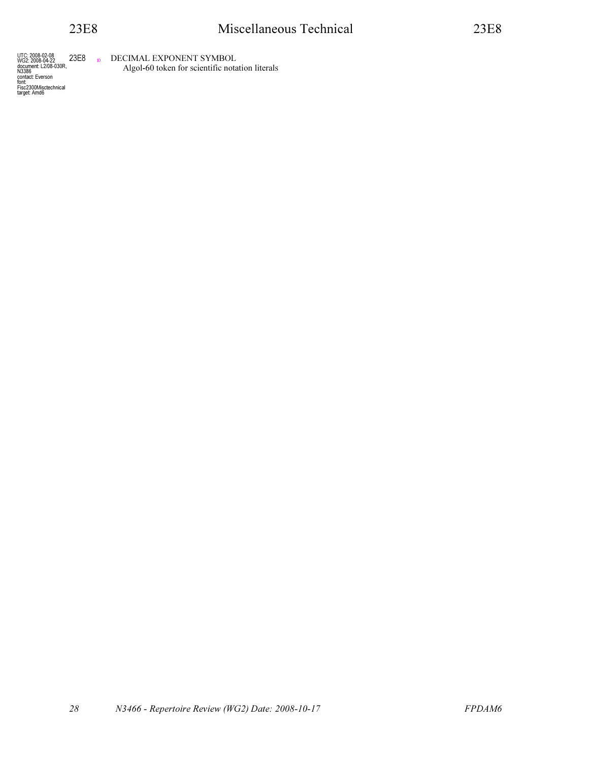UTC: 2008-02-08<br>WG2: 2008-04-22<br>document: L2/08-030R,<br>N3386<br>contact: Everson<br>font:<br>Fisc2300Misctechnical<br>target: Amd6

23E8 **DECIMAL EXPONENT SYMBOL** Algol-60 token for scientific notation literals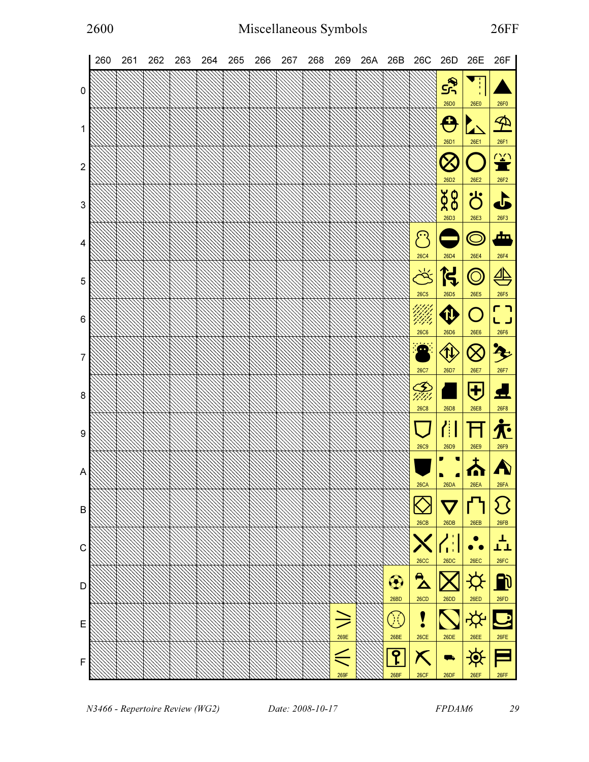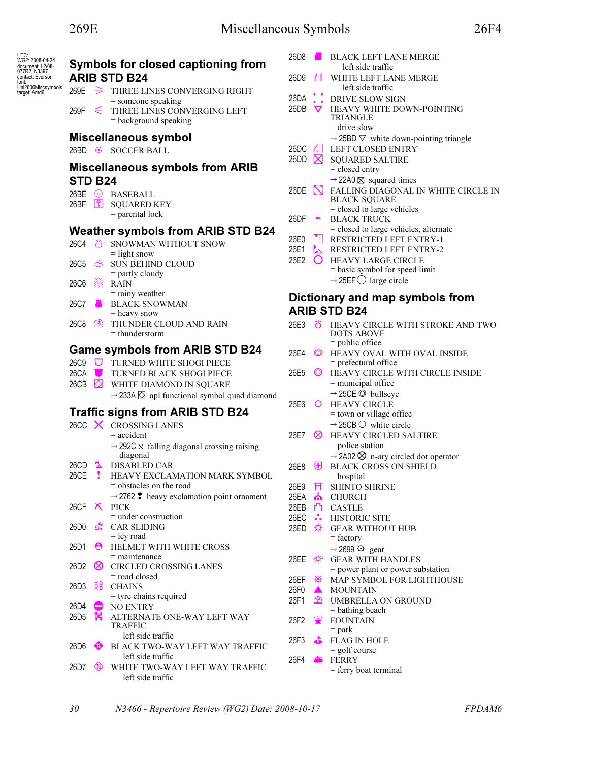| UTC:<br>WG2: 2008-04-24<br>document: L2/08- |                   |              | Symbols for closed captioning from                              | 26D8                          |                 | <b>BLACK LEFT LANE MERGE</b><br>left side traffic        |
|---------------------------------------------|-------------------|--------------|-----------------------------------------------------------------|-------------------------------|-----------------|----------------------------------------------------------|
| 077R2, N3397<br>contact: Everson            |                   |              | <b>ARIB STD B24</b>                                             | 26D9                          | Π               | WHITE LEFT LANE MERGE                                    |
| font:<br>Uni2600Miscsymbols<br>target: Amd6 |                   |              |                                                                 |                               |                 | left side traffic                                        |
|                                             | 269E              |              | $\Rightarrow$ THREE LINES CONVERGING RIGHT                      | 26DA                          |                 | DRIVE SLOW SIGN                                          |
|                                             | 269F              | $\epsilon$   | $=$ someone speaking<br>THREE LINES CONVERGING LEFT             | 26DB                          | $\triangledown$ | HEAVY WHITE DOWN-POINTING                                |
|                                             |                   |              | $=$ background speaking                                         |                               |                 | TRIANGLE                                                 |
|                                             |                   |              |                                                                 |                               |                 | $=$ drive slow                                           |
|                                             |                   |              | Miscellaneous symbol                                            |                               |                 | $\rightarrow$ 25BD $\nabla$ white down-pointing triangle |
|                                             |                   |              | 26BD <sup>@</sup> SOCCER BALL                                   | $26DC$ $\bigcap$              |                 | LEFT CLOSED ENTRY                                        |
|                                             |                   |              |                                                                 | 26DD $\boxtimes$              |                 | <b>SQUARED SALTIRE</b>                                   |
|                                             |                   |              | <b>Miscellaneous symbols from ARIB</b>                          |                               |                 | = closed entry                                           |
|                                             | STD B24           |              |                                                                 |                               |                 | $\rightarrow$ 22A0 $\boxtimes$ squared times             |
|                                             |                   |              | 26BE <sup>1</sup> BASEBALL                                      | 26DE $\sum$                   |                 | FALLING DIAGONAL IN WHITE CIRCLE IN                      |
|                                             | 26BF              | $\mathbf{E}$ | <b>SQUARED KEY</b>                                              |                               |                 | <b>BLACK SQUARE</b>                                      |
|                                             |                   |              | $=$ parental lock                                               |                               |                 | $=$ closed to large vehicles                             |
|                                             |                   |              |                                                                 | 26DF                          | $\blacksquare$  | <b>BLACK TRUCK</b>                                       |
|                                             |                   |              | <b>Weather symbols from ARIB STD B24</b>                        |                               |                 | = closed to large vehicles, alternate                    |
|                                             | 26C4              | ී            | SNOWMAN WITHOUT SNOW                                            | 26E0                          | Ч               | RESTRICTED LEFT ENTRY-1                                  |
|                                             |                   |              | $=$ light snow                                                  | 26E1                          | $\mathbf{L}$    | RESTRICTED LEFT ENTRY-2                                  |
|                                             | 26C5              | Ö            | <b>SUN BEHIND CLOUD</b>                                         | 26E2                          |                 | HEAVY LARGE CIRCLE                                       |
|                                             |                   |              | $=$ partly cloudy                                               |                               |                 | $=$ basic symbol for speed limit                         |
|                                             | 26C6              |              | <b>RAIN</b>                                                     |                               |                 | $\rightarrow$ 25EF $\bigcirc$ large circle               |
|                                             |                   |              | $=$ rainy weather                                               |                               |                 | Dictionary and map symbols from                          |
|                                             | 26C7              |              | <b>BLACK SNOWMAN</b>                                            |                               |                 | <b>ARIB STD B24</b>                                      |
|                                             |                   |              | $=$ heavy snow                                                  |                               |                 |                                                          |
|                                             | 26C8              | B            | THUNDER CLOUD AND RAIN                                          | 26E3                          | ö               | HEAVY CIRCLE WITH STROKE AND TWO                         |
|                                             |                   |              | $=$ thunderstorm                                                |                               |                 | <b>DOTS ABOVE</b>                                        |
|                                             |                   |              | <b>Game symbols from ARIB STD B24</b>                           |                               | $\circledcirc$  | $=$ public office                                        |
|                                             |                   |              | 26C9 <b>U</b> TURNED WHITE SHOGI PIECE                          | 26E4                          |                 | HEAVY OVAL WITH OVAL INSIDE<br>$=$ prefectural office    |
|                                             | 26CA              |              | TURNED BLACK SHOGI PIECE                                        | 26E5                          | $\circledcirc$  | HEAVY CIRCLE WITH CIRCLE INSIDE                          |
|                                             | 26CB              | ⊠            | WHITE DIAMOND IN SQUARE                                         |                               |                 | $=$ municipal office                                     |
|                                             |                   |              |                                                                 |                               |                 | $\rightarrow$ 25CE $\odot$ bullseye                      |
|                                             |                   |              | $\rightarrow$ 233A $\oslash$ apl functional symbol quad diamond | 26E6                          | $\circ$         | <b>HEAVY CIRCLE</b>                                      |
|                                             |                   |              | <b>Traffic signs from ARIB STD B24</b>                          |                               |                 | $=$ town or village office                               |
|                                             |                   |              | $26CC \times CROSING LANES$                                     |                               |                 | $\rightarrow$ 25CB $\circlearrowright$ white circle      |
|                                             |                   |              | $=$ accident                                                    | 26E7                          | ∞               | HEAVY CIRCLED SALTIRE                                    |
|                                             |                   |              | $\rightarrow$ 292C $\times$ falling diagonal crossing raising   |                               |                 | $=$ police station                                       |
|                                             |                   |              | diagonal                                                        |                               |                 | $\rightarrow$ 2A02 $\otimes$ n-ary circled dot operator  |
|                                             | 26CD              | ב'           | DISABLED CAR                                                    | 26E8                          | ₩               | <b>BLACK CROSS ON SHIELD</b>                             |
|                                             | 26CE              |              | HEAVY EXCLAMATION MARK SYMBOL                                   |                               |                 | $=$ hospital                                             |
|                                             |                   |              | $=$ obstacles on the road                                       | 26E9                          | л               | <b>SHINTO SHRINE</b>                                     |
|                                             |                   |              | $\rightarrow$ 2762 $\bullet$ heavy exclamation point ornament   | 26EA                          | 츄               | <b>CHURCH</b>                                            |
|                                             | 26CF $\mathsf{X}$ |              | PICK                                                            | 26EB L                        |                 | <b>CASTLE</b>                                            |
|                                             |                   |              | $=$ under construction                                          |                               |                 | 26EC : HISTORIC SITE                                     |
|                                             | 26D0              | 52           | <b>CAR SLIDING</b>                                              | 26ED $\overleftrightarrow{X}$ |                 | <b>GEAR WITHOUT HUB</b>                                  |
|                                             |                   |              | $=$ icy road                                                    |                               |                 | $=$ factory                                              |
|                                             | 26D1              | ₩            | HELMET WITH WHITE CROSS                                         |                               |                 | $\rightarrow$ 2699 $\odot$ gear                          |
|                                             |                   |              | $=$ maintenance                                                 | 26EE ※                        |                 | <b>GEAR WITH HANDLES</b>                                 |
|                                             | 26D2              | ∞            | CIRCLED CROSSING LANES                                          |                               |                 | $=$ power plant or power substation                      |
|                                             |                   |              | $=$ road closed                                                 | 26EF                          | ୍ବର-            | MAP SYMBOL FOR LIGHTHOUSE                                |
|                                             | 26D3              | ž8           | <b>CHAINS</b>                                                   | 26F0                          | ▲               | <b>MOUNTAIN</b>                                          |
|                                             |                   |              | $=$ tyre chains required                                        | 26F1                          | $\mathfrak{B}$  | <b>UMBRELLA ON GROUND</b>                                |
|                                             | 26D4              |              | <b>NO ENTRY</b>                                                 |                               |                 | $=$ bathing beach                                        |
|                                             | 26D <sub>5</sub>  | k.           | ALTERNATE ONE-WAY LEFT WAY<br><b>TRAFFIC</b>                    | 26F2                          | ₩               | <b>FOUNTAIN</b>                                          |
|                                             |                   |              | left side traffic                                               |                               |                 | $=$ park                                                 |
|                                             | 26D6              | ⊕            | BLACK TWO-WAY LEFT WAY TRAFFIC                                  | 26F3                          | d.              | <b>FLAG IN HOLE</b>                                      |
|                                             |                   |              | left side traffic                                               |                               |                 | $=$ golf course                                          |
|                                             | 26D7              | 虛            | WHITE TWO-WAY LEFT WAY TRAFFIC                                  | 26F4                          |                 | <b>FERRY</b>                                             |
|                                             |                   |              | left side traffic                                               |                               |                 | = ferry boat terminal                                    |
|                                             |                   |              |                                                                 |                               |                 |                                                          |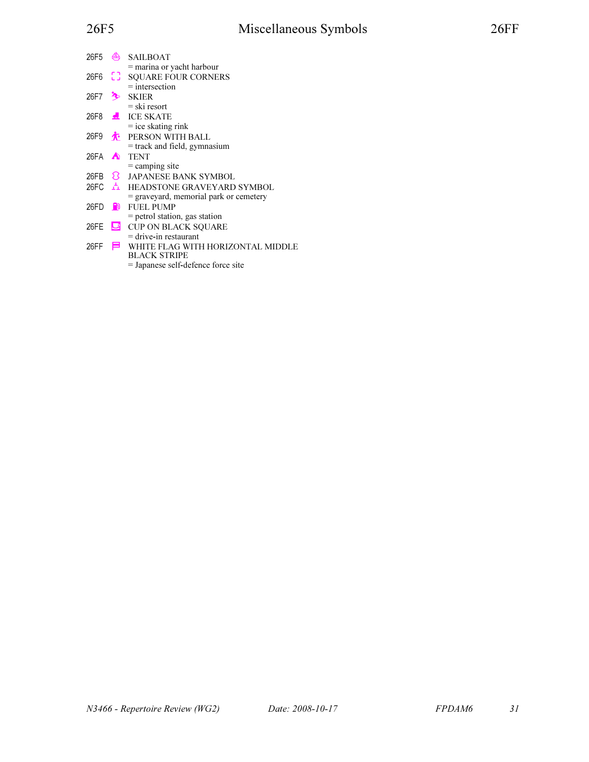| 26F5    | ╩                | <b>SAILBOAT</b>                          |
|---------|------------------|------------------------------------------|
|         |                  | $=$ marina or yacht harbour              |
|         |                  | 26F6 [ ] SQUARE FOUR CORNERS             |
|         |                  | $=$ intersection                         |
| 26F7    | Ą                | SKIER                                    |
|         |                  | = ski resort                             |
|         |                  | 26F8 <b>4</b> ICE SKATE                  |
|         |                  | $=$ ice skating rink                     |
| 26F9    | $\mathbf{r}$     | PERSON WITH BALL                         |
|         |                  | = track and field, gymnasium             |
| 26FA    | $\blacktriangle$ | <b>TENT</b>                              |
|         |                  | $=$ camping site                         |
| 26FB 23 |                  | <b>JAPANESE BANK SYMBOL</b>              |
|         |                  | 26FC <b>A</b> HEADSTONE GRAVEYARD SYMBOL |
|         |                  | = graveyard, memorial park or cemetery   |
| 26FD    | <b>FD</b>        | <b>FUEL PUMP</b>                         |
|         |                  | $=$ petrol station, gas station          |
| 26FE    |                  | CUP ON BLACK SQUARE                      |
|         |                  | $=$ drive-in restaurant                  |
| 26FF    | ᆯ                | WHITE FLAG WITH HORIZONTAL MIDDLE        |
|         |                  | BLACK STRIPE                             |
|         |                  | = Japanese self-defence force site       |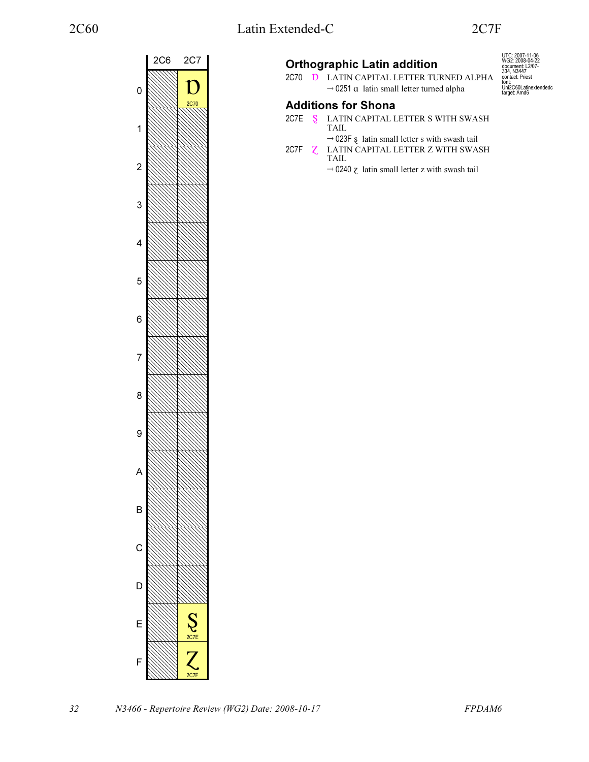UTC: 2007-11-06 WG2: 2008-04-22 document: L2/07- 334, N3447 contact: Priest

font: Uni2C60Latinextendedc target: Amd6



## Orthographic Latin addition

2C70 **D** LATIN CAPITAL LETTER TURNED ALPHA  $\rightarrow$  0251  $\alpha$  latin small letter turned alpha

## Additions for Shona

- 2C7E S LATIN CAPITAL LETTER S WITH SWASH TAIL →
- $\rightarrow$  023F  $\overline{s}$  latin small letter s with swash tail 2C7F **Z** LATIN CAPITAL LETTER Z WITH SWASH
	- TAIL → $\rightarrow$  0240  $\zeta$  latin small letter z with swash tail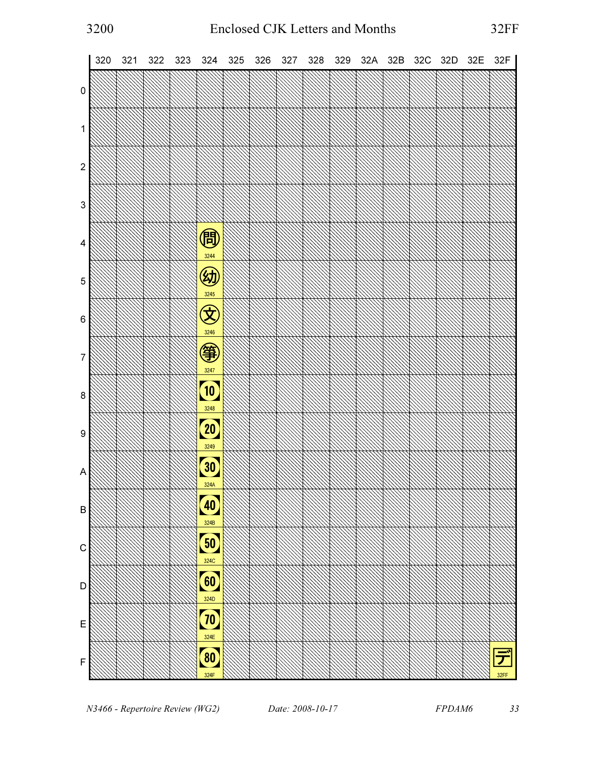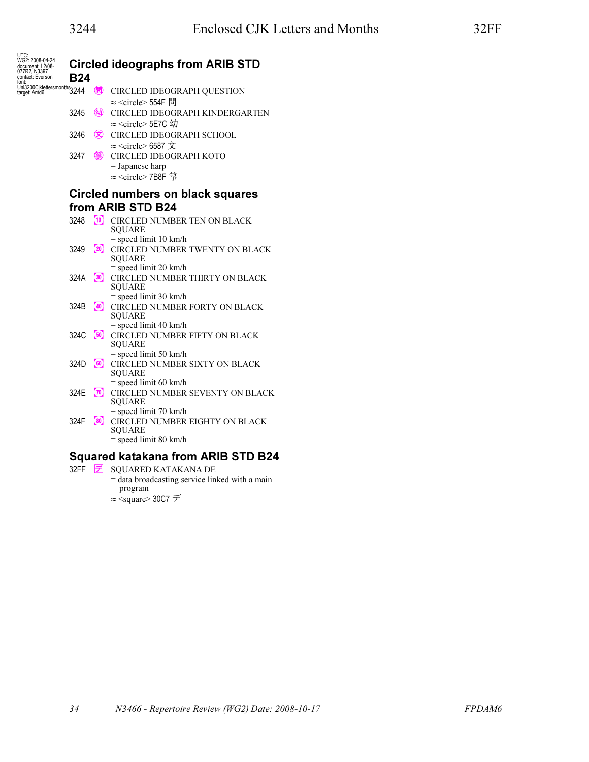| UTC:<br>WG2: 2008-04-24<br>document: L2/08- |            |                     | <b>Circled ideographs from ARIB STD</b>                    |
|---------------------------------------------|------------|---------------------|------------------------------------------------------------|
| 077R2, N3397<br>contact: Everson<br>font:   | <b>B24</b> |                     |                                                            |
| font:<br>Uni3200Cjklettersmonths<br>3244    |            | (問)                 | CIRCLED IDEOGRAPH QUESTION                                 |
|                                             |            |                     | $\approx$ <circle> 554F 問</circle>                         |
|                                             | 3245       | 幼                   | CIRCLED IDEOGRAPH KINDERGARTEN                             |
|                                             |            |                     | $\approx$ <circle> 5E7C <math>4\pi</math></circle>         |
|                                             | 3246       |                     | CIRCLED IDEOGRAPH SCHOOL                                   |
|                                             |            |                     | $\approx$ <circle> 6587 <math>\overline{X}</math></circle> |
|                                             | 3247       | 箏                   | CIRCLED IDEOGRAPH KOTO                                     |
|                                             |            |                     | $=$ Japanese harp                                          |
|                                             |            |                     | $\approx$ <circle>7B8F 箏</circle>                          |
|                                             |            |                     | <b>Circled numbers on black squares</b>                    |
|                                             |            |                     |                                                            |
|                                             |            |                     | from ARIB STD B24                                          |
|                                             | 3248       |                     | <sup>10</sup> CIRCLED NUMBER TEN ON BLACK<br><b>SQUARE</b> |
|                                             |            |                     | $=$ speed limit 10 km/h                                    |
|                                             | 3249       | (20)                | CIRCLED NUMBER TWENTY ON BLACK                             |
|                                             |            |                     | <b>SQUARE</b>                                              |
|                                             |            |                     | $=$ speed limit 20 km/h                                    |
|                                             | 324A       | $\left( 30 \right)$ | CIRCLED NUMBER THIRTY ON BLACK                             |
|                                             |            |                     | <b>SQUARE</b><br>$=$ speed limit 30 km/h                   |
|                                             | 324B       | (40)                | CIRCLED NUMBER FORTY ON BLACK                              |
|                                             |            |                     | <b>SQUARE</b>                                              |
|                                             |            |                     | $=$ speed limit 40 km/h                                    |
|                                             | 324C       | (50)                | CIRCLED NUMBER FIFTY ON BLACK                              |
|                                             |            |                     | <b>SQUARE</b>                                              |
|                                             |            |                     | $=$ speed limit 50 km/h                                    |
|                                             | 324D       | $\left[60\right]$   | CIRCLED NUMBER SIXTY ON BLACK<br><b>SQUARE</b>             |
|                                             |            |                     | $=$ speed limit 60 km/h                                    |
|                                             | 324E       | $\omega$            | CIRCLED NUMBER SEVENTY ON BLACK                            |
|                                             |            |                     | <b>SQUARE</b>                                              |
|                                             |            |                     | $=$ speed limit 70 km/h                                    |
|                                             | 324F       | $\left(80\right)$   | CIRCLED NUMBER EIGHTY ON BLACK                             |
|                                             |            |                     | <b>SQUARE</b><br>$=$ speed limit 80 km/h                   |
|                                             |            |                     |                                                            |
|                                             |            |                     | <b>Squared katakana from ARIB STD B24</b>                  |
|                                             | 32FF       | げ                   | SQUARED KATAKANA DE                                        |

= data broadcasting service linked with a main program

 $\approx$  <square> 30C7  $\neq$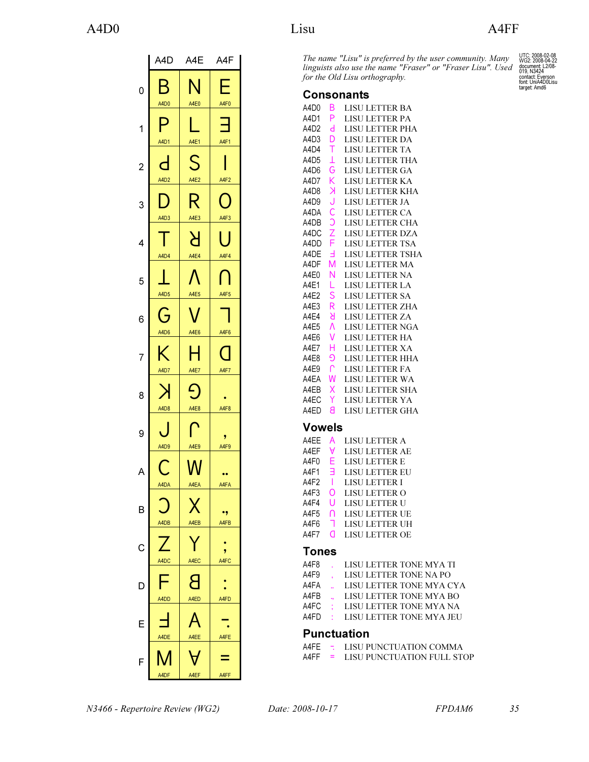|                | A4D A4E                         |                                 | A4F          |
|----------------|---------------------------------|---------------------------------|--------------|
| 0              | Β<br>A4D0                       | N<br>A4E0                       | F<br>A4F0    |
| 1              | P<br>A4D1                       | A4E1                            | Ø<br>A4F1    |
| $\overline{c}$ | $\overline{\mathsf{d}}$<br>A4D2 | S<br>A4E2                       | A4F2         |
| 3              | A4D3                            | R<br>A4E3                       | O<br>A4F3    |
| 4              | A4D4                            | H<br>A4E4                       | J.<br>A4F4   |
| 5              | A4D5                            |                                 | A4F5         |
| 6              | Ġ<br>A4D6                       | A4E5<br>A4E6                    | A4F6         |
| 7              | K                               | H                               | $\Box$       |
| 8              | A4D7<br>A4D8                    | A4E7<br>A4E8                    | A4F7<br>A4F8 |
| 9              | A4D9                            | A4E9                            | 9<br>A4F9    |
| A              | $\bigcap$<br>A4DA               | $\overline{\mathsf{W}}$<br>A4EA | œ<br>A4FA    |
| B              | A4DB                            | A4EB                            | .,<br>A4FB   |
| C              |                                 |                                 | 9            |
| Е              | A4DC                            | A4EC                            | A4FC         |
| E              | A4DD                            | A4ED                            | A4FD         |
| F              | A4DE<br>A4DF                    | A4EE<br>A4EF                    | A4FE<br>A4FF |

The name "Lisu" is preferred by the user community. Many linguists also use the name "Fraser" or "Fraser Lisu". Used for the Old Lisu orthography.

#### Consonants

| A4D0   | B             | <b>LISU LETTER BA</b>  |
|--------|---------------|------------------------|
| A4D1   | P             | <b>LISU LETTER PA</b>  |
| A4D2   | d             | <b>LISU LETTER PHA</b> |
| A4D3   | D             | <b>LISU LETTER DA</b>  |
| A4D4   | Τ             | <b>LISU LETTER TA</b>  |
| A4D5   | Τ             | <b>LISU LETTER THA</b> |
| A4D6   | G             | <b>LISU LETTER GA</b>  |
| A4D7   | K             | LISU LETTER KA         |
| A4D8   | K             | LISU LETTER KHA        |
| A4D9   | J             | <b>LISU LETTER JA</b>  |
| A4DA   | Ċ             | LISU LETTER CA         |
| A4DB   | Ć             | LISU LETTER CHA        |
| A4DC   | $\frac{Z}{F}$ | <b>LISU LETTER DZA</b> |
| A4DD   |               | <b>LISU LETTER TSA</b> |
| A4DE   | Е             | LISU LETTER TSHA       |
| A4DF   | М             | <b>LISU LETTER MA</b>  |
| A4E0   | N             | <b>LISU LETTER NA</b>  |
| A4E1   | L             | <b>LISU LETTER LA</b>  |
| A4E2   | S             | <b>LISU LETTER SA</b>  |
| A4E3   | R             | <b>LISU LETTER ZHA</b> |
| A4E4   | Я             | <b>LISU LETTER ZA</b>  |
| A4E5   | ٨             | LISU LETTER NGA        |
| A4E6   | V             | <b>LISU LETTER HA</b>  |
| A4E7   | H             | <b>LISU LETTER XA</b>  |
| A4E8   | G             | <b>LISU LETTER HHA</b> |
| A4E9   | ⋂             | <b>LISU LETTER FA</b>  |
| A4EA   | W             | <b>LISU LETTER WA</b>  |
| A4EB   | Χ             | <b>LISU LETTER SHA</b> |
| A4EC   | Y             | <b>LISU LETTER YA</b>  |
| A4ED   | Я             | <b>LISU LETTER GHA</b> |
| Vowels |               |                        |
|        |               | .<br>ex s              |

| A4EE | А | <b>LISU LETTER A</b>  |
|------|---|-----------------------|
| A4EF | А | LISU LETTER AE        |
| A4F0 | F | <b>LISU LETTER E</b>  |
| A4F1 | ㅋ | <b>LISU LETTER EU</b> |
| A4F2 | ı | <b>LISU LETTER I</b>  |
| A4F3 | 0 | LISU LETTER O         |
| A4F4 | U | LISU LETTER U         |
| A4F5 |   | <b>LISU LETTER UE</b> |
| A4F6 |   | <b>LISU LETTER UH</b> |
| A4F7 |   | LISU LETTER OE        |

#### Tones

| A4F8                            | LISU LETTER TONE MYA TI |
|---------------------------------|-------------------------|
| $\cdot$ $\cdot$ $\cdot$ $\cdot$ |                         |

- A4F9 , LISU LETTER TONE NA PO
- A4FA .. LISU LETTER TONE MYA CYA<br>A4FB .. LISU LETTER TONE MYA BO
- A4FB " LISU LETTER TONE MYA BO<br>A4FC : LISU LETTER TONE MYA NA
- A4FC ; LISU LETTER TONE MYA NA<br>A4FD : LISU LETTER TONE MYA JEU
- : LISU LETTER TONE MYA JEU

#### Punctuation

A4FE - LISU PUNCTUATION COMMA A4FF = LISU PUNCTUATION FULL STOP

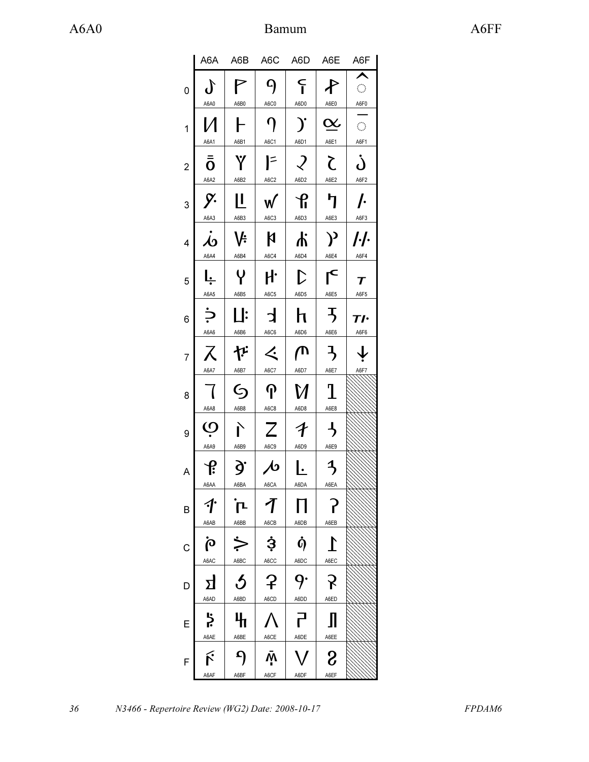## A6A0 Bamum Bamum A6FF

|   | A6A                              | A6B                                              | A6C                               | A6D A6E                            |                                  | A6F                                                                           |
|---|----------------------------------|--------------------------------------------------|-----------------------------------|------------------------------------|----------------------------------|-------------------------------------------------------------------------------|
| 0 | $\bm{\delta}$<br>A6A0            | P<br>A6B0                                        | $\mathbf{q}$<br>A6C0              | $\mathsf{F}$<br>A6D0               | ∕ि<br>A6E0                       | $\overline{\phantom{a}}$<br>$\mathcal{L}^{\mathcal{A}}$<br>$\underline{A6F0}$ |
| 1 | И                                | ┠                                                | $\boldsymbol{\eta}$               | $\mathbf{y}$                       | $\underline{\alpha}$             | $\hat{\mathcal{C}}$                                                           |
| 2 | A6A1<br>$\bar{\bar{o}}$          | A6B1<br>Ÿ                                        | A6C1<br>$\mathsf{I}^{\mathsf{=}}$ | A6D1<br>$\mathcal{L}$              | A6E1<br>$\zeta$                  | A6F1<br>Ċ                                                                     |
|   | A6A2                             | A6B2                                             | A6C2                              | A6D2                               | A6E2                             | A6F2                                                                          |
| 3 | y.<br>A6A3                       | <u> </u><br>A6B3                                 | W<br>A6C3                         | $\mathbf{f}$<br>A6D3               | ካ<br>A6E3                        | $\prime$<br>A6F3                                                              |
| 4 | $\overline{\mathcal{A}}$<br>A6A4 | V÷<br>A6B4                                       | $\boldsymbol{\mathsf{N}}$<br>A6C4 | よ<br>A6D4                          | $\mathcal{Y}$<br>A6E4            | <i> · </i> ·<br>A6F4                                                          |
| 5 | l <u>.</u>                       | Y                                                | ŀ                                 | $\mathcal{D}$                      | $\mathsf{L}^{\mathsf{C}}$        | $\boldsymbol{\tau}$                                                           |
| 6 | A6A5<br>$\div$                   | A6B5<br>$\mathbf{\mathbf{\mathord{\mathsf{L}}}}$ | A6C5<br>$\mathbf{d}$              | A6D5<br>h                          | A6E5<br>$\overline{5}$           | A6F5<br>Tŀ                                                                    |
| 7 | A6A6<br>ス                        | A6B6<br>だ                                        | A6C6<br>$\bm{\measuredangle}$     | A6D6<br>ጦ                          | A6E6<br>$\mathcal{F}$            | A6F6<br>$\overline{\mathbf{r}}$                                               |
| 8 | A6A7<br>$\overline{\mathcal{A}}$ | A6B7<br><u>(</u>                                 | A6C7<br>$\boldsymbol{\eta}$       | A6D7<br>M                          | A6E7<br>$\mathbf T$              | A6F7                                                                          |
| 9 | A6A8<br>Ò                        | A6B8<br>È                                        | A6C8<br>Z                         | A6D8<br>$\boldsymbol{\mathcal{F}}$ | A6E8<br>$\overline{\mathcal{A}}$ |                                                                               |
| A | A6A9<br>$\mathbf{f}$             | A6B9<br>g.                                       | A6C9<br>$\mathcal{A}$             | A6D9<br>Ŀ                          | A6E9<br>$\overline{\mathcal{F}}$ |                                                                               |
|   | A6AA                             | A6BA                                             | A6CA                              | A6DA                               | A6EA                             |                                                                               |
| B | ·<br>A6AB                        | $\mathbf{r}$<br>A6BB                             | 1<br>A6CB                         | Ħ<br>A6DB                          | $\mathbf{r}$<br>A6EB             |                                                                               |
| C | $\mathbf{\dot{\rho}}$<br>A6AC    | $\dot{\succ}$<br>A6BC                            | <u>Ş</u><br>A6CC                  | $\dot{0}$<br>A6DC                  | $\Gamma$<br>A6EC                 |                                                                               |
| D | ΣJ                               | $\boldsymbol{\mathcal{S}}$                       | ှာ                                | 9.                                 | $\mathcal{S}$                    |                                                                               |
| E | A6AD<br><b>}</b>                 | A6BD<br>4                                        | A6CD                              | A6DD<br>己<br>다                     | A6ED<br>Л                        |                                                                               |
|   | A6AE                             | A6BE                                             | A6CE                              | A6DE                               | A6EE                             |                                                                               |
| F | ŕ<br>A6AF                        | ၣ<br>A6BF                                        | ŅΝ<br>A6CF                        | $\bm{\mathcal{N}}$<br>A6DF         | $\delta$<br>A6EF                 |                                                                               |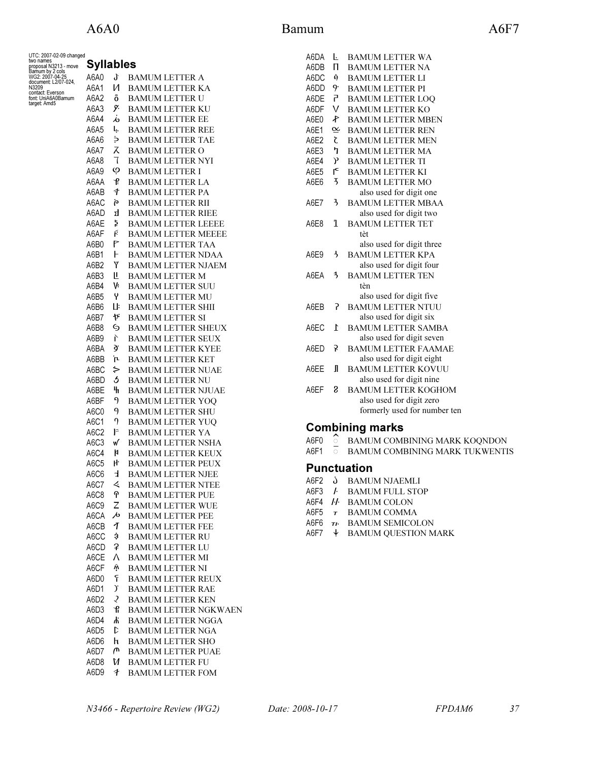| UTC: 2007-02-09 changed<br>two names<br>proposal N3213 - move | Syllables        |         |                                                    |
|---------------------------------------------------------------|------------------|---------|----------------------------------------------------|
| Bamum by 2 cols<br>WG2: 2007-04-25<br>document: L2/07-024,    | A6A0             | J       | BAMUM LETTER A                                     |
| N3209                                                         | A6A1             | N       | BAMUM LETTER KA                                    |
| contact: Everson<br>font: UniA6A0Bamum                        | A6A2             | ō       | <b>BAMUM LETTER U</b>                              |
| target: Amd5                                                  | A6A3             | y.      | <b>BAMUM LETTER KU</b>                             |
|                                                               | A6A4             | s       | <b>BAMUM LETTER EE</b>                             |
|                                                               | A6A5             | Ļ       | <b>BAMUM LETTER REE</b>                            |
|                                                               | A6A6             | خ       | <b>BAMUM LETTER TAE</b>                            |
|                                                               | A6A7             | λ       | <b>BAMUM LETTER O</b>                              |
|                                                               | A6A8             | ٦       | <b>BAMUM LETTER NYI</b>                            |
|                                                               | A6A9             | Ó       | <b>BAMUM LETTER I</b>                              |
|                                                               | A6AA             | Ք       | <b>BAMUM LETTER LA</b>                             |
|                                                               | A6AB             | F       | BAMUM LETTER PA                                    |
|                                                               | A6AC             | p       | BAMUM LETTER RII                                   |
|                                                               | A6AD             | ᄭ       | <b>BAMUM LETTER RIEE</b>                           |
|                                                               | A6AE             | ķ,      | BAMUM LETTER LEEEE                                 |
|                                                               | A6AF             | ŕ       | <b>BAMUM LETTER MEEEE</b>                          |
|                                                               | A6B0             | P       | <b>BAMUM LETTER TAA</b>                            |
|                                                               | A6B1             | F       | <b>BAMUM LETTER NDAA</b>                           |
|                                                               | A6B2             | Ϋ       | <b>BAMUM LETTER NJAEM</b>                          |
|                                                               | A6B3             | Ш<br>٧÷ | <b>BAMUM LETTER M</b>                              |
|                                                               | A6B4<br>A6B5     | Y       | <b>BAMUM LETTER SUU</b>                            |
|                                                               | A6B6             | Цŀ      | BAMUM LETTER MU<br>BAMUM LETTER SHII               |
|                                                               | A6B7             | が       | <b>BAMUM LETTER SI</b>                             |
|                                                               | A6B8             | G       | <b>BAMUM LETTER SHEUX</b>                          |
|                                                               | A6B9             | È       | <b>BAMUM LETTER SEUX</b>                           |
|                                                               | A6BA             | ğ.      | <b>BAMUM LETTER KYEE</b>                           |
|                                                               | A6BB             | Ւ       | BAMUM LETTER KET                                   |
|                                                               | A6BC             | ⊱       | <b>BAMUM LETTER NUAE</b>                           |
|                                                               | A6BD             | 5       | <b>BAMUM LETTER NU</b>                             |
|                                                               | A6BE             | 4       | <b>BAMUM LETTER NJUAE</b>                          |
|                                                               | A6BF             | J       | <b>BAMUM LETTER YOQ</b>                            |
|                                                               | A6C0             | 9       | <b>BAMUM LETTER SHU</b>                            |
|                                                               | A6C1             | 9       | BAMUM LETTER YUQ                                   |
|                                                               | A6C2             | F       | <b>BAMUM LETTER YA</b>                             |
|                                                               | A6C3             | w       | <b>BAMUM LETTER NSHA</b>                           |
|                                                               | A6C4             | N       | <b>BAMUM LETTER KEUX</b>                           |
|                                                               | A6C5             | ŀ۲      | <b>BAMUM LETTER PEUX</b>                           |
|                                                               | A6C6             | Ŀ       | <b>BAMUM LETTER NJEE</b>                           |
|                                                               | A6C7             | く       | <b>BAMUM LETTER NTEE</b>                           |
|                                                               | A6C8             | Պ       | <b>BAMUM LETTER PUE</b>                            |
|                                                               | A6C9             | Ζ<br>ゃ  | <b>BAMUM LETTER WUE</b><br><b>BAMUM LETTER PEE</b> |
|                                                               | A6CA<br>A6CB     | T       | <b>BAMUM LETTER FEE</b>                            |
|                                                               | A6CC             | \$      | <b>BAMUM LETTER RU</b>                             |
|                                                               | A6CD             | ₽       | <b>BAMUM LETTER LU</b>                             |
|                                                               | A6CE             | Λ       | <b>BAMUM LETTER MI</b>                             |
|                                                               | A6CF             | Ϋ́      | <b>BAMUM LETTER NI</b>                             |
|                                                               | A6D0             | ۴       | <b>BAMUM LETTER REUX</b>                           |
|                                                               | A6D1             | ).      | <b>BAMUM LETTER RAE</b>                            |
|                                                               | A6D <sub>2</sub> | 2       | <b>BAMUM LETTER KEN</b>                            |
|                                                               | A6D3             | ቶ       | <b>BAMUM LETTER NGKWAEN</b>                        |
|                                                               | A6D4             | Ψ       | <b>BAMUM LETTER NGGA</b>                           |
|                                                               | A6D <sub>5</sub> | D       | <b>BAMUM LETTER NGA</b>                            |
|                                                               | A6D6             | h       | <b>BAMUM LETTER SHO</b>                            |
|                                                               | A6D7             | ጦ       | <b>BAMUM LETTER PUAE</b>                           |
|                                                               | A6D8             | И       | <b>BAMUM LETTER FU</b>                             |
|                                                               | A6D9             | F       | <b>BAMUM LETTER FOM</b>                            |

| A6DA | ı.                      | <b>BAMUM LETTER WA</b>       |
|------|-------------------------|------------------------------|
| A6DB | П                       | <b>BAMUM LETTER NA</b>       |
| A6DC | ġ                       | <b>BAMUM LETTER LI</b>       |
| A6DD | 9.                      | <b>BAMUM LETTER PI</b>       |
| A6DE | 7                       | <b>BAMUM LETTER LOO</b>      |
| A6DF | $\vee$                  | <b>BAMUM LETTER KO</b>       |
| A6E0 | P                       | <b>BAMUM LETTER MBEN</b>     |
| A6E1 | $\underline{\alpha}$    | <b>BAMUM LETTER REN</b>      |
| A6E2 | <b>Z</b>                | <b>BAMUM LETTER MEN</b>      |
| A6E3 | ካ                       | <b>BAMUM LETTER MA</b>       |
| A6E4 | $\mathcal{V}$           | <b>BAMUM LETTER TI</b>       |
| A6E5 | Ľ                       | <b>BAMUM LETTER KI</b>       |
| A6E6 | $\overline{5}$          | <b>BAMUM LETTER MO</b>       |
|      |                         | also used for digit one      |
| A6F7 | $\overline{1}$          | <b>BAMUM LETTER MBAA</b>     |
|      |                         | also used for digit two      |
| A6F8 | T                       | <b>BAMUM LETTER TET</b>      |
|      |                         | tèt                          |
|      |                         | also used for digit three    |
| A6F9 | $\overline{a}$          | <b>BAMUM LETTER KPA</b>      |
|      |                         | also used for digit four     |
| A6FA | $\overline{\mathbf{3}}$ | <b>BAMUM LETTER TEN</b>      |
|      |                         | tèn                          |
|      |                         | also used for digit five     |
| A6EB | 5                       | <b>BAMUM LETTER NTUU</b>     |
|      |                         | also used for digit six      |
| A6FC | $\mathsf{L}$            | <b>BAMUM LETTER SAMBA</b>    |
|      |                         | also used for digit seven    |
| A6FD | ç                       | <b>BAMUM LETTER FAAMAE</b>   |
|      |                         | also used for digit eight    |
| A6EE | $\mathbf{I}$            | <b>BAMUM LETTER KOVUU</b>    |
|      |                         | also used for digit nine     |
| A6EF | 8                       | <b>BAMUM LETTER KOGHOM</b>   |
|      |                         | also used for digit zero     |
|      |                         | formerly used for number ten |
|      |                         | <b>Combining marks</b>       |
|      |                         |                              |

- A6F0  $\degree$  BAMUM COMBINING MARK KOQNDON
- A6F1  $\overline{\circ}$  BAMUM COMBINING MARK TUKWENTIS

### Punctuation

- A6F2 Ò BAMUM NJAEMLI
- A6F3 / BAMUM FULL STOP
- A6F4 *II* BAMUM COLON<br>A6F5 **7** BAMUM COMMA
- $\tau$  BAMUM COMMA
- A6F6 TI. BAMUM SEMICOLON
- A6F7  $\downarrow$  BAMUM QUESTION MARK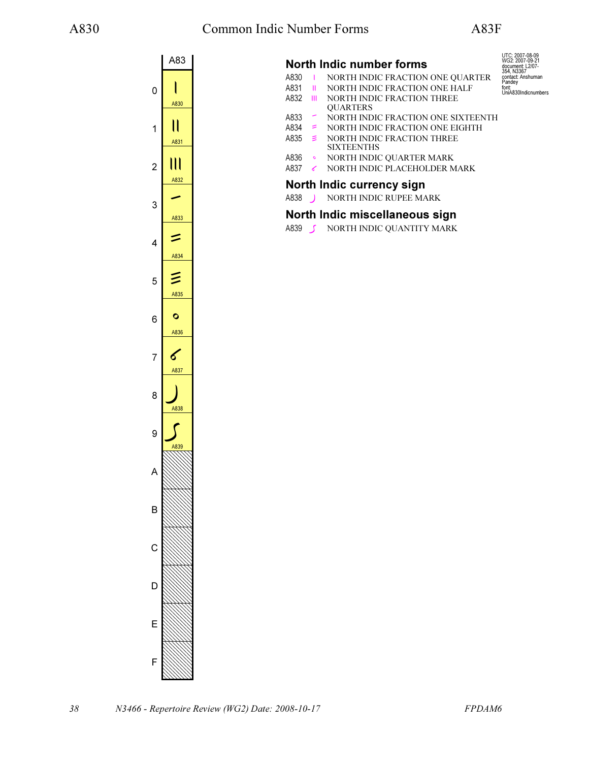UTC: 2007-08-09 WG2: 2007-09-21 document: L2/07- 354, N3367 contact: Anshuman

Pandey font: UniA830Indicnumbers



## North Indic number forms

- A830 I NORTH INDIC FRACTION ONE QUARTER<br>A831 II NORTH INDIC FRACTION ONE HALF
- **II** NORTH INDIC FRACTION ONE HALF
- A832 III NORTH INDIC FRACTION THREE **QUARTERS**
- A833 ꠳ NORTH INDIC FRACTION ONE SIXTEENTH
- A834  $\leq$  NORTH INDIC FRACTION ONE EIGHTH<br>A835  $\leq$  NORTH INDIC FRACTION THREE
	- NORTH INDIC FRACTION THREE
	- **SIXTEENTHS**
- A836 NORTH INDIC QUARTER MARK<br>A837 NORTH INDIC PLACEHOLDER M NORTH INDIC PLACEHOLDER MARK

#### North Indic currency sign

A838 NORTH INDIC RUPEE MARK

## North Indic miscellaneous sign

A839 **S** NORTH INDIC QUANTITY MARK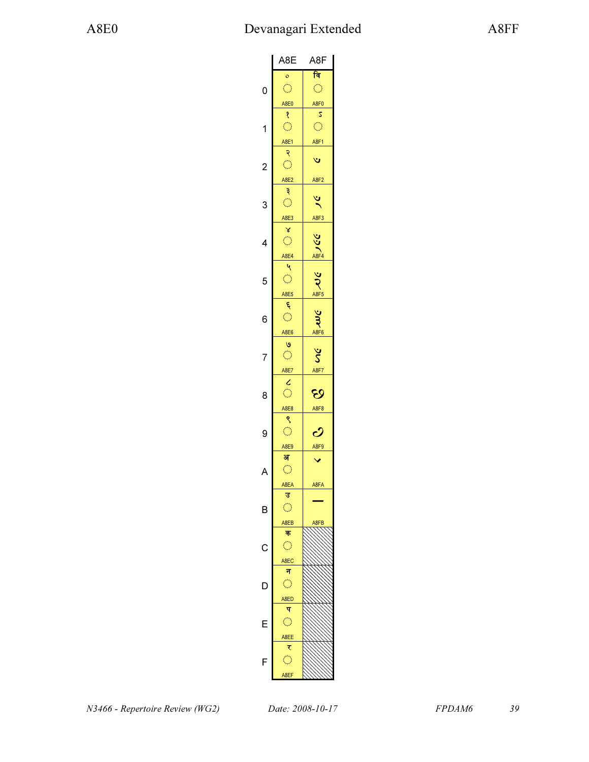|                | A8E                     | A8F                    |
|----------------|-------------------------|------------------------|
|                | $\circ$                 | <u>नि</u>              |
| 0              | $\bigcap$               | $\hat{\mathcal{C}}$    |
|                |                         |                        |
|                | A8E0                    | A8F0                   |
|                | १                       | 2                      |
| 1              | $\hat{\mathbb{C}}$      | Ô                      |
|                | A8E1                    | A8F1                   |
|                | २                       |                        |
|                |                         | ٣                      |
| $\overline{c}$ | $\bigcirc$              |                        |
|                | A8E2                    | A8F2                   |
|                | $\ddot{\mathbf{z}}$     |                        |
| 3              | $\hat{\mathcal{L}}$     | $\frac{3}{2}$          |
|                |                         |                        |
|                | A8E3                    | A8F3                   |
|                | γ                       |                        |
| 4              | $\hat{\mathbb{C}}$      |                        |
|                | A8E4                    |                        |
|                | ٩                       | VSC ASF4               |
|                | $\hat{\mathcal{C}}$     | $rac{1}{2}$            |
| 5              |                         |                        |
|                | A8E5                    |                        |
|                | Ę                       |                        |
| 6              | $\hat{\mathcal{L}}$     |                        |
|                | A8E6                    | Sm ve                  |
|                |                         |                        |
|                | $\circ$                 |                        |
| 7              | $\overline{\mathbb{C}}$ | $\mathcal{S}$          |
|                | A8E7                    | A8F7                   |
|                |                         |                        |
| 8              | $rac{c}{c}$             | છ                      |
|                |                         |                        |
|                | A8E8                    | A8F8                   |
|                | ९                       |                        |
| 9              | $\bigcirc$              | $\boldsymbol{\dot{C}}$ |
|                | A8E9                    | A8F9                   |
|                | अ                       |                        |
| A              | $\bigcirc$              |                        |
|                |                         |                        |
|                | A8EA                    | A8FA                   |
|                | उ                       |                        |
| B              | $\bigcirc$              |                        |
|                | A8EB                    | A8FB                   |
|                | क                       |                        |
|                |                         |                        |
| C              | Ō                       |                        |
|                | A8EC                    |                        |
|                | न                       |                        |
| D              | $\bigcirc$              |                        |
|                |                         |                        |
|                | A8ED                    |                        |
|                | प                       |                        |
| F              | $\bigcirc$              |                        |
|                | A8EE                    |                        |
|                | ₹                       |                        |
|                | $\overline{\mathbb{C}}$ |                        |
| F              |                         |                        |
|                | A8EF                    |                        |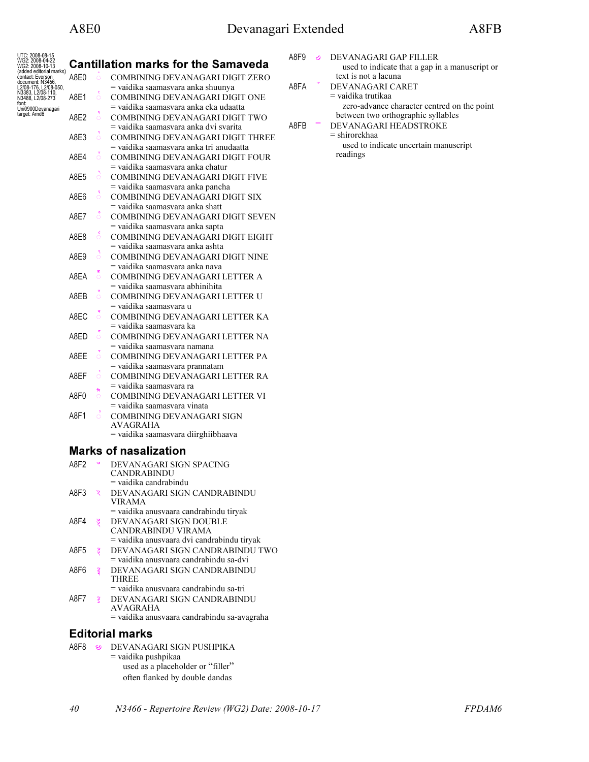| UTC: 2008-08-15                             |                             |         |                                                                   |
|---------------------------------------------|-----------------------------|---------|-------------------------------------------------------------------|
| WG2: 2008-04-22<br>WG2: 2008-10-13          |                             |         | <b>Cantillation marks for the Samaveda</b>                        |
| (added editorial marks)<br>contact: Everson | A8E0                        | $\circ$ | COMBINING DEVANAGARI DIGIT ZERO                                   |
| document: N3456<br>L2/08-176, L2/08-050,    |                             |         | = vaidika saamasvara anka shuunya                                 |
| N3383, L2/08-110,<br>N3488, L2/08-273       | A8E1                        | Ō       | COMBINING DEVANAGARI DIGIT ONE                                    |
| font:<br>Uni0900Devanagari                  |                             |         | = vaidika saamasvara anka eka udaatta                             |
| target: Amd6                                | A8E2                        | $\circ$ | COMBINING DEVANAGARI DIGIT TWO                                    |
|                                             |                             |         | = vaidika saamasvara anka dvi svarita                             |
|                                             | A8E3                        | $\circ$ | COMBINING DEVANAGARI DIGIT THREE                                  |
|                                             |                             |         | = vaidika saamasvara anka tri anudaatta                           |
|                                             | A8E4                        | Ö       | COMBINING DEVANAGARI DIGIT FOUR                                   |
|                                             |                             |         | = vaidika saamasvara anka chatur                                  |
|                                             | A8E5                        | Ö       | COMBINING DEVANAGARI DIGIT FIVE                                   |
|                                             |                             |         | = vaidika saamasvara anka pancha                                  |
|                                             | A8E6                        | Ö       | COMBINING DEVANAGARI DIGIT SIX                                    |
|                                             |                             |         | = vaidika saamasvara anka shatt                                   |
|                                             | A8E7                        | $\circ$ | COMBINING DEVANAGARI DIGIT SEVEN                                  |
|                                             |                             |         | = vaidika saamasvara anka sapta                                   |
|                                             | A8E8                        | $\circ$ | COMBINING DEVANAGARI DIGIT EIGHT                                  |
|                                             | A8F9                        |         | = vaidika saamasvara anka ashta                                   |
|                                             |                             | $\circ$ | COMBINING DEVANAGARI DIGIT NINE<br>= vaidika saamasvara anka nava |
|                                             | A8EA                        | Ö       | COMBINING DEVANAGARI LETTER A                                     |
|                                             |                             |         | = vaidika saamasvara abhinihita                                   |
|                                             | A8EB                        | O       | COMBINING DEVANAGARI LETTER U                                     |
|                                             |                             |         | = vaidika saamasvara u                                            |
|                                             | A8EC                        | $\circ$ | COMBINING DEVANAGARI LETTER KA                                    |
|                                             |                             |         | = vaidika saamasvara ka                                           |
|                                             | A8ED                        | $\circ$ | COMBINING DEVANAGARI LETTER NA                                    |
|                                             |                             |         | = vaidika saamasvara namana                                       |
|                                             | A8EE                        | $\circ$ | COMBINING DEVANAGARI LETTER PA                                    |
|                                             |                             |         | = vaidika saamasvara prannatam                                    |
|                                             | A8EF                        | Ö       | COMBINING DEVANAGARI LETTER RA                                    |
|                                             |                             |         | = vaidika saamasvara ra                                           |
|                                             | A8F0                        | बि<br>O | COMBINING DEVANAGARI LETTER VI                                    |
|                                             |                             |         | = vaidika saamasvara vinata                                       |
|                                             | A8F1                        | $\circ$ | COMBINING DEVANAGARI SIGN                                         |
|                                             |                             |         | AVAGRAHA                                                          |
|                                             |                             |         | = vaidika saamasvara diirghiibhaava                               |
|                                             |                             |         | <b>Marks of nasalization</b>                                      |
|                                             | A8F2                        |         | DEVANAGARI SIGN SPACING                                           |
|                                             |                             |         | CANDRABINDU                                                       |
|                                             |                             |         | $=$ vaidika candrabindu                                           |
|                                             | A8F3                        | ५       | DEVANAGARI SIGN CANDRABINDU                                       |
|                                             |                             |         | <b>VIRAMA</b>                                                     |
|                                             |                             |         | = vaidika anusvaara candrabindu tiryak                            |
|                                             | A8F4                        | 99.     | DEVANAGARI SIGN DOUBLE                                            |
|                                             |                             |         | CANDRABINDU VIRAMA                                                |
|                                             |                             |         | = vaidika anusvaara dvi candrabindu tiryak                        |
|                                             | $\triangle$ OF <sub>E</sub> |         | DEVANAGADI CICNICANDRA                                            |

|      | used to indicate that a gap in a manuscript or |
|------|------------------------------------------------|
|      | text is not a lacuna                           |
| A8FA | DEVANAGARI CARET                               |
|      | = vaidika trutikaa                             |
|      | zero-advance character centred on the point    |
|      | between two orthographic syllables             |
| A8FB | DEVANAGARI HEADSTROKE                          |
|      | $=$ shirorekhaa                                |
|      | used to indicate uncertain manuscript          |
|      | readings                                       |
|      |                                                |
|      |                                                |
|      |                                                |
|      |                                                |
|      |                                                |

A8F9  $\odot$  DEVANAGARI GAP FILLER

| A8F2 |                      | DEVANAGARI SIGN SPACING                    |
|------|----------------------|--------------------------------------------|
|      |                      | CANDRABINDU                                |
|      |                      | $=$ vaidika candrabindu                    |
| A8F3 | $\tilde{\mathbf{z}}$ | DEVANAGARI SIGN CANDRABINDU                |
|      |                      | <b>VIRAMA</b>                              |
|      |                      | = vaidika anusvaara candrabindu tirvak     |
| A8F4 | š                    | DEVANAGARI SIGN DOUBLE                     |
|      |                      | CANDRABINDU VIRAMA                         |
|      |                      | = vaidika anusvaara dvi candrabindu tiryak |
| A8F5 | उँ                   | DEVANAGARI SIGN CANDRABINDU TWO            |
|      |                      | = vaidika anusvaara candrabindu sa-dvi     |
| A8F6 | इ                    | DEVANAGARI SIGN CANDRABINDU                |
|      |                      | <b>THREE</b>                               |
|      |                      | = vaidika anusvaara candrabindu sa-tri     |
| A8F7 |                      | DEVANAGARI SIGN CANDRABINDU                |
|      |                      | AVAGRAHA                                   |
|      |                      |                                            |

= vaidika anusvaara candrabindu sa-avagraha

## Editorial marks

- A8F8 & DEVANAGARI SIGN PUSHPIKA
- = vaidika pushpikaa used as a placeholder or "filler" often flanked by double dandas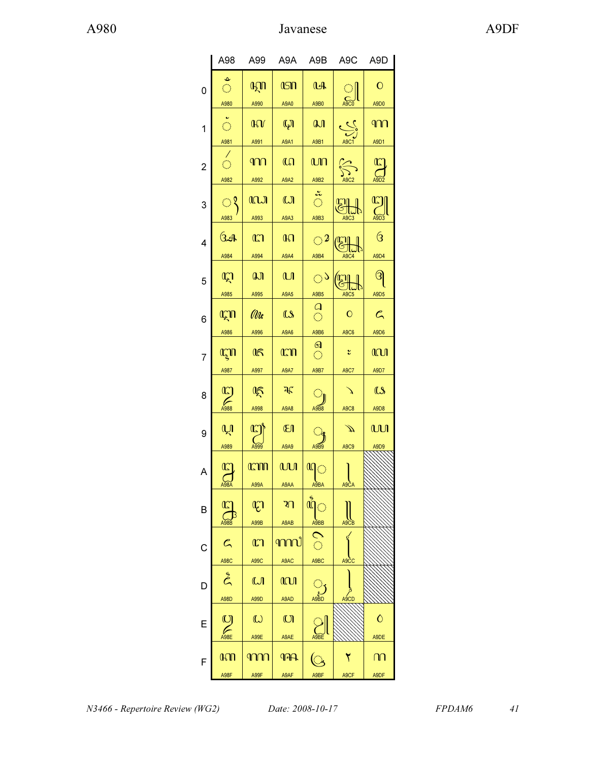|                | A98                                   | A99                    | A9A                          | A9B                             | A9C                               | A9D                                       |
|----------------|---------------------------------------|------------------------|------------------------------|---------------------------------|-----------------------------------|-------------------------------------------|
| 0              | $\bigcirc$<br>A980                    | <b>AZIT</b><br>A990    | <b>ISN</b><br>A9A0           | A<br>A9B0                       | C<br>A9C0                         | $\mathbf O$<br>A9D0                       |
| 1              | $\tilde{\circ}$<br>A981               | $\mathbf{W}$<br>A991   | $\mathbb{Q}$<br><b>A9A1</b>  | $\mathbf{a}$<br>A9B1            | $\frac{\frac{1}{2}}{\frac{1}{2}}$ | ി∩∩<br>A9D1                               |
| $\overline{2}$ | $\hat{\mathbb{C}}$<br>A982            | $\P$<br>A992           | $\mathbb{G}$<br>A9A2         | மா<br>A9B2                      | $\sum_{i=1}^{n}$<br>A9C2          | $\Omega$                                  |
| 3              | ्र<br>A983                            | <b>ICLJ</b><br>A993    | $\omega$<br>A9A3             | $rac{3}{\sqrt{2}}$<br>A9B3      | <b>CH</b><br>A9C3                 | $\mathbb{C}$<br>$\bigcup_{\mathsf{A9D3}}$ |
| 4              | ઉત્તમ<br>A984                         | $\mathbb{C}$<br>A994   | $\mathbb{R}$<br>A9A4         | $\bigcirc$ 2<br>A9B4            | A9C4                              | $\overline{\textbf{G}}$<br>A9D4           |
| 5              | $\mathbb{Q}$<br>A985                  | a<br>A995              | $\mathbf{u}$<br>A9A5         | $\bigcirc$<br>A9B5              | $\mathbb{E}$<br>A9C5              | ၛ<br>A9D <sub>5</sub>                     |
| 6              | <b>AZIT</b><br>A986                   | (Ule<br>A996           | $\mathbf{\Omega}$<br>A9A6    | $\frac{a}{c}$<br>A9B6           | $\mathbf{O}$<br>A9C6              | $\mathcal{C}$<br>A9D6                     |
| 7              | LAN                                   | $\mathbb{R}$           | <b>CON</b>                   | $\Omega$<br>$\langle \rangle$   | ័                                 | <b>CCU</b>                                |
| 8              | A987<br>$\mathbb{C}$                  | A997<br>医              | <b>A9A7</b><br>$\mathcal{F}$ | A9B7<br>ा                       | A9C7                              | A9D7<br>$\mathbf{\Omega}$                 |
| 9              | பி                                    | A998<br>$\overline{C}$ | A9A8<br><b>El</b>            | A9B8                            | A9C8<br>⊅                         | A9D8<br><b>WI</b>                         |
| A              | A989<br>$\mathbb{Z}$                  | A999<br><b>CODO</b>    | A9A9<br><b>WI</b>            | A9B9<br>யி $\circ$              | A9C9                              | A9D9                                      |
| B              | A98A<br>$\mathcal{L}_{\mathsf{A98B}}$ | A99A<br>$\mathbb{C}$   | A9AA<br>থা                   | A9BA<br>$\mathring{\mathbb{Q}}$ | A9CA                              |                                           |
| C              | $\mathcal{C}_{\mathsf{A}}$            | A99B<br>$\mathbb{C}$   | A9AB<br>൬൛                   | A9BB<br>$\mathcal{O}$           | A9CB                              |                                           |
| D              | A98C<br>$\tilde{\mathcal{E}}$         | A99C<br>$\mathbf{U}$   | A9AC<br><b>M</b>             | A9BC<br>े                       | A9CC                              |                                           |
| Ε              | A98D<br>$\sum_{\text{A98E}}$          | A99D<br>$\omega$       | A9AD<br>$\mathbb{O}$         | A9BD                            | A9CD                              | $\mathsf{\hat{O}}$                        |
|                | <b>GOD</b>                            | A99E<br>m              | A9AE<br><b>17A</b>           |                                 |                                   | A9DE<br>ന                                 |
| F              | A98F                                  | A99F                   | A9AF                         | $\overline{\mathbb{C}}$<br>A9BF | A9CF                              | A9DF                                      |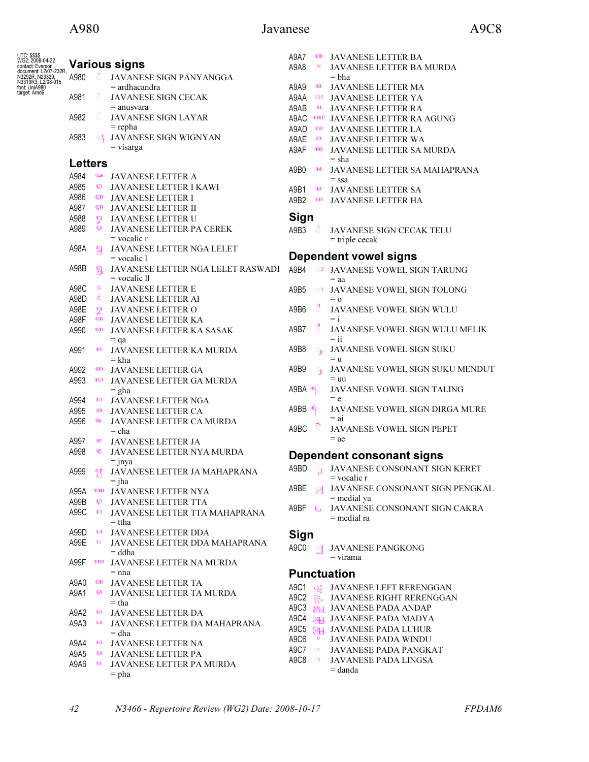## A980 Javanese A9C8

| <b>UTC: \$\$\$\$</b><br>WG2: 2008-04-22   |                |                 |                                                           | A9A7             | <b>CON</b>           | JAVANESE LETTER BA                                 |
|-------------------------------------------|----------------|-----------------|-----------------------------------------------------------|------------------|----------------------|----------------------------------------------------|
| contact: Everson<br>document: L2/07-232R, |                |                 | <b>Various signs</b>                                      | A9A8             | वह                   | <b>JAVANESE LETTER BA MURDA</b>                    |
| N3292R, N23329,<br>N3319R3, L2/08-015     | A980           |                 | JAVANESE SIGN PANYANGGA                                   |                  |                      | $= bha$                                            |
| font: UniA980<br>target: Amd6             | A981           | $\ddot{\circ}$  | $=$ ardhacandra<br>JAVANESE SIGN CECAK                    | A9A9<br>A9AA ww  | ŒΠ                   | JAVANESE LETTER MA                                 |
|                                           |                |                 | $=$ anusvara                                              | A9AB             | ্যা                  | JAVANESE LETTER YA<br>JAVANESE LETTER RA           |
|                                           | A982           | $\acute{o}$     | JAVANESE SIGN LAYAR                                       | A9AC mm          |                      | JAVANESE LETTER RA AGUNG                           |
|                                           |                |                 | $=$ repha                                                 | A9AD             | ന്ധേ                 | JAVANESE LETTER LA                                 |
|                                           | A983           | ୍               | JAVANESE SIGN WIGNYAN                                     | A9AE             | $\mathbf{C}$         | JAVANESE LETTER WA                                 |
|                                           |                |                 | $=$ visarga                                               | A9AF             | ୀୟର                  | JAVANESE LETTER SA MURDA                           |
|                                           | <b>Letters</b> |                 |                                                           |                  |                      | $=$ sha                                            |
|                                           | A984           | 64              | JAVANESE LETTER A                                         | A9B0             | LA.                  | JAVANESE LETTER SA MAHAPRANA                       |
|                                           | A985           | QQ.             | JAVANESE LETTER I KAWI                                    | A9B1             | வ                    | $=$ ssa                                            |
|                                           | A986           |                 | <b>ET JAVANESE LETTER I</b>                               | A9B <sub>2</sub> | $\mathbf{u}$         | JAVANESE LETTER SA<br>JAVANESE LETTER HA           |
|                                           | A987           |                 | <b>ET JAVANESE LETTER II</b>                              |                  |                      |                                                    |
|                                           | A988           | $\mathbb{Z}$    | JAVANESE LETTER U                                         | <b>Sign</b>      |                      |                                                    |
|                                           | A989           | oti             | JAVANESE LETTER PA CEREK                                  | A9B3             |                      | JAVANESE SIGN CECAK TELU                           |
|                                           |                |                 | $=$ vocalic $r$                                           |                  |                      | $=$ triple cecak                                   |
|                                           | A98A           | မြ              | JAVANESE LETTER NGA LELET                                 |                  |                      | <b>Dependent vowel signs</b>                       |
|                                           | A98B           |                 | $=$ vocalic 1<br>JAVANESE LETTER NGA LELET RASWADI        |                  |                      |                                                    |
|                                           |                | $\mathfrak{B}$  | $=$ vocalic $\Pi$                                         | A9B4             |                      | <sup>02</sup> JAVANESE VOWEL SIGN TARUNG<br>$=$ aa |
|                                           | A98C           | $\epsilon$      | JAVANESE LETTER E                                         | A9B5             | $\circ$              | JAVANESE VOWEL SIGN TOLONG                         |
|                                           | A98D           | $\zeta$         | JAVANESE LETTER AI                                        |                  |                      | $= 0$                                              |
|                                           | A98E           | <b>D</b>        | JAVANESE LETTER O                                         | A9B6             | $\int_{0}^{a}$       | JAVANESE VOWEL SIGN WULU                           |
|                                           | A98F           | am -            | JAVANESE LETTER KA                                        |                  |                      | $=$ i                                              |
|                                           | A990           | ogn             | JAVANESE LETTER KA SASAK                                  | A9B7             | ឹ                    | JAVANESE VOWEL SIGN WULU MELIK                     |
|                                           |                |                 | $=$ qa                                                    |                  |                      | $=$ ii                                             |
|                                           | A991           | <b>GCV</b>      | JAVANESE LETTER KA MURDA<br>$=$ kha                       | A9B8             | $\Theta_{\rm J}$     | JAVANESE VOWEL SIGN SUKU<br>$=$ $\mathbf{u}$       |
|                                           | A992           | ന്ന             | JAVANESE LETTER GA                                        | A9B9             | $\mathcal{A}$        | JAVANESE VOWEL SIGN SUKU MENDUT                    |
|                                           | A993           | m               | JAVANESE LETTER GA MURDA                                  |                  |                      | $=$ uu                                             |
|                                           |                |                 | $=$ gha                                                   |                  |                      | JAVANESE VOWEL SIGN TALING                         |
|                                           | A994           | m               | JAVANESE LETTER NGA                                       |                  |                      | $= e$                                              |
|                                           | A995           | வ               | JAVANESE LETTER CA                                        | A9BB             | $\mathfrak{a}_\circ$ | JAVANESE VOWEL SIGN DIRGA MURE                     |
|                                           | A996           | <i>Ob</i> e     | JAVANESE LETTER CA MURDA                                  | A9BC             | ်                    | $=$ ai<br>JAVANESE VOWEL SIGN PEPET                |
|                                           |                |                 | $=$ cha                                                   |                  |                      | $=$ ae                                             |
|                                           | A997<br>A998   | <b>165</b><br>Ķ | JAVANESE LETTER JA<br>JAVANESE LETTER NYA MURDA           |                  |                      |                                                    |
|                                           |                |                 | $=$ jnya                                                  |                  |                      | Dependent consonant signs                          |
|                                           | A999           | 쀵               | JAVANESE LETTER JA MAHAPRANA                              | A9BD             | $\Theta$             | JAVANESE CONSONANT SIGN KERET                      |
|                                           |                |                 | $=$ jha                                                   |                  |                      | $=$ vocalic r                                      |
|                                           | A99A           | <b>COU</b>      | JAVANESE LETTER NYA                                       | A9BE             | ା                    | JAVANESE CONSONANT SIGN PENGKAL                    |
|                                           | A99B           | G.              | JAVANESE LETTER TTA                                       | A9BF (a          |                      | $=$ medial ya<br>JAVANESE CONSONANT SIGN CAKRA     |
|                                           | A99C           | <b>COL</b>      | JAVANESE LETTER TTA MAHAPRANA                             |                  |                      | $=$ medial ra                                      |
|                                           | A99D           | M               | $=$ ttha<br>JAVANESE LETTER DDA                           |                  |                      |                                                    |
|                                           | A99E           | $\omega$        | JAVANESE LETTER DDA MAHAPRANA                             | Sign             |                      |                                                    |
|                                           |                |                 | $=$ ddha                                                  | A9C0             | $\frac{1}{2}$        | JAVANESE PANGKONG                                  |
|                                           | A99F           | ന്ന             | JAVANESE LETTER NA MURDA                                  |                  |                      | $=$ virama                                         |
|                                           |                |                 | $=$ nna                                                   |                  |                      | <b>Punctuation</b>                                 |
|                                           | A9A0           | <b>asn</b>      | <b>JAVANESE LETTER TA</b>                                 | A9C1             | ا کیک                | JAVANESE LEFT RERENGGAN                            |
|                                           | A9A1           | ąл              | <b>JAVANESE LETTER TA MURDA</b>                           | A9C2             | $\hat{\mathbb{S}}$   | JAVANESE RIGHT RERENGGAN                           |
|                                           |                |                 | $=$ tha                                                   | A9C3             | $H_{\mathbb{S}}$     | JAVANESE PADA ANDAP                                |
|                                           | A9A2<br>A9A3   | ណ<br>$\omega$   | <b>JAVANESE LETTER DA</b><br>JAVANESE LETTER DA MAHAPRANA | A9C4             | (四)                  | JAVANESE PADA MADYA                                |
|                                           |                |                 | $=$ dha                                                   | A9C5             | $\mathbb{R}$         | JAVANESE PADA LUHUR                                |
|                                           | A9A4           | ណ               | JAVANESE LETTER NA                                        | A9C6             | $\overline{O}$       | JAVANESE PADA WINDU                                |
|                                           | A9A5           | പ               | JAVANESE LETTER PA                                        | A9C7             |                      | JAVANESE PADA PANGKAT                              |
|                                           | A9A6           | <b>CS</b>       | JAVANESE LETTER PA MURDA                                  | A9C8             |                      | JAVANESE PADA LINGSA                               |
|                                           |                |                 | $=$ pha                                                   |                  |                      | = danda                                            |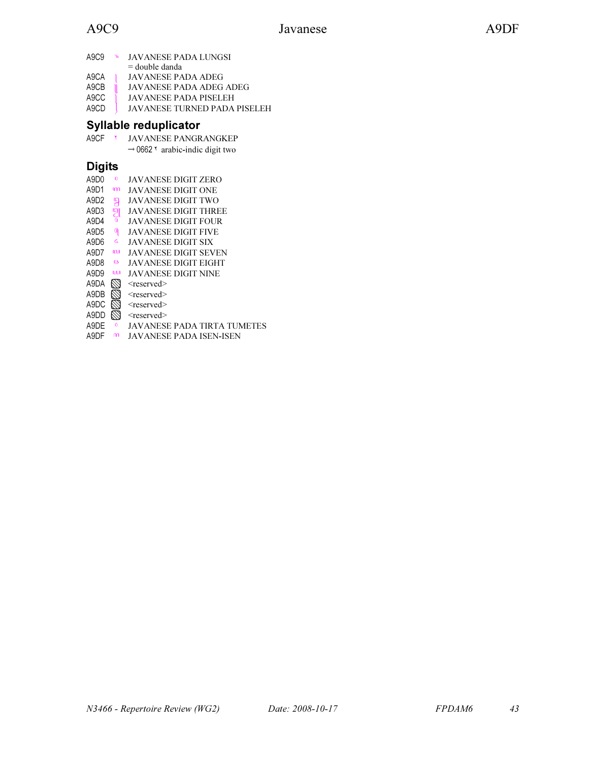| A9C9                          | Æ | JAVANESE PADA LUNGSI                |
|-------------------------------|---|-------------------------------------|
|                               |   | $=$ double danda                    |
| A9CA                          |   | <b>JAVANESE PADA ADEG</b>           |
| A <sub>9</sub> C <sub>B</sub> |   | <b>JAVANESE PADA ADEG ADEG</b>      |
| A9CC                          |   | JAVANESE PADA PISELEH               |
| A9CD                          |   | <b>JAVANESE TURNED PADA PISELEH</b> |

# Syllable reduplicator

| A9CF | <b>JAVANESE PANGRANGKEP</b>                              |  |
|------|----------------------------------------------------------|--|
|      | $\rightarrow$ 0662 $\overline{ }$ arabic-indic digit two |  |

# Digits

| A9D0             | $\overline{O}$ | JAVANESE DIGIT ZERO         |
|------------------|----------------|-----------------------------|
| A9D1             | າກາ            | JAVANESE DIGIT ONE          |
| A9D <sub>2</sub> | မျှ            | JAVANESE DIGIT TWO          |
| A9D3             | ğ              | JAVANESE DIGIT THREE        |
| A9D4             |                | JAVANESE DIGIT FOUR         |
| A9D5             | ရ              | JAVANESE DIGIT FIVE         |
| A9D6             | ς              | JAVANESE DIGIT SIX          |
| A9D7             | <b>COM</b>     | JAVANESE DIGIT SEVEN        |
| A9D8             | <b>CS</b>      | JAVANESE DIGIT EIGHT        |
| A9D9             | <b>uu</b>      | JAVANESE DIGIT NINE         |
| A9DA             | $\varnothing$  | <reserved></reserved>       |
| A9DB             | $\mathbb Z$    | $<$ reserved $>$            |
| A9DC             | $\varnothing$  | <reserved></reserved>       |
| A9DD             | $\mathbb Z$    | <reserved></reserved>       |
| A9DE             |                | JAVANESE PADA TIRTA TUMETES |
| A9DF             | m              | JAVANESE PADA ISEN-ISEN     |
|                  |                |                             |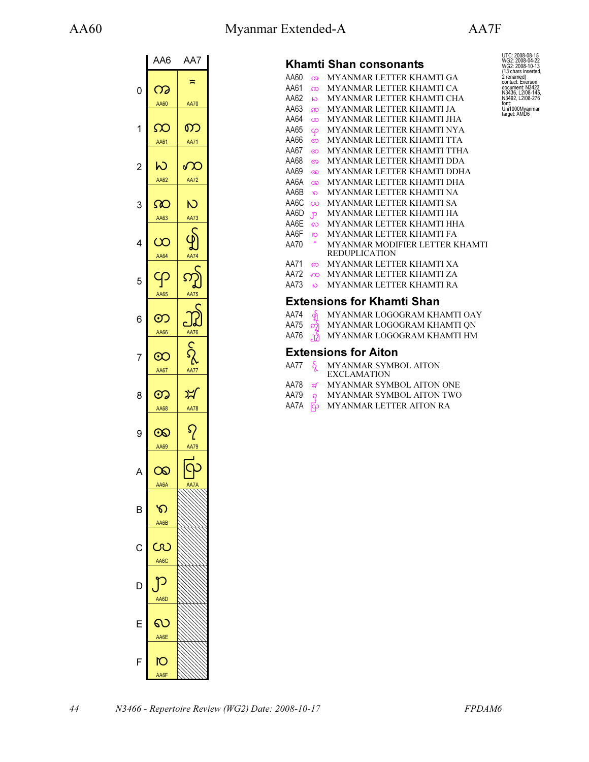# AA60 Myanmar Extended-A AA7F



UTC: 2008-08-15<br>WG2: 2008-04-22<br>WG2: 2008-04-22<br>(13 chars inserted,<br>2 renamed)<br>contact: Everson<br>document: N3423,<br>N3492, L2/08-276<br>font:<br>Uni1000Myanmar<br>Larget: AMD6

|                | AA6         | AA7                         |
|----------------|-------------|-----------------------------|
|                |             | ≈                           |
| 0              | က           |                             |
|                | AA60        | <b>AA70</b>                 |
|                |             |                             |
| 1              | ဢ           | ၮ                           |
|                | AA61        | <b>AA71</b>                 |
|                |             |                             |
| $\overline{c}$ | W           | $\sqrt{2}$                  |
|                | AA62        | <b>AA72</b>                 |
|                |             |                             |
| 3              | ဢ           | Ń                           |
|                | AA63        | AA73                        |
|                |             |                             |
| 4              | $\infty$    | $\overline{\mathcal{Y}}$    |
|                | AA64        | <b>AA74</b>                 |
|                |             |                             |
| 5              | ၯ           | $\overline{\mathsf{C}}$     |
|                | AA65        | d<br><b>AA75</b>            |
|                |             |                             |
| 6              | တ           |                             |
|                | AA66        | AA76                        |
|                |             |                             |
| 7              | $\infty$    | $\mathcal{S}_{\mathcal{C}}$ |
|                |             |                             |
|                | AA67        | AA77                        |
| 8              | တ           | ⊁∕                          |
|                | AA68        | AA78                        |
|                |             |                             |
| 9              | $\infty$    | ၵု                          |
|                | AA69        | AA79                        |
|                |             |                             |
| Д              | $\infty$    |                             |
|                |             |                             |
|                | AA6A        |                             |
| B              | ଚ           |                             |
|                |             |                             |
|                | AA6B        |                             |
|                |             |                             |
| C              | CR          |                             |
|                | AA6C        |                             |
|                |             |                             |
| D              |             |                             |
|                | AA6D        |                             |
|                |             |                             |
| F              | Ь           |                             |
|                | AA6E        |                             |
|                |             |                             |
| F              | O           |                             |
|                | <u>AA6F</u> |                             |
|                |             |                             |

|             |                    | Khamti Shan consonants                                        |
|-------------|--------------------|---------------------------------------------------------------|
| AA60        | က                  | <b>MYANMAR LETTER KHAMTI GA</b>                               |
| AA61        | ထ                  | MYANMAR LETTER KHAMTI CA                                      |
| AA62        | $\omega$           | <b>MYANMAR LETTER KHAMTI CHA</b>                              |
| AA63        | $\infty$           | <b>MYANMAR LETTER KHAMTI JA</b>                               |
| AA64        | $\infty$           | MYANMAR LETTER KHAMTI JHA                                     |
| AA65        | <b>SP</b>          | MYANMAR LETTER KHAMTI NYA                                     |
| AA66        | ഩ                  | MYANMAR LETTER KHAMTI TTA                                     |
| AA67        | $\infty$           | <b>MYANMAR LETTER KHAMTI TTHA</b>                             |
| AA68        | ഩ                  | MYANMAR LETTER KHAMTI DDA                                     |
| AA69        | $\infty$           | MYANMAR LETTER KHAMTI DDHA                                    |
| AA6A        | $\infty$           | <b>MYANMAR LETTER KHAMTI DHA</b>                              |
| AA6B        | ၹ                  | <b>MYANMAR LETTER KHAMTI NA</b>                               |
| AA6C        | $\infty$           | <b>MYANMAR LETTER KHAMTI SA</b>                               |
| AA6D        | $\mathbf{p}$       | MYANMAR LETTER KHAMTI HA                                      |
| AA6E        | လ                  | MYANMAR LETTER KHAMTI HHA                                     |
| AA6F        | $\overline{O}$     | <b>MYANMAR LETTER KHAMTI FA</b>                               |
| AA70        | $\approx$          | <b>MYANMAR MODIFIER LETTER KHAMTI</b><br><b>REDUPLICATION</b> |
| AA71        | ၮ                  | <b>MYANMAR LETTER KHAMTI XA</b>                               |
| AA72        | $\infty$           | <b>MYANMAR LETTER KHAMTI ZA</b>                               |
| AA73        | $\mathbf{C}$       | <b>MYANMAR LETTER KHAMTI RA</b>                               |
|             |                    | <b>Extensions for Khamti Shan</b>                             |
| AA74        | န                  | MYANMAR LOGOGRAM KHAMTI OAY                                   |
| AA75        | က်                 | MYANMAR LOGOGRAM KHAMTI ON                                    |
| AA76        | ת.                 | MYANMAR LOGOGRAM KHAMTI HM                                    |
|             |                    | <b>Extensions for Aiton</b>                                   |
| <b>AA77</b> | $\delta_{\lambda}$ | <b>MYANMAR SYMBOL AITON</b>                                   |
|             |                    | <b>EXCLAMATION</b>                                            |
| AA78        | ⊭ি                 | <b>MYANMAR SYMBOL AITON ONE</b>                               |
| AA79        | ၵ                  | <b>MYANMAR SYMBOL AITON TWO</b>                               |
| AA7A        | လြ                 | <b>MYANMAR LETTER AITON RA</b>                                |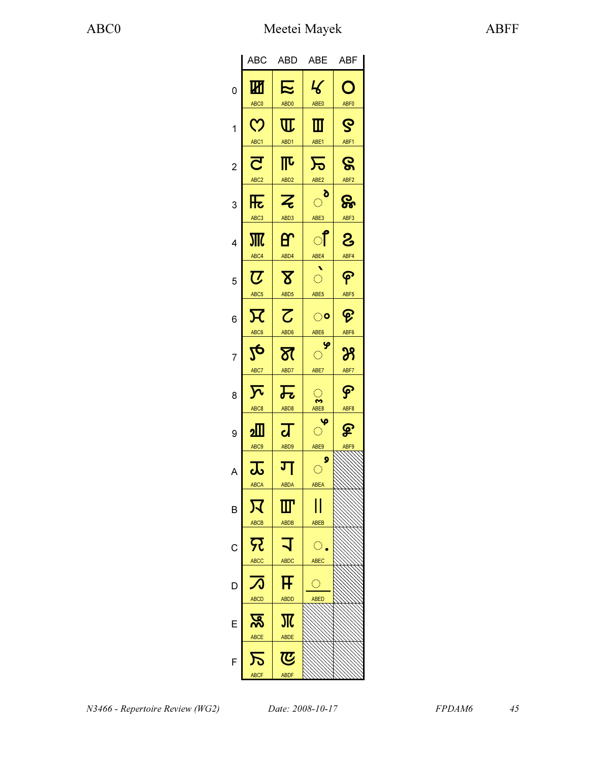|                | ABC                                         | <b>ABD</b>                                                | <b>ABE</b>                              | <b>ABF</b>                                           |
|----------------|---------------------------------------------|-----------------------------------------------------------|-----------------------------------------|------------------------------------------------------|
| 0              | $\overline{\mathbf{W}}$<br>ABC <sub>0</sub> | <b>N</b><br>ABD <sub>0</sub>                              | $\mathcal{L}$<br>ABE0                   | O<br>ABF <sub>0</sub>                                |
| 1              | <u>က</u><br>ABC1                            | $\mathrm{I}\!\mathrm{I}$<br>ABD1                          | ▥<br>ABE1                               | ဇွ<br>ABF1                                           |
| $\overline{c}$ | $\overline{\mathbf{C}}$<br>ABC <sub>2</sub> | $\overline{\mathbb{L}}$<br>ABD <sub>2</sub>               | $\overline{\mathcal{F}}$<br>ABE2        | ဇွ<br>ABF <sub>2</sub>                               |
| 3              | 压<br>ABC <sub>3</sub>                       | $\overline{z}$<br>ABD3                                    | ୖ<br>ABE3                               | ႙ၟ<br>ABF3                                           |
| 4              | 邪<br>ABC4                                   | ᢡ<br>ABD4                                                 | ੀ<br>ABE4                               | 8<br>ABF4                                            |
| 5              | $\overline{U}$<br>ABC <sub>5</sub>          | $\overline{\mathbf{X}}$<br>ABD <sub>5</sub>               | $\hat{\mathcal{O}}$<br>ABE <sub>5</sub> | န<br>ABF <sub>5</sub>                                |
| 6              | $\overline{\mathcal{H}}$<br>ABC6            | $\overline{\mathcal{C}}$<br>ABD6                          | ං<br>ABE <sub>6</sub>                   | କ<br>ABF <sub>6</sub>                                |
| 7              | <mark>2</mark> р<br>ABC7                    | স্ত<br>ABD7                                               | $\frac{1}{2}$<br>ABE7                   | $\mathcal{B}% _{0}=\mathcal{A}_{\mathrm{C}}$<br>ABF7 |
| 8              | $\overline{\Sigma}$<br>ABC <sub>8</sub>     | 忈<br>ABD <sub>8</sub>                                     | $\bigcirc$<br>S<br>ABE8                 | <u>କ</u><br>ABF <sub>8</sub>                         |
| 9              | ء∭<br>ABC <sub>9</sub>                      | $\overline{\mathbf{d}}$<br>ABD9                           | Ψ<br>$\mathbb{C}^{\infty}$<br>ABE9      | ௐ<br>ABF9                                            |
| A              | __<br><u>ಒ</u><br><b>ABCA</b>               | ग<br><b>ABDA</b>                                          | 9<br>$\bigcirc$<br><b>ABEA</b>          |                                                      |
| B              | 又<br>ABCB                                   | Ш<br><b>ABDB</b>                                          | ABEB                                    |                                                      |
| С              | 冗<br><b>ABCC</b>                            | <b>ABDC</b>                                               | $\bigcirc$ .<br><b>ABEC</b>             |                                                      |
| D              | A                                           | F                                                         | O                                       |                                                      |
| E              | <b>ABCD</b><br>န္တ                          | ABDD<br>Ж                                                 | ABED                                    |                                                      |
| F              | ABCE<br><b>ABCF</b>                         | <b>ABDE</b><br>$\boldsymbol{\overline{C}}$<br><b>ABDF</b> |                                         |                                                      |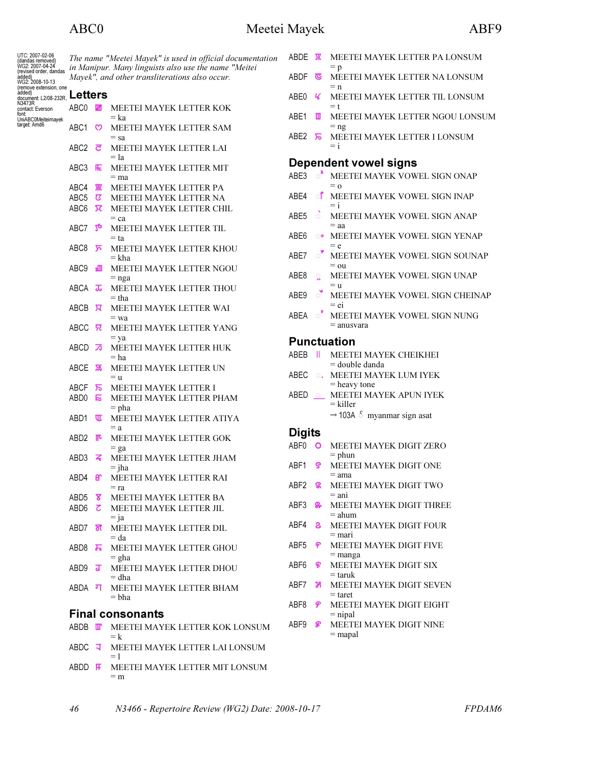## ABC0 Meetei Mayek ABF9

| UTC: 2007-02-06<br>(dandas removed)                                                                                              |                                                |                            | The name "Meetei Mayek" is used in official documentation<br>in Manipur. Many linguists also use the name "Meitei | ABDE             | Т                     | <b>MEETE</b>              |
|----------------------------------------------------------------------------------------------------------------------------------|------------------------------------------------|----------------------------|-------------------------------------------------------------------------------------------------------------------|------------------|-----------------------|---------------------------|
| WG2: 2007-04-24<br>(revised order, dandas<br>added)<br>WG2: 2008-10-13<br>(remove extension, one<br>document L2/08-232R, Letters | Mayek", and other transliterations also occur. |                            | ABDF                                                                                                              | ভ                | $= p$<br><b>MEETE</b> |                           |
|                                                                                                                                  |                                                |                            |                                                                                                                   | ABE0             | ч                     | $= n$<br><b>MEETE</b>     |
| contact: Everson<br>font:<br>UniABC0Meiteimayek                                                                                  | ABC0                                           | W                          | MEETEI MAYEK LETTER KOK<br>= ka                                                                                   | ABE1             | Ш                     | $=$ t<br><b>MEETE</b>     |
| target: Amd6                                                                                                                     | ABC <sub>1</sub>                               | ო                          | MEETEI MAYEK LETTER SAM<br>$=$ sa                                                                                 | ABE2             | ਸ਼                    | $=$ ng<br><b>MEETE</b>    |
|                                                                                                                                  | ABC <sub>2</sub>                               | ਟ                          | MEETEI MAYEK LETTER LAI<br>$=$ la                                                                                 |                  |                       | $=$ i                     |
|                                                                                                                                  | ABC3                                           | 厒                          | MEETEI MAYEK LETTER MIT                                                                                           |                  |                       | Dependent vo              |
|                                                                                                                                  |                                                |                            | $=$ ma                                                                                                            | ABE3             | ి                     | <b>MEETE</b><br>$= 0$     |
|                                                                                                                                  | ABC4<br>ABC <sub>5</sub>                       | Ж<br>$\boldsymbol{\sigma}$ | MEETEI MAYEK LETTER PA<br>MEETEI MAYEK LETTER NA                                                                  | ABE4             | ा                     | <b>MEETE</b>              |
|                                                                                                                                  | ABC <sub>6</sub>                               | ਸ                          | MEETEI MAYEK LETTER CHIL                                                                                          |                  |                       | $=$ i                     |
|                                                                                                                                  |                                                |                            | $=$ ca                                                                                                            | ABE5             | $\circ$               | <b>MEETE</b><br>$=$ aa    |
|                                                                                                                                  | ABC7                                           | $2\phi$                    | MEETEI MAYEK LETTER TIL<br>$= ta$                                                                                 | ABE6             | ଂ                     | <b>MEETE</b>              |
|                                                                                                                                  | ABC8                                           | ⊼                          | MEETEI MAYEK LETTER KHOU                                                                                          |                  |                       | $= e$                     |
|                                                                                                                                  |                                                |                            | $=$ kha                                                                                                           | ABE7             | ଁ                     | <b>MEETE</b>              |
|                                                                                                                                  | ABC <sub>9</sub>                               | ᇒ                          | MEETEI MAYEK LETTER NGOU                                                                                          |                  |                       | $=$ ou                    |
|                                                                                                                                  |                                                |                            | $=$ nga                                                                                                           | ABE8             | ō                     | <b>MEETE</b>              |
|                                                                                                                                  | ABCA                                           | ᠼ                          | MEETEI MAYEK LETTER THOU<br>$=$ tha                                                                               | ABE9             | ି                     | $=$ u<br><b>MEETE</b>     |
|                                                                                                                                  | ABCB                                           | ਸ਼                         | MEETEI MAYEK LETTER WAI                                                                                           |                  |                       | $=$ ei                    |
|                                                                                                                                  |                                                |                            | $=$ wa                                                                                                            | ABEA             | ੰ                     | <b>MEETE</b>              |
|                                                                                                                                  | ABCC                                           | 요                          | MEETEI MAYEK LETTER YANG                                                                                          |                  |                       | $=$ anusva                |
|                                                                                                                                  |                                                |                            | $=$ ya                                                                                                            |                  |                       | <b>Punctuation</b>        |
|                                                                                                                                  | ABCD                                           | ∞                          | MEETEI MAYEK LETTER HUK<br>$=$ ha                                                                                 | ABEB             | Ш                     | <b>MEETE</b>              |
|                                                                                                                                  | ABCE                                           | ষ্ক                        | MEETEI MAYEK LETTER UN                                                                                            | ABEC             |                       | = double<br><b>MEETE</b>  |
|                                                                                                                                  |                                                |                            | $=$ u                                                                                                             |                  | $\circ$ .             | $=$ heavy                 |
|                                                                                                                                  | ABCF<br>ABD <sub>0</sub>                       | ᠊ᠷ<br>E                    | MEETEI MAYEK LETTER I<br>MEETEI MAYEK LETTER PHAM                                                                 | ABED             | $\circ$               | <b>MEETE</b>              |
|                                                                                                                                  |                                                |                            | $=$ pha                                                                                                           |                  |                       | = killer                  |
|                                                                                                                                  | ABD1                                           | ℼ                          | MEETEI MAYEK LETTER ATIYA                                                                                         |                  |                       | $\rightarrow$ 103A        |
|                                                                                                                                  |                                                |                            | $= a$                                                                                                             | <b>Digits</b>    |                       |                           |
|                                                                                                                                  | ABD <sub>2</sub>                               | ℼ                          | MEETEI MAYEK LETTER GOK                                                                                           | ABF0             | $\circ$               | <b>MEETE</b>              |
|                                                                                                                                  | ABD3                                           | z                          | $=$ ga<br>MEETEI MAYEK LETTER JHAM                                                                                |                  |                       | $=$ phun                  |
|                                                                                                                                  |                                                |                            | $=$ jha                                                                                                           | ABF1             | ဇွ                    | <b>MEETE</b>              |
|                                                                                                                                  | ABD4 <b>er</b>                                 |                            | MEETEI MAYEK LETTER RAI                                                                                           |                  |                       | $=$ ama                   |
|                                                                                                                                  |                                                |                            | $=$ ra                                                                                                            | ABF2             | ႜႜႜႜႜ                 | <b>MEETE</b>              |
|                                                                                                                                  | ABD5 <b>8</b>                                  |                            | MEETEI MAYEK LETTER BA                                                                                            | ABF3             |                       | $=$ ani                   |
|                                                                                                                                  | ABD6                                           |                            | <b>Z</b> MEETEI MAYEK LETTER JIL                                                                                  |                  | ௐ                     | <b>MEETE</b><br>$=$ ahum  |
|                                                                                                                                  | ABD7                                           | স্ত                        | $=$ ja<br>MEETEI MAYEK LETTER DIL                                                                                 | ABF4             | ౭                     | <b>MEETE</b>              |
|                                                                                                                                  |                                                |                            | $= da$                                                                                                            |                  |                       | $=$ mari                  |
|                                                                                                                                  | ABD8                                           | ᠼ                          | MEETEI MAYEK LETTER GHOU                                                                                          | ABF5             | န                     | <b>MEETE</b>              |
|                                                                                                                                  |                                                |                            | $=$ gha                                                                                                           |                  |                       | $=$ manga                 |
|                                                                                                                                  | ABD9                                           | ग्र                        | MEETEI MAYEK LETTER DHOU                                                                                          | ABF <sub>6</sub> | ନ୍ତ                   | <b>MEETE</b><br>$=$ taruk |
|                                                                                                                                  |                                                |                            | $=$ dha                                                                                                           | ABF7             | Ж.                    | <b>MEETE</b>              |
|                                                                                                                                  | ABDA 피                                         |                            | MEETEI MAYEK LETTER BHAM<br>$= bha$                                                                               |                  |                       | $=$ taret                 |
|                                                                                                                                  |                                                |                            |                                                                                                                   | ABF8             | နှ                    | <b>MEETE</b>              |
|                                                                                                                                  |                                                |                            | <b>Final consonants</b>                                                                                           |                  |                       | $=$ nipal                 |
|                                                                                                                                  | ABDB III                                       |                            | MEETEI MAYEK LETTER KOK LONSUM                                                                                    | ABF9             | ଛ                     | <b>MEETE</b><br>$=$ mapal |
|                                                                                                                                  |                                                |                            | $=$ k                                                                                                             |                  |                       |                           |
|                                                                                                                                  | ABDC 국                                         |                            | MEETEI MAYEK LETTER LAI LONSUM<br>$= 1$                                                                           |                  |                       |                           |
|                                                                                                                                  |                                                |                            | ABDD F MEETEI MAYEK LETTER MIT LONSUM                                                                             |                  |                       |                           |

**I MAYEK LETTER PA LONSUM** I MAYEK LETTER NA LONSUM **I MAYEK LETTER TIL LONSUM** I MAYEK LETTER NGOU LONSUM I MAYEK LETTER I LONSUM owel signs **I MAYEK VOWEL SIGN ONAP I MAYEK VOWEL SIGN INAP I MAYEK VOWEL SIGN ANAP** I MAYEK VOWEL SIGN YENAP I MAYEK VOWEL SIGN SOUNAP **I MAYEK VOWEL SIGN UNAP I MAYEK VOWEL SIGN CHEINAP** I MAYEK VOWEL SIGN NUNG ara **I MAYEK CHEIKHEI** danda **HEREADER ELUM IYEK** tone. **I MAYEK APUN IYEK**  103A \$် myanmar sign asat **I MAYEK DIGIT ZERO I MAYEK DIGIT ONE I MAYEK DIGIT TWO I MAYEK DIGIT THREE I MAYEK DIGIT FOUR** I MAYEK DIGIT FIVE

- **I MAYEK DIGIT SIX**
- **I MAYEK DIGIT SEVEN**
- **I MAYEK DIGIT EIGHT** 
	- **I MAYEK DIGIT NINE**

 $=$  m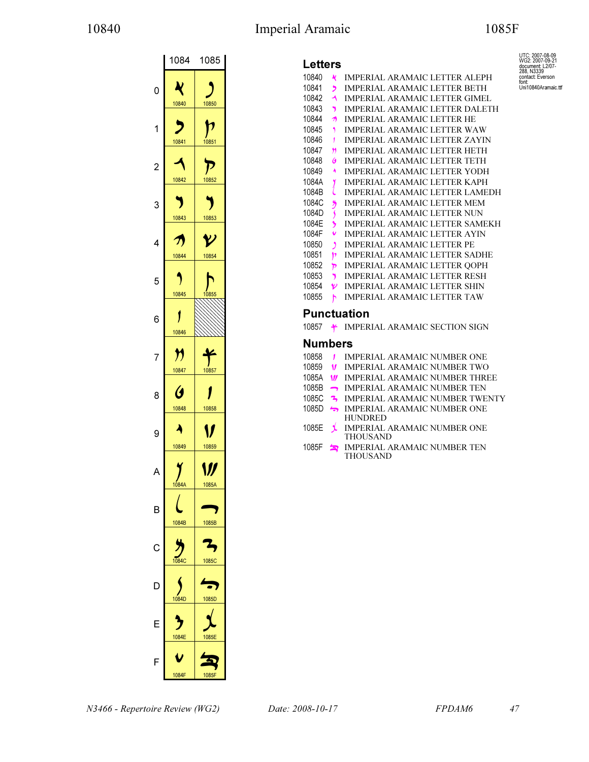## 10840 Imperial Aramaic 1085F

UTC: 2007-08-09 WG2: 2007-09-21 document: L2/07- 288, N3339 contact: Everson font: Uni10840Aramaic.ttf

|                | 1084                           | 1085                                |
|----------------|--------------------------------|-------------------------------------|
| 0              | K<br>10840                     | 10850                               |
| 1              | 10841                          | 10851                               |
| $\overline{c}$ | 10842                          | 10852                               |
| 3              | 10843                          | 10853                               |
| 4              | Λ<br>10844                     | $\boldsymbol{\mathcal{V}}$<br>10854 |
| 5              | 10845                          | 10855                               |
| 6              | 10846                          |                                     |
| 7              | $\bm{\eta}$<br>10847           | 10857                               |
| 8              | $\boldsymbol{\theta}$<br>10848 | 10858                               |
| 9              | 10849                          | 10859                               |
|                |                                | V)                                  |
| B              | 1084A                          | $\frac{1085A}{2}$                   |
| C              | 1084B                          | 1085B                               |
| D              | 1084C                          | 1085C                               |
| F              | 1084D                          | 1085D                               |
| F              | 1084E<br>1084F                 | 1085E<br>1085F                      |

### Letters

| LCLLCI J |               |                                       |
|----------|---------------|---------------------------------------|
| 10840    | N             | <b>IMPERIAL ARAMAIC LETTER ALEPH</b>  |
| 10841    | י             | <b>IMPERIAL ARAMAIC LETTER BETH</b>   |
| 10842    | ◀             | IMPERIAL ARAMAIC LETTER GIMEL         |
| 10843    | י             | IMPERIAL ARAMAIC LETTER DALETH        |
| 10844    | ヵ             | IMPERIAL ARAMAIC LETTER HE            |
| 10845    | ۹             | <b>IMPERIAL ARAMAIC LETTER WAW</b>    |
| 10846    | 1             | <b>IMPERIAL ARAMAIC LETTER ZAYIN</b>  |
| 10847    | n             | IMPERIAL ARAMAIC LETTER HETH          |
| 10848    | G             | <b>IMPERIAL ARAMAIC LETTER TETH</b>   |
| 10849    | ۸             | <b>IMPERIAL ARAMAIC LETTER YODH</b>   |
| 1084A    | Y             | <b>IMPERIAL ARAMAIC LETTER KAPH</b>   |
| 1084B    |               | <b>IMPERIAL ARAMAIC LETTER LAMEDH</b> |
| 1084C    | 3             | <b>IMPERIAL ARAMAIC LETTER MEM</b>    |
| 1084D    | $\mathbf{\S}$ | IMPERIAL ARAMAIC LETTER NUN           |
| 1084E    | ,             | IMPERIAL ARAMAIC LETTER SAMEKH        |
| 1084F    | v             | IMPERIAL ARAMAIC LETTER AYIN          |
| 10850    | $\mathbf{A}$  | <b>IMPERIAL ARAMAIC LETTER PE</b>     |
| 10851    | þ             | <b>IMPERIAL ARAMAIC LETTER SADHE</b>  |
| 10852    | চ             | IMPERIAL ARAMAIC LETTER QOPH          |
| 10853    | Y.            | <b>IMPERIAL ARAMAIC LETTER RESH</b>   |
| 10854    | V             | <b>IMPERIAL ARAMAIC LETTER SHIN</b>   |
| 10855    | h             | IMPERIAL ARAMAIC LETTER TAW           |

## Punctuation

10857  $\div$  IMPERIAL ARAMAIC SECTION SIGN

### Numbers

| 10858 | IMPERIAL ARAMAIC NUMBER ONE |
|-------|-----------------------------|
|       |                             |

- 10859 **V** IMPERIAL ARAMAIC NUMBER TWO
- 1085A **W** IMPERIAL ARAMAIC NUMBER THREE
- 1085B IMPERIAL ARAMAIC NUMBER TEN
- 1085C <sup>2</sup> IMPERIAL ARAMAIC NUMBER TWENTY
- 1085D IMPERIAL ARAMAIC NUMBER ONE HUNDRED
- 1085E **J** IMPERIAL ARAMAIC NUMBER ONE THOUSAND
- 1085F IMPERIAL ARAMAIC NUMBER TEN THOUSAND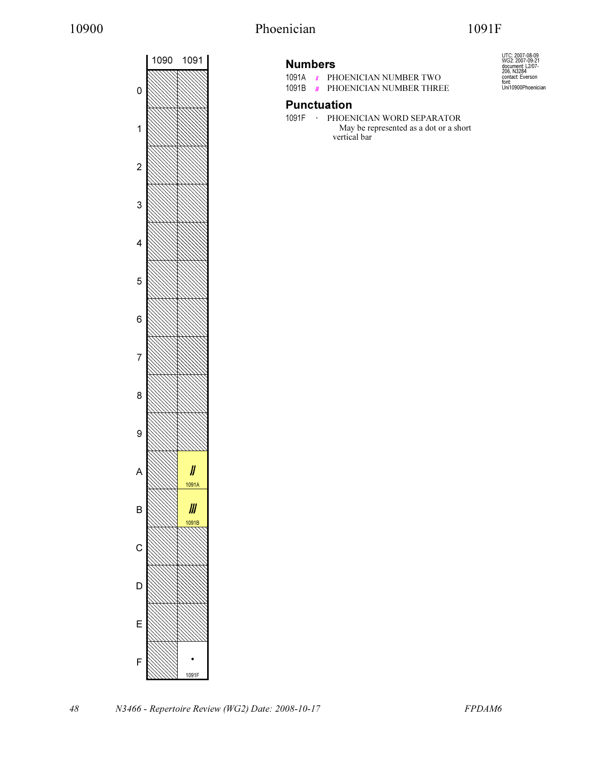# 10900 Phoenician 1091F



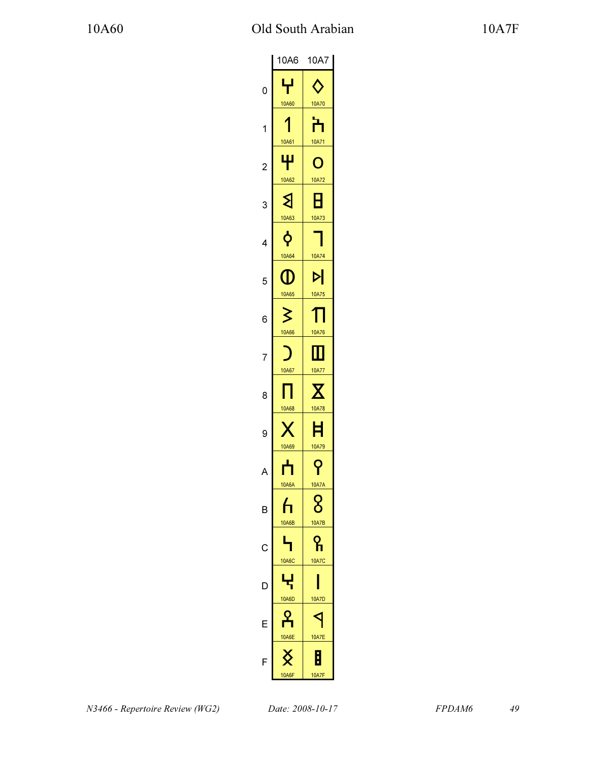|                | 10A6                         | 10A7                         |
|----------------|------------------------------|------------------------------|
| 0              | ᆛ<br>10A60                   | 10A70                        |
| 1              | 10A61                        | 10A71                        |
| $\overline{c}$ |                              | O                            |
| 3              | 10A62<br>ଽ                   | 10A72<br>Н                   |
| 4              | 10A63                        | 10A73                        |
| 5              | 10A64<br>O                   | 10A74<br>d                   |
| 6              | 10A65<br>ζ                   | 10A75                        |
|                | 10A66                        | 10A76                        |
| 8              | 10A67                        | 10A77                        |
| 9              | 10A68                        | 10A78<br>E                   |
|                | 10A69                        | 10A79<br>ဝှ                  |
| B              | <b>10A6A</b><br><u>հ</u>     | <b>10A7A</b><br>8            |
| C              | <b>10A6B</b>                 | <b>10A7B</b><br><u>ရ</u>     |
| D              | <b>10A6C</b><br>Ę            | <b>10A7C</b>                 |
| E              | <b>10A6D</b>                 | <b>10A7D</b>                 |
| F              | <b>10A6E</b><br><b>10A6F</b> | <b>10A7E</b><br><b>10A7F</b> |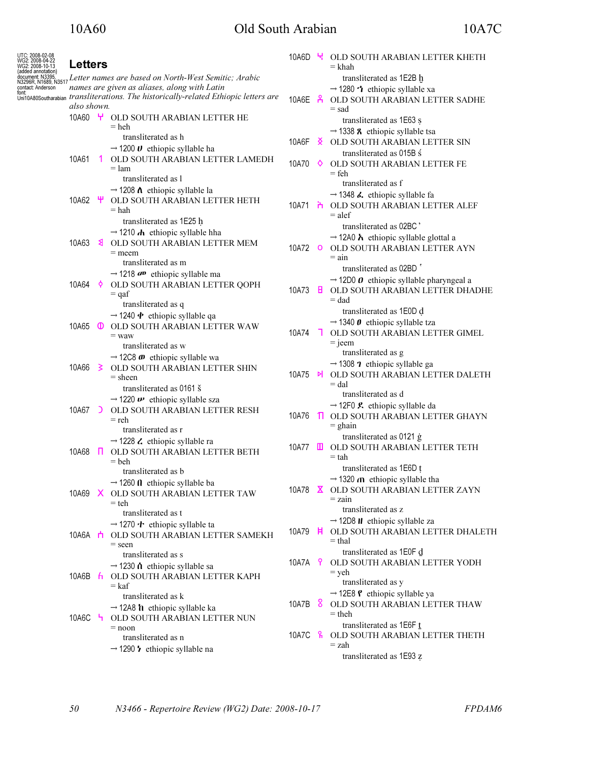# 10A60 Old South Arabian 10A7C

| UTC: 2008-02-08<br>WG2: 2008-04-22<br>/VG2: 2008-10-13 | <b>Letters</b>                                                                                                                                                                                                                                                      |                |                                                                                                                                  | 10A6D                     |              | U OLD SOUTH ARABIAN LETTER KHETH<br>= khah                                                                                                |
|--------------------------------------------------------|---------------------------------------------------------------------------------------------------------------------------------------------------------------------------------------------------------------------------------------------------------------------|----------------|----------------------------------------------------------------------------------------------------------------------------------|---------------------------|--------------|-------------------------------------------------------------------------------------------------------------------------------------------|
| (added annotation)<br>contact: Anderson<br>font:       | document N3395.<br>N3296R, N1689, N3517 Letter names are based on North-West Semitic; Arabic<br>names are given as aliases, along with Latin<br>unit_<br>Uni10A80Southarabian <i>transliterations. The historically-related Ethiopic letters are</i><br>also shown. |                |                                                                                                                                  |                           | 10A6E A      | transliterated as 1E2B h<br>$\rightarrow$ 1280 $\cdot$ <b>t</b> ethiopic syllable xa<br>OLD SOUTH ARABIAN LETTER SADHE<br>= sad           |
|                                                        | 10A60 H                                                                                                                                                                                                                                                             |                | OLD SOUTH ARABIAN LETTER HE<br>$=$ heh<br>transliterated as h                                                                    |                           |              | transliterated as 1E63 s<br>$\rightarrow$ 1338 <b>8</b> ethiopic syllable tsa                                                             |
|                                                        | 10A61                                                                                                                                                                                                                                                               | $\overline{1}$ | $\rightarrow$ 1200 <b>U</b> ethiopic syllable ha<br>OLD SOUTH ARABIAN LETTER LAMEDH<br>$=$ lam                                   | 10A6F<br>10A70 $\diamond$ | ∢            | OLD SOUTH ARABIAN LETTER SIN<br>transliterated as 015B s<br>OLD SOUTH ARABIAN LETTER FE                                                   |
|                                                        |                                                                                                                                                                                                                                                                     |                | transliterated as l<br>$\rightarrow$ 1208 $\Lambda$ ethiopic syllable la                                                         |                           |              | $=$ feh<br>transliterated as f<br>$\rightarrow$ 1348 <b>&amp;</b> ethiopic syllable fa                                                    |
|                                                        | 10A62 \                                                                                                                                                                                                                                                             |                | OLD SOUTH ARABIAN LETTER HETH<br>$=$ hah<br>transliterated as 1E25 h                                                             | 10A71 <b>ሕ</b>            |              | OLD SOUTH ARABIAN LETTER ALEF<br>$=$ alef<br>transliterated as 02BC                                                                       |
|                                                        | 10A63                                                                                                                                                                                                                                                               | হ              | $\rightarrow$ 1210 $\vec{A}$ ethiopic syllable hha<br>OLD SOUTH ARABIAN LETTER MEM<br>$=$ meem<br>transliterated as m            | 10A72 O                   |              | $\rightarrow$ 12A0 $\lambda$ ethiopic syllable glottal a<br>OLD SOUTH ARABIAN LETTER AYN<br>= ain                                         |
|                                                        | 10A64 \$                                                                                                                                                                                                                                                            |                | $\rightarrow$ 1218 $\sigma$ <sup>p</sup> ethiopic syllable ma<br>OLD SOUTH ARABIAN LETTER QOPH<br>$=$ qaf<br>transliterated as q | 10A73                     | н.           | transliterated as 02BD<br>$\rightarrow$ 12D0 $\theta$ ethiopic syllable pharyngeal a<br>OLD SOUTH ARABIAN LETTER DHADHE<br>$=$ dad        |
|                                                        | 10A65 <b>O</b>                                                                                                                                                                                                                                                      |                | $\rightarrow$ 1240 $\phi$ ethiopic syllable qa<br>OLD SOUTH ARABIAN LETTER WAW<br>$=$ waw<br>transliterated as w                 | 10A74                     | $\mathbf{L}$ | transliterated as 1E0D d<br>$\rightarrow$ 1340 $\theta$ ethiopic syllable tza<br>OLD SOUTH ARABIAN LETTER GIMEL<br>$=$ jeem               |
|                                                        | 10A66                                                                                                                                                                                                                                                               | - 3            | $\rightarrow$ 12C8 $\omega$ ethiopic syllable wa<br>OLD SOUTH ARABIAN LETTER SHIN<br>$=$ sheen<br>transliterated as 0161 §       | 10A75 <b>메</b>            |              | transliterated as g<br>$\rightarrow$ 1308 <b>?</b> ethiopic syllable ga<br>OLD SOUTH ARABIAN LETTER DALETH<br>$=$ dal                     |
|                                                        | 10A67 D                                                                                                                                                                                                                                                             |                | $\rightarrow$ 1220 $\nu$ ethiopic syllable sza<br>OLD SOUTH ARABIAN LETTER RESH<br>$=$ reh<br>transliterated as r                | 10A76                     | $\mathbb{T}$ | transliterated as d<br>$\rightarrow$ 12F0 <b>£</b> ethiopic syllable da<br>OLD SOUTH ARABIAN LETTER GHAYN<br>$=$ ghain                    |
|                                                        | 10A68                                                                                                                                                                                                                                                               | - III          | $\rightarrow$ 1228 $\lambda$ ethiopic syllable ra<br>OLD SOUTH ARABIAN LETTER BETH<br>$=$ beh                                    | 10A77                     | ш            | transliterated as 0121 g<br>OLD SOUTH ARABIAN LETTER TETH<br>= tah                                                                        |
|                                                        |                                                                                                                                                                                                                                                                     |                | transliterated as b<br>$\rightarrow$ 1260 $\Omega$ ethiopic syllable ba<br>10A69 X OLD SOUTH ARABIAN LETTER TAW<br>$=$ teh       |                           |              | transliterated as 1E6D t<br>$\rightarrow$ 1320 $\alpha$ ethiopic syllable tha<br>10A78 <b>X</b> OLD SOUTH ARABIAN LETTER ZAYN<br>$=$ zain |
|                                                        | 10A6A <b>⊓</b>                                                                                                                                                                                                                                                      |                | transliterated as t<br>$\rightarrow$ 1270 $\cdot$ ethiopic syllable ta<br>OLD SOUTH ARABIAN LETTER SAMEKH<br>$=$ seen            | 10A79                     | Ħ            | transliterated as z<br>$\rightarrow$ 12D8 <b>H</b> ethiopic syllable za<br>OLD SOUTH ARABIAN LETTER DHALETH<br>= thal                     |
|                                                        | 10A6B <b>h</b>                                                                                                                                                                                                                                                      |                | transliterated as s<br>$\rightarrow$ 1230 Å ethiopic syllable sa<br>OLD SOUTH ARABIAN LETTER KAPH<br>$=$ kaf                     | 10A7A 9                   |              | transliterated as 1E0F d<br>OLD SOUTH ARABIAN LETTER YODH<br>$=$ yeh<br>transliterated as y                                               |
|                                                        | 10A6C <b>ካ</b>                                                                                                                                                                                                                                                      |                | transliterated as k<br>$\rightarrow$ 12A8 <b>h</b> ethiopic syllable ka<br>OLD SOUTH ARABIAN LETTER NUN                          | 10A7B                     | 8            | $\rightarrow$ 12E8 <b><math>\ell</math></b> ethiopic syllable ya<br>OLD SOUTH ARABIAN LETTER THAW<br>$=$ theh                             |
|                                                        |                                                                                                                                                                                                                                                                     |                | $=$ noon<br>transliterated as n<br>$\rightarrow$ 1290 $\prime\prime$ ethiopic syllable na                                        | 10A7C $R$                 |              | transliterated as 1E6F t<br>OLD SOUTH ARABIAN LETTER THETH<br>= zah<br>transliterated as 1E93 z                                           |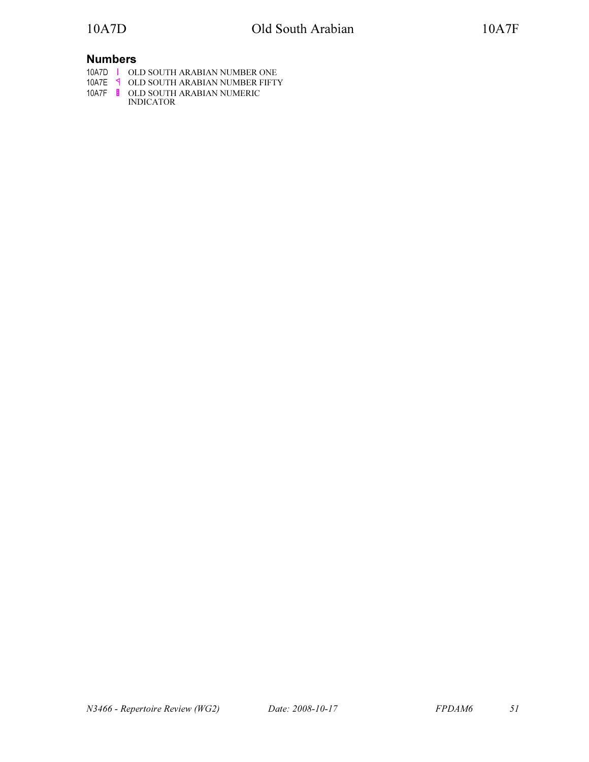## Numbers

10A7D OLD SOUTH ARABIAN NUMBER ONE

- 10A7E OLD SOUTH ARABIAN NUMBER FIFTY
- 10A7F OLD SOUTH ARABIAN NUMERIC INDICATOR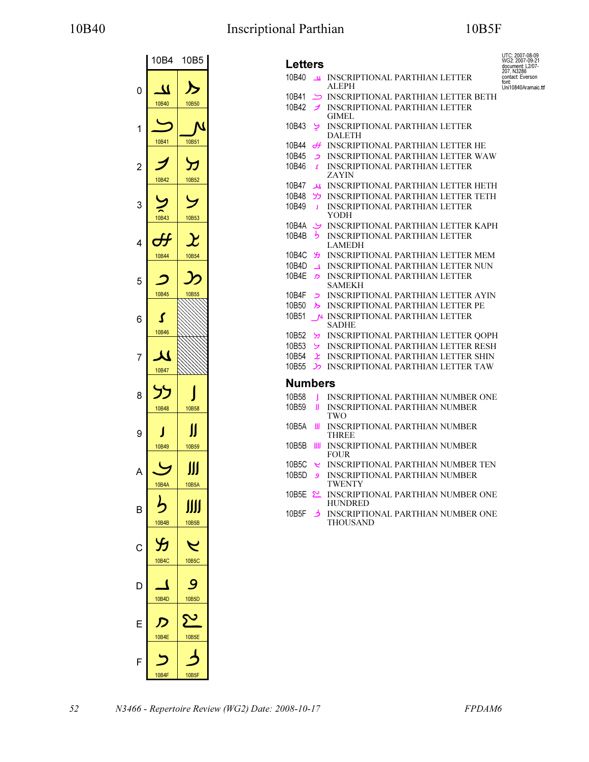# 10B40 Inscriptional Parthian 10B5F

|                | 10B4         | 10B5       |
|----------------|--------------|------------|
| 0              | U<br>10B40   | 10B50      |
| 1              | 10B41        | 10B51      |
| $\overline{c}$ | 10B42        | 10B52      |
| 3              | 10B43        | 10B53      |
| 4              | 10B44        | 10B54      |
| 5              | 10B45        | 10B55      |
| 6              | 10B46        |            |
| 7              | J<br>10B47   |            |
| 8              | 10B48        | 10B58      |
| g              | 10B49        | 10B59      |
| Δ              | 10B4A        | ∭<br>10B5A |
| B              | <b>10B4B</b> | Ш<br>10B5B |
| С              | 10B4C        | 10B5C      |
| D              | 10B4D        | 10B5D      |
|                | <b>10B4E</b> | 10B5E      |
| F              | 10B4F        | 10B5F      |

| <b>Letters</b>    |                  |                                                       | UTC: 2007-08-09<br>WG2: 2007-09-21                 |
|-------------------|------------------|-------------------------------------------------------|----------------------------------------------------|
| 10B40             | $\mathbf{u}$     | <b>INSCRIPTIONAL PARTHIAN LETTER</b>                  | document: L2/07-<br>207. N3286<br>contact: Everson |
|                   |                  | ALEPH                                                 | font:<br>Uni10840Aramaic.ttf                       |
| 10B41             | ک                | <b>INSCRIPTIONAL PARTHIAN LETTER BETH</b>             |                                                    |
| 10B42             | J                | <b>INSCRIPTIONAL PARTHIAN LETTER</b><br><b>GIMEL</b>  |                                                    |
| 10B43             | پ                | <b>INSCRIPTIONAL PARTHIAN LETTER</b><br>DALETH        |                                                    |
| 10B44             | ₩                | INSCRIPTIONAL PARTHIAN LETTER HE                      |                                                    |
| 10B45             | د                | <b>INSCRIPTIONAL PARTHIAN LETTER WAW</b>              |                                                    |
| 10B46             | <b>S</b>         | <b>INSCRIPTIONAL PARTHIAN LETTER</b><br>ZAYIN         |                                                    |
| 10B47             | لم               | INSCRIPTIONAL PARTHIAN LETTER HETH                    |                                                    |
| 10B48             | לל               | <b>INSCRIPTIONAL PARTHIAN LETTER TETH</b>             |                                                    |
| 10 <sub>B49</sub> | J                | <b>INSCRIPTIONAL PARTHIAN LETTER</b><br>YODH          |                                                    |
| 10B4A             | پ                | <b>INSCRIPTIONAL PARTHIAN LETTER KAPH</b>             |                                                    |
| 10B4B             | り                | <b>INSCRIPTIONAL PARTHIAN LETTER</b><br><b>LAMEDH</b> |                                                    |
| 10B4C             | YJ.              | <b>INSCRIPTIONAL PARTHIAN LETTER MEM</b>              |                                                    |
| 10B4D             | $\blacktriangle$ | <b>INSCRIPTIONAL PARTHIAN LETTER NUN</b>              |                                                    |
| 10B4E             | $\mathcal{D}$    | <b>INSCRIPTIONAL PARTHIAN LETTER</b><br><b>SAMEKH</b> |                                                    |
| 10B4F             | $\mathsf{z}$     | INSCRIPTIONAL PARTHIAN LETTER AYIN                    |                                                    |
| 10B50             | ≻                | <b>INSCRIPTIONAL PARTHIAN LETTER PE</b>               |                                                    |
| 10B51             |                  | N INSCRIPTIONAL PARTHIAN LETTER<br><b>SADHE</b>       |                                                    |
| 10B52             | У                | <b>INSCRIPTIONAL PARTHIAN LETTER QOPH</b>             |                                                    |
| 10B53             | ى                | <b>INSCRIPTIONAL PARTHIAN LETTER RESH</b>             |                                                    |
| 10B54             | <u>بر</u>        | <b>INSCRIPTIONAL PARTHIAN LETTER SHIN</b>             |                                                    |
| 10B55             | C                | <b>INSCRIPTIONAL PARTHIAN LETTER TAW</b>              |                                                    |
| <b>Numbers</b>    |                  |                                                       |                                                    |
| 10B58             | 1                | INSCRIPTIONAL PARTHIAN NUMBER ONE                     |                                                    |
| 10B59             | Ш                | <b>INSCRIPTIONAL PARTHIAN NUMBER</b><br>TWO           |                                                    |
| 10B5A             | Ш                | INSCRIPTIONAL PARTHIAN NUMBER<br><b>THREE</b>         |                                                    |
| 10B5B             | Ш                | <b>INSCRIPTIONAL PARTHIAN NUMBER</b><br><b>FOUR</b>   |                                                    |
| 10B5C             | ب                | INSCRIPTIONAL PARTHIAN NUMBER TEN                     |                                                    |
| 10B5D             | و                | <b>INSCRIPTIONAL PARTHIAN NUMBER</b><br><b>TWENTY</b> |                                                    |
| 10B5E             | <u> പ</u>        | INSCRIPTIONAL PARTHIAN NUMBER ONE<br>HUNDRED          |                                                    |
| 10B5F             | ぅ                | INSCRIPTIONAL PARTHIAN NUMBER ONE<br>THOUSAND         |                                                    |
|                   |                  |                                                       |                                                    |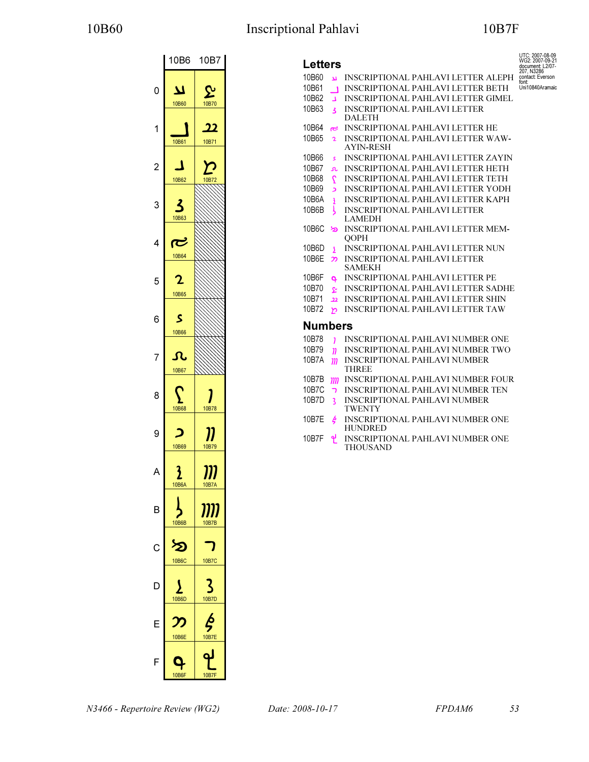# 10B60 Inscriptional Pahlavi 10B7F

UTC: 2007-08-09 WG2: 2007-09-21 document: L2/07- 207, N3286 contact: Everson font: Uni10840Aramaic



| <b>Letters</b>                    |                                                              |
|-----------------------------------|--------------------------------------------------------------|
| 10B60<br>$\overline{\mathbf{u}}$  | <b>INSCRIPTIONAL PAHLAVI LETTER ALEPH</b>                    |
| 10B61<br>$\blacksquare$           | <b>INSCRIPTIONAL PAHLAVI LETTER BETH</b>                     |
| 10B62<br>$\overline{1}$           | <b>INSCRIPTIONAL PAHLAVI LETTER GIMEL</b>                    |
| 10B63<br>$\overline{\mathbf{3}}$  | <b>INSCRIPTIONAL PAHLAVI LETTER</b>                          |
|                                   | <b>DALETH</b>                                                |
| 10B64<br>ج                        | <b>INSCRIPTIONAL PAHLAVI LETTER HE</b>                       |
| 10B65<br>$\mathbf{z}$             | <b>INSCRIPTIONAL PAHLAVI LETTER WAW-</b><br><b>AYIN-RESH</b> |
| 10B66<br>ś                        | <b>INSCRIPTIONAL PAHLAVI LETTER ZAYIN</b>                    |
| 10B67<br>r.                       | <b>INSCRIPTIONAL PAHLAVI LETTER HETH</b>                     |
| 10B68<br>$\overline{Q}$           | <b>INSCRIPTIONAL PAHLAVI LETTER TETH</b>                     |
| 10B69<br>د                        | <b>INSCRIPTIONAL PAHLAVI LETTER YODH</b>                     |
| 10B6A<br>3                        | <b>INSCRIPTIONAL PAHLAVI LETTER KAPH</b>                     |
| 10B6B<br>Y                        | <b>INSCRIPTIONAL PAHLAVI LETTER</b><br><b>LAMEDH</b>         |
| 10B6C<br>∕⊵                       | <b>INSCRIPTIONAL PAHLAVI LETTER MEM-</b><br><b>OOPH</b>      |
| 10B6D<br>$\overline{\phantom{a}}$ | INSCRIPTIONAL PAHLAVI LETTER NUN                             |
| 10B6E<br>႒ာ                       | <b>INSCRIPTIONAL PAHLAVI LETTER</b><br><b>SAMEKH</b>         |
| 10B6F<br>Q.                       | <b>INSCRIPTIONAL PAHLAVI LETTER PE</b>                       |
| 10B70<br>يو                       | INSCRIPTIONAL PAHLAVI LETTER SADHE                           |
| 10B71<br>$\overline{22}$          | <b>INSCRIPTIONAL PAHLAVI LETTER SHIN</b>                     |
| 10B72<br>ᡃ                        | <b>INSCRIPTIONAL PAHLAVI LETTER TAW</b>                      |
| <b>Numbers</b>                    |                                                              |
| 10B78<br>$\mathbf{1}$             | INSCRIPTIONAL PAHLAVI NUMBER ONE                             |
| 10B79<br>$\mathbf{n}$             | <b>INSCRIPTIONAL PAHLAVI NUMBER TWO</b>                      |
| 10B7A<br>m                        | <b>INSCRIPTIONAL PAHLAVI NUMBER</b>                          |
|                                   | <b>THREE</b>                                                 |
| 10B7B<br>m                        | <b>INSCRIPTIONAL PAHLAVI NUMBER FOUR</b>                     |
| 10B7C<br>ר                        | <b>INSCRIPTIONAL PAHLAVI NUMBER TEN</b>                      |
| 10B7D<br>3                        | <b>INSCRIPTIONAL PAHLAVI NUMBER</b><br><b>TWENTY</b>         |
| 10B7E<br>ķ                        | <b>INSCRIPTIONAL PAHLAVI NUMBER ONE</b><br><b>HUNDRED</b>    |
| 10B7F<br>Ľ                        | <b>INSCRIPTIONAL PAHLAVI NUMBER ONE</b><br><b>THOUSAND</b>   |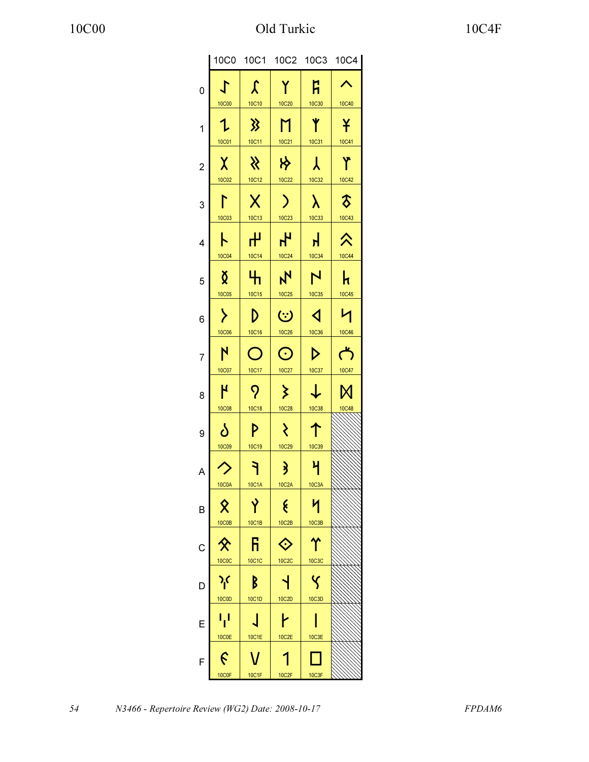|                         | 10C0                             |                        |                                  |                               | 10C1 10C2 10C3 10C4          |
|-------------------------|----------------------------------|------------------------|----------------------------------|-------------------------------|------------------------------|
| 0                       | し<br><b>10C00</b>                | $\mathcal{L}$<br>10C10 | Y<br><b>10C20</b>                | ĥ<br><b>10C30</b>             | ∧<br>10C40                   |
| 1                       | Ղ<br>10C01                       | 》<br>10C11             | M<br>10C21                       | Y<br>10C31                    | ¥<br>10C41                   |
| $\overline{\mathbf{c}}$ | $\chi$<br>10C02                  | $\aleph$<br>10C12      | *<br>10C22                       | 人<br>10C32                    | Y<br>10C42                   |
| 3                       | ┞                                | $\sf X$                | $\mathcal{E}$                    | $\lambda$                     | $\delta$                     |
| 4                       | 10C03<br>ト                       | 10C13<br>᠊ᠰ            | 10C23<br>Ł                       | 10C33<br>$\mathbf{H}$         | 10C43<br>仌                   |
| 5                       | 10C04<br>Ŏ                       | 10C14<br>H             | 10C24<br>$\mathbf{N}$            | 10C34<br>$\mathbf{N}$         | 10C44<br>k                   |
| 6                       | 10C05<br>≻                       | 10C15<br>D             | 10C25<br>$\ddot{\mathbf{c}}$     | 10C35<br>$\blacktriangleleft$ | 10C45<br>И                   |
| 7                       | 10C06<br>$\mathsf{N}$            | 10C16<br>$\bigcirc$    | 10C26<br>$\odot$                 | 10C36<br>$\triangleright$     | 10C46<br>$\vec{\mathcal{L}}$ |
| 8                       | 10C07<br>$\overline{\mathsf{I}}$ | 10C17<br>$\mathcal{P}$ | 10C27<br>$\sum$                  | 10C37<br>$\downarrow$         | 10C47<br>М                   |
| 9                       | 10C08<br>ბ                       | 10C18<br>P             | 10C28<br>₹                       | 10C38<br>个                    | 10C48                        |
| A                       | 10C09                            | 10C19<br>٦             | 10C29<br>$\overline{\mathbf{3}}$ | 10C39<br>$\mathcal{H}$        |                              |
| в                       | <b>10C0A</b>                     | <b>10C1A</b>           | 10C2A<br>ર્                      | 10C3A                         |                              |
|                         | 10C0B                            | 10C1B                  | 10C2B                            | 10C3B                         |                              |
| С                       | <b>10C0C</b>                     | ĥ<br>10C1C             | <b>10C2C</b>                     | 10C3C                         |                              |
| D                       | $\gamma$                         | B                      |                                  |                               |                              |
| E                       | 10C0D                            | 10C1D                  | 10C2D                            | 10C3D                         |                              |
| F                       | 10C0E                            | 10C1E                  | 10C2E                            | 10C3E                         |                              |
|                         | 10C0F                            | 10C1F                  | 10C2F                            | 10C3F                         |                              |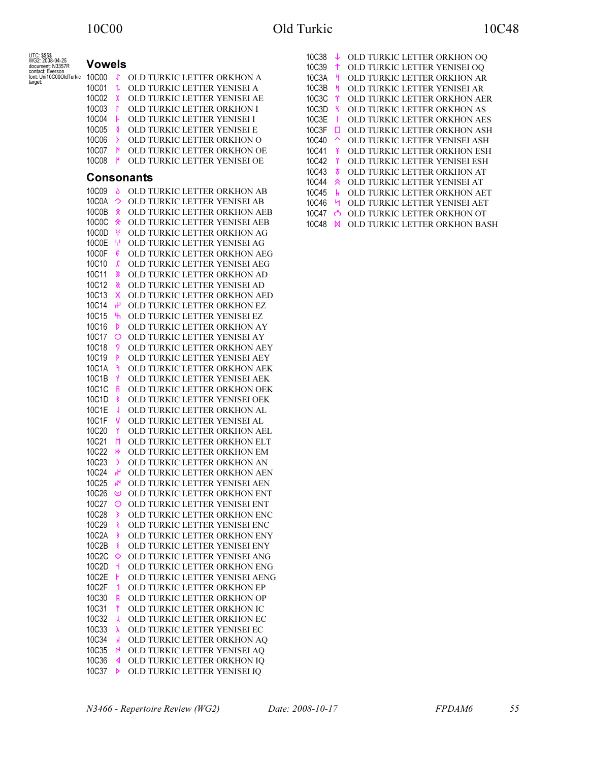| UTC: \$\$\$\$<br>WG2: 2008-04-25                       |                                                 |                                                                       | 10C38    |                     | OLD TURKIC LETTER ORKHON OQ   |
|--------------------------------------------------------|-------------------------------------------------|-----------------------------------------------------------------------|----------|---------------------|-------------------------------|
| document: N3357R                                       | <b>Vowels</b>                                   |                                                                       | 10C39    |                     | OLD TURKIC LETTER YENISEI OQ  |
| contact: Everson<br>font: Uni10C00OldTurkic<br>target: | 10C00 J                                         | OLD TURKIC LETTER ORKHON A                                            | 10C3A    | H.                  | OLD TURKIC LETTER ORKHON AR   |
|                                                        | 10C01<br>1                                      | OLD TURKIC LETTER YENISEI A                                           | 10C3B    | M                   | OLD TURKIC LETTER YENISEI AR  |
|                                                        | 10C02<br>$\chi$                                 | OLD TURKIC LETTER YENISEI AE                                          | 10C3C    | Υ                   | OLD TURKIC LETTER ORKHON AER  |
|                                                        | 10C03<br>T.                                     | OLD TURKIC LETTER ORKHON I                                            | 10C3D    |                     | OLD TURKIC LETTER ORKHON AS   |
|                                                        | 10C04<br>$\mathbf{r}$                           | OLD TURKIC LETTER YENISEI I                                           | 10C3E    |                     | OLD TURKIC LETTER ORKHON AES  |
|                                                        | 10C05<br>₫                                      | OLD TURKIC LETTER YENISEI E                                           | 10C3F O  |                     | OLD TURKIC LETTER ORKHON ASH  |
|                                                        | 10C06<br>$\rightarrow$                          | OLD TURKIC LETTER ORKHON O                                            | 10C40    | $\hat{\phantom{1}}$ | OLD TURKIC LETTER YENISEI ASH |
|                                                        | 10C07 N                                         | OLD TURKIC LETTER ORKHON OE                                           | 10C41    | ¥                   | OLD TURKIC LETTER ORKHON ESH  |
|                                                        | 10C08<br>H                                      | OLD TURKIC LETTER YENISEI OE                                          | 10C42    |                     | OLD TURKIC LETTER YENISEI ESH |
|                                                        | <b>Consonants</b>                               |                                                                       | 10C43    | T                   | OLD TURKIC LETTER ORKHON AT   |
|                                                        |                                                 |                                                                       | 10C44    | 《                   | OLD TURKIC LETTER YENISEI AT  |
|                                                        | 10C09<br>5.                                     | OLD TURKIC LETTER ORKHON AB                                           | 10C45    | $\mathbf{h}$        | OLD TURKIC LETTER ORKHON AET  |
|                                                        | 10C0A $\rightarrow$<br>10C0B $\hat{\mathbf{x}}$ | OLD TURKIC LETTER YENISEI AB                                          | 10C46 H  |                     | OLD TURKIC LETTER YENISEI AET |
|                                                        | 10C0C $\hat{\mathbf{x}}$                        | OLD TURKIC LETTER ORKHON AEB<br>OLD TURKIC LETTER YENISEI AEB         | 10C47 ෆ් |                     | OLD TURKIC LETTER ORKHON OT   |
|                                                        | 10C0D <sup>3</sup>                              | OLD TURKIC LETTER ORKHON AG                                           | 10C48    | M                   | OLD TURKIC LETTER ORKHON BASH |
|                                                        | $10C0E$ $\frac{11}{1}$                          | OLD TURKIC LETTER YENISEI AG                                          |          |                     |                               |
|                                                        | 10C0F $\epsilon$                                | OLD TURKIC LETTER ORKHON AEG                                          |          |                     |                               |
|                                                        | 10C10<br>$\lambda$                              | OLD TURKIC LETTER YENISEI AEG                                         |          |                     |                               |
|                                                        | 10C11 3                                         | OLD TURKIC LETTER ORKHON AD                                           |          |                     |                               |
|                                                        | 10C12 $\&$                                      | OLD TURKIC LETTER YENISEI AD                                          |          |                     |                               |
|                                                        | 10C13 $\times$                                  | OLD TURKIC LETTER ORKHON AED                                          |          |                     |                               |
|                                                        | 10C14<br>$\mathbf{f}$                           | OLD TURKIC LETTER ORKHON EZ                                           |          |                     |                               |
|                                                        | 10C15<br>ъ.                                     | OLD TURKIC LETTER YENISEI EZ                                          |          |                     |                               |
|                                                        | 10C16<br><sup>D</sup>                           | OLD TURKIC LETTER ORKHON AY                                           |          |                     |                               |
|                                                        | 10C17 O                                         | OLD TURKIC LETTER YENISEI AY                                          |          |                     |                               |
|                                                        | 10C18<br>- 9                                    | OLD TURKIC LETTER ORKHON AEY                                          |          |                     |                               |
|                                                        | 10C19<br>P                                      | OLD TURKIC LETTER YENISEI AEY                                         |          |                     |                               |
|                                                        | 10C1A<br>٦                                      | OLD TURKIC LETTER ORKHON AEK                                          |          |                     |                               |
|                                                        | 10C1B<br>$\mathbf{Y}$                           | OLD TURKIC LETTER YENISEI AEK                                         |          |                     |                               |
|                                                        | 10C1C R                                         | OLD TURKIC LETTER ORKHON OEK                                          |          |                     |                               |
|                                                        | $10C1D$ B                                       | OLD TURKIC LETTER YENISEI OEK                                         |          |                     |                               |
|                                                        | 10C1E<br>$\overline{\mathcal{A}}$               | OLD TURKIC LETTER ORKHON AL                                           |          |                     |                               |
|                                                        | 10C1F V                                         | OLD TURKIC LETTER YENISEI AL                                          |          |                     |                               |
|                                                        | 10C20<br>$\mathsf{Y}$                           | OLD TURKIC LETTER ORKHON AEL                                          |          |                     |                               |
|                                                        | 10C21 M                                         | OLD TURKIC LETTER ORKHON ELT                                          |          |                     |                               |
|                                                        | 10C22 *                                         | OLD TURKIC LETTER ORKHON EM                                           |          |                     |                               |
|                                                        | 10C23<br>$\rightarrow$                          | OLD TURKIC LETTER ORKHON AN                                           |          |                     |                               |
|                                                        | 10C24 H                                         | OLD TURKIC LETTER ORKHON AEN                                          |          |                     |                               |
|                                                        |                                                 | 10C25 N OLD TURKIC LETTER YENISEI AEN                                 |          |                     |                               |
|                                                        | 10C27 O                                         | 10C26 © OLD TURKIC LETTER ORKHON ENT<br>OLD TURKIC LETTER YENISEI ENT |          |                     |                               |
|                                                        | 10C28<br>$\rightarrow$                          | OLD TURKIC LETTER ORKHON ENC                                          |          |                     |                               |
|                                                        | 10C29                                           | OLD TURKIC LETTER YENISEI ENC                                         |          |                     |                               |
|                                                        | 10C2A<br>3                                      | OLD TURKIC LETTER ORKHON ENY                                          |          |                     |                               |
|                                                        | 10C2B<br>€                                      | OLD TURKIC LETTER YENISEI ENY                                         |          |                     |                               |
|                                                        | 10C2C $\diamondsuit$                            | OLD TURKIC LETTER YENISEI ANG                                         |          |                     |                               |
|                                                        | 10C2D<br>$\overline{A}$                         | OLD TURKIC LETTER ORKHON ENG                                          |          |                     |                               |
|                                                        | 10C2E <b>h</b>                                  | OLD TURKIC LETTER YENISEI AENG                                        |          |                     |                               |
|                                                        | 10C2F                                           | OLD TURKIC LETTER ORKHON EP                                           |          |                     |                               |
|                                                        | 10C30<br>Ħ                                      | OLD TURKIC LETTER ORKHON OP                                           |          |                     |                               |
|                                                        | 10C31<br>$\mathbf{r}$                           | OLD TURKIC LETTER ORKHON IC                                           |          |                     |                               |
|                                                        | 10C32<br><b>X</b>                               | OLD TURKIC LETTER ORKHON EC                                           |          |                     |                               |
|                                                        | 10C33<br>$\lambda$                              | OLD TURKIC LETTER YENISEI EC                                          |          |                     |                               |
|                                                        | 10C34<br>$\mathbf{H}$                           | OLD TURKIC LETTER ORKHON AQ                                           |          |                     |                               |
|                                                        | 10C35 N                                         | OLD TURKIC LETTER YENISEI AQ                                          |          |                     |                               |
|                                                        | 10C36 <b>4</b>                                  | OLD TURKIC LETTER ORKHON IQ                                           |          |                     |                               |
|                                                        | 10C37 $\triangleright$                          | OLD TURKIC LETTER YENISEI IQ                                          |          |                     |                               |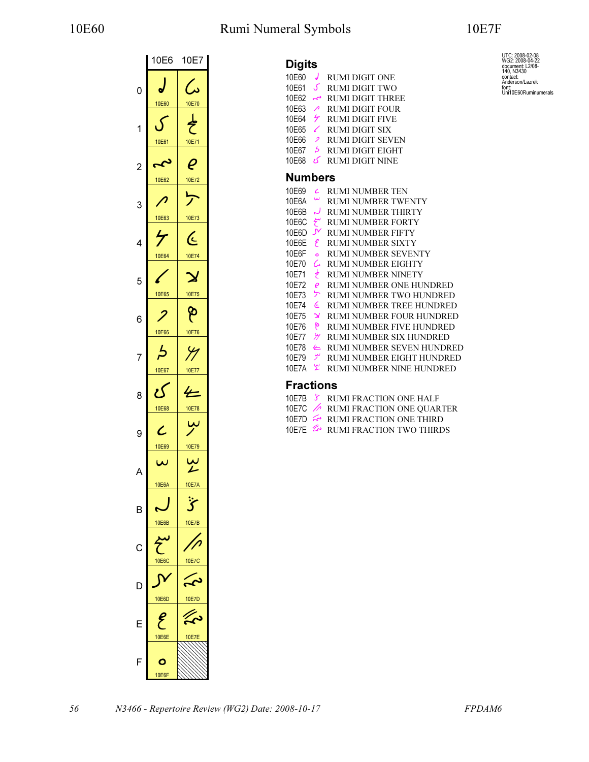# 10E60 Rumi Numeral Symbols 10E7F

UTC: 2008-02-08<br>WG2: 2008-04-22<br>document: L2/08-<br>140, N3430<br>contact<br>Anderson/Lazrek<br>font:<br>font: Uni10E60Ruminumerals

|                | 10E6              | 10E7               |
|----------------|-------------------|--------------------|
| 0              | 10E60             | 10E70              |
| 1              | 10E61             | 10E71              |
| $\overline{c}$ | L<br>Z<br>10E62   | 10E72              |
| 3              |                   | Ļ.                 |
| 4              | 10E63<br>4        | 10E73<br>(ر        |
| 5              | 10E64<br>Ł        | 10E74              |
| 6              | 10E65             | 10E75<br>န         |
| 7              | 10E66<br>Ŀ        | 10E76<br>$\varphi$ |
| 8              | 10E67<br>U        | 10E77              |
| 9              | 10E68             | 10E78<br>ىبا       |
|                | 10E69<br>س        | 10E79              |
|                | 10E6A             | 10E7A              |
| B              | ٠<br><b>10E6B</b> | 10E7B              |
| C              | 10E6C             | 10E70              |
| D              | 10E6D             | 10E7D              |
| F              | <b>10E6E</b>      | 10E7E              |
| F              | 10E6F             |                    |

| <b>Digits</b> |                          |                           |
|---------------|--------------------------|---------------------------|
| 10F60         | J                        | <b>RUMI DIGIT ONE</b>     |
| 10E61         | ک                        | RUMI DIGIT TWO            |
| 10F62         | ىم                       | <b>RUMI DIGIT THREE</b>   |
| 10E63         | $\overline{\phantom{a}}$ | <b>RUMI DIGIT FOUR</b>    |
| 10E64         | $\tau$                   | <b>RUMI DIGIT FIVE</b>    |
| 10E65         | ✓                        | <b>RUMI DIGIT SIX</b>     |
| 10E66         | $\overline{\phantom{a}}$ | <b>RUMI DIGIT SEVEN</b>   |
| 10F67         | $\overline{b}$           | <b>RUMI DIGIT EIGHT</b>   |
| 10F68         | ى                        | <b>RUMI DIGIT NINE</b>    |
| Numbers       |                          |                           |
| 10F69         | с                        | <b>RUMI NUMBER TEN</b>    |
| 10F6A         | $\mathbf{\tilde{z}}$     | RUMI NUMBER TWENTY        |
| 10F6B         | لہ                       | RUMI NUMBER THIRTY        |
| 10E6C         | سمح                      | RUMI NUMBER FORTY         |
| 10E6D         | $\mathcal{N}$            | <b>RUMI NUMBER FIFTY</b>  |
| 10E6E         | ę                        | RUMI NUMBER SIXTY         |
| 10E6F         | $\overline{a}$           | RUMI NUMBER SEVENTY       |
| 10E70         | ىم                       | RUMI NUMBER EIGHTY        |
| 10E71         | さ                        | RUMI NUMBER NINETY        |
| 10E72         | $\boldsymbol{\varrho}$   | RUMI NUMBER ONE HUNDRED   |
| 10F73         | ヶ                        | RUMI NUMBER TWO HUNDRED   |
| 10E74         | ئ                        | RUMI NUMBER TREE HUNDRED  |
| 10F75         | $\mathbf{\mathsf{x}}$    | RUMI NUMBER FOUR HUNDRED  |
| 10E76         | န                        | RUMI NUMBER FIVE HUNDRED  |
| 10E77         | Я                        | RUMI NUMBER SIX HUNDRED   |
| 10E78         | 一                        | RUMI NUMBER SEVEN HUNDRED |
| 10F79         | سِ                       | RUMI NUMBER EIGHT HUNDRED |
| 10F7A         | ۳                        | RUMI NUMBER NINE HUNDRED  |

## Fractions

|                             | 10E7B & RUMI FRACTION ONE HALF           |
|-----------------------------|------------------------------------------|
|                             | 10E7C <b>A</b> RUMI FRACTION ONE QUARTER |
|                             | 10E7D & RUMI FRACTION ONE THIRD          |
| $\sim$ $\sim$ $\sim$ $\sim$ |                                          |

10E7E  $\approx$  RUMI FRACTION TWO THIRDS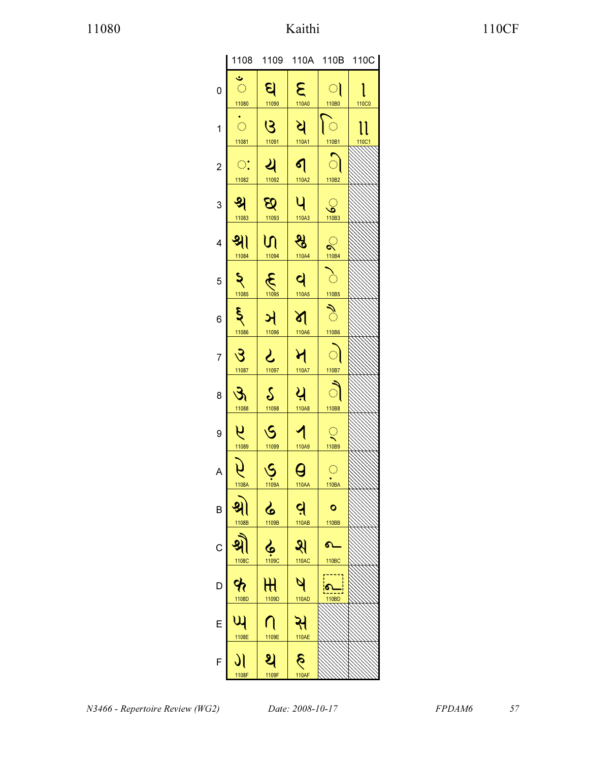|                |                                                |                                      |                                |                                        | 1108 1109 110A 110B 110C |
|----------------|------------------------------------------------|--------------------------------------|--------------------------------|----------------------------------------|--------------------------|
| $\mathbf 0$    | $\ddot{\mathbf{v}}$<br>$\overline{\mathbb{C}}$ | ସ୍                                   | $\mathbf{g}$<br>110A0          | $\bigcirc$                             |                          |
| $\mathbf{1}$   | 11080<br>$\frac{1}{\sqrt{2}}$                  | 11090<br>$\overline{G}$              | ধ                              | 110B0<br>ि                             | 110C0<br>ll              |
|                | 11081<br>$\mathbb{C}^*$                        | 11091<br><u>સ</u>                    | 110A1                          | 110B1<br>ା                             | 110C1                    |
| $\overline{c}$ | 11082                                          | 11092                                | $\mathbf{q}$<br>110A2          | 110B2                                  |                          |
| 3              | श्र<br>11083                                   | $\mathcal{B}$<br>11093               | 4<br>110A3                     | <u>୍</u> ଚ<br>110B3                    |                          |
| 4              | श्रे।<br>11084                                 | N<br>11094                           | श्व<br>110A4                   | $\sum_{110B4}$                         |                          |
| 5              | $\mathsf{S}$                                   | E                                    | $\mathbf{q}$                   | $\sum_{i=1}^n$                         |                          |
| 6              | 11085<br>$\boldsymbol{\xi}$                    | ઞ                                    | 110A5<br>প                     | 110B5<br>ै                             |                          |
|                | 11086                                          | 11096                                | 110A6                          | 110B6                                  |                          |
| 7              | उ<br>11087                                     | $2$<br>11097                         | ধ<br>110A7                     | ା<br>110B7                             |                          |
| 8              | $\mathfrak{F}$<br>11088                        | $\mathcal{S}_{\mathcal{S}}$<br>11098 | ੫<br>110A8                     | ौ<br>110B8                             |                          |
| 9              | $\overline{a}$<br>11089                        | $\overline{\mathcal{S}}$<br>11099    | $\blacktriangleleft$<br>110A9  | $\mathbb{Q}$<br>110B9                  |                          |
| A              | 1108A                                          | $\dot{\mathcal{S}}$<br>1109A         | $\boldsymbol{\Theta}$<br>110AA | $\bigcirc$<br>$\overrightarrow{110BA}$ |                          |
| В              | 1108B                                          | ८<br>1109B                           | <u>વ</u><br><b>110AB</b>       | o<br>110BB                             |                          |
| C              |                                                |                                      | ধ                              |                                        |                          |
| D              | 1108C                                          | 1109C<br>$\operatorname{\mathsf{H}}$ | 110AC                          | 110BC<br>$\bullet$                     |                          |
|                | 1108D                                          | 1109D                                | 110AD                          | 110BD                                  |                          |
| Е              | 1108E                                          | 1109E                                | સ<br><b>110AE</b>              |                                        |                          |
| F              | 1108F                                          | 1109F                                | <b>110AF</b>                   |                                        |                          |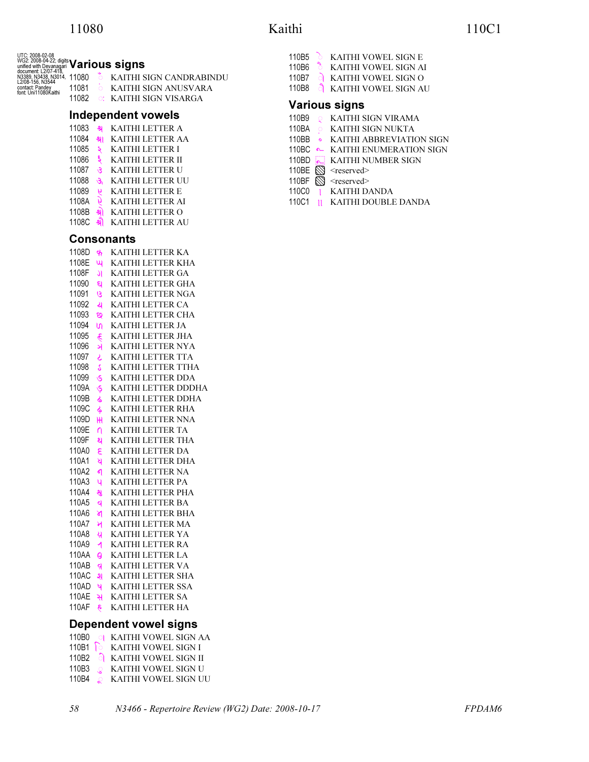|                      |                |                  | KAITHI SIGN CANDRABINDU                      |
|----------------------|----------------|------------------|----------------------------------------------|
| contact: Pandey      | 11081          | $\circ$          | KAITHI SIGN ANUSVARA                         |
| font: Uni11080Ќaithi | 11082          | $\circ$ :        | KAITHI SIGN VISARGA                          |
|                      |                |                  | Independent vowels                           |
|                      | 11083          | श्र              | KAITHI LETTER A                              |
|                      | 11084          | શ્રા             | <b>KAITHI LETTER AA</b>                      |
|                      | 11085          | ২                | KAITHI LETTER I                              |
|                      | 11086          | ६                | KAITHI LETTER II                             |
|                      | 11087          | s,               | KAITHI LETTER U                              |
|                      | 11088          | S,               | KAITHI LETTER UU                             |
|                      | 11089          | 9                | <b>KAITHI LETTER E</b>                       |
|                      | 1108A          | y                | KAITHI LETTER AI                             |
|                      | 1108B          | શ્રો             | KAITHI LETTER O                              |
|                      | 1108C          | શ્રી             | KAITHI LETTER AU                             |
|                      |                |                  | <b>Consonants</b>                            |
|                      | 1108D          | क                | KAITHI LETTER KA                             |
|                      | 1108E          | ખ                | KAITHI LETTER KHA                            |
|                      | 1108F          | IJ               | KAITHI LETTER GA                             |
|                      | 11090          | ସ                | KAITHI LETTER GHA                            |
|                      | 11091          | ७                | KAITHI LETTER NGA                            |
|                      | 11092          | থ                | KAITHI LETTER CA                             |
|                      | 11093          | છ                | KAITHI LETTER CHA                            |
|                      | 11094          | U                | KAITHI LETTER JA                             |
|                      | 11095          | $\hat{\epsilon}$ | KAITHI LETTER JHA                            |
|                      | 11096          | ઞ                | KAITHI LETTER NYA                            |
|                      | 11097          | ટ                | KAITHI LETTER TTA                            |
|                      | 11098          | S                | KAITHI LETTER TTHA                           |
|                      | 11099          | $\mathcal{S}$    | KAITHI LETTER DDA                            |
|                      | 1109A          | Ś                | KAITHI LETTER DDDHA                          |
|                      | 1109B          | ଌ                | KAITHI LETTER DDHA                           |
|                      | 1109C          | ଌ                | KAITHI LETTER RHA                            |
|                      | 1109D<br>1109E | н                | KAITHI LETTER NNA<br>KAITHI LETTER TA        |
|                      | 1109F          | ∩<br>থ           | KAITHI LETTER THA                            |
|                      | 110A0          | 3                | <b>KAITHI LETTER DA</b>                      |
|                      | 110A1          | ষ                | KAITHI LETTER DHA                            |
|                      | 110A2          | ଣ                | KAITHI LETTER NA                             |
|                      | 110A3          | ч                | KAITHI LETTER PA                             |
|                      | 110A4          | श्व              | KAITHI LETTER PHA                            |
|                      | 110A5          | $\mathbf{q}$     | KAITHI LETTER BA                             |
|                      | 110A6          | শ                | KAITHI LETTER BHA                            |
|                      | 110A7          | স                | KAITHI LETTER MA                             |
|                      | 110A8          | À                | KAITHI LETTER YA                             |
|                      | 110A9          | ◀                | KAITHI LETTER RA                             |
|                      | 110AA          | e                | KAITHI LETTER LA                             |
|                      | 110AB          | ą                | KAITHI LETTER VA                             |
|                      | 110AC          | খ                | KAITHI LETTER SHA                            |
|                      | 110AD<br>110AE | Ч<br>સ           | KAITHI LETTER SSA<br><b>KAITHI LETTER SA</b> |
|                      | 110AF          | $\delta$         | KAITHI LETTER HA                             |
|                      |                |                  |                                              |
|                      |                |                  | <b>Dependent vowel signs</b>                 |

## 110B0 \$ KAITHI VOWEL SIGN AA

110B1  $\odot$  KAITHI VOWEL SIGN I 110B2 **S** KAITHI VOWEL SIGN II 110B3  $\circ$  KAITHI VOWEL SIGN U 110B4 & KAITHI VOWEL SIGN UU

| 110B5 | ਨ                | KAITHI VOWEL SIGN E               |
|-------|------------------|-----------------------------------|
| 110B6 | $\sum_{i=1}^{n}$ | KAITHI VOWEL SIGN AI              |
| 110B7 |                  | $\circ$ KAITHI VOWEL SIGN O       |
|       |                  | 110B8 <b>NAITHI VOWEL SIGN AU</b> |
|       |                  |                                   |

### Various signs

- 110B9 Q KAITHI SIGN VIRAMA
- 110BA \$ KAITHI SIGN NUKTA
- 110BB KAITHI ABBREVIATION SIGN
- 110BC **•** KAITHI ENUMERATION SIGN
- 110BD **KAITHI NUMBER SIGN**
- 110BE  $\overline{\otimes}$  <reserved>
- 110BF  $\oslash$  <reserved>
- 110C0 | KAITHI DANDA
- 110C1 KAITHI DOUBLE DANDA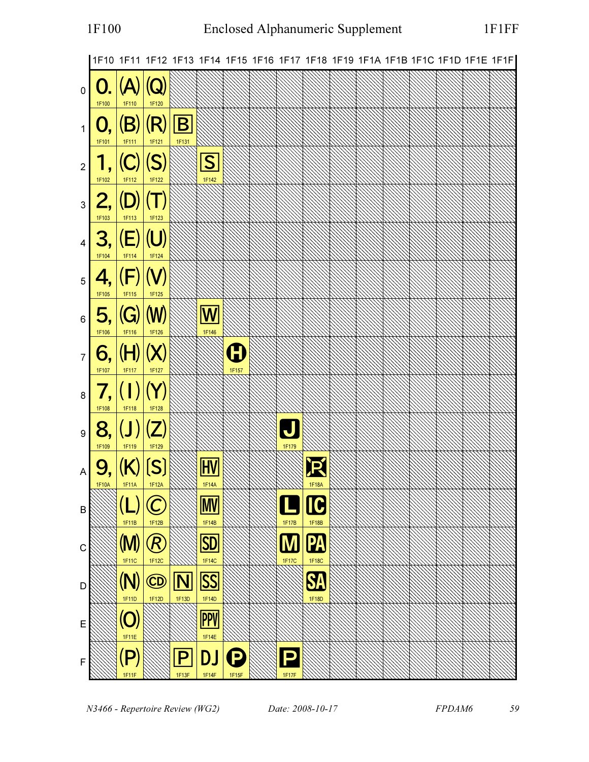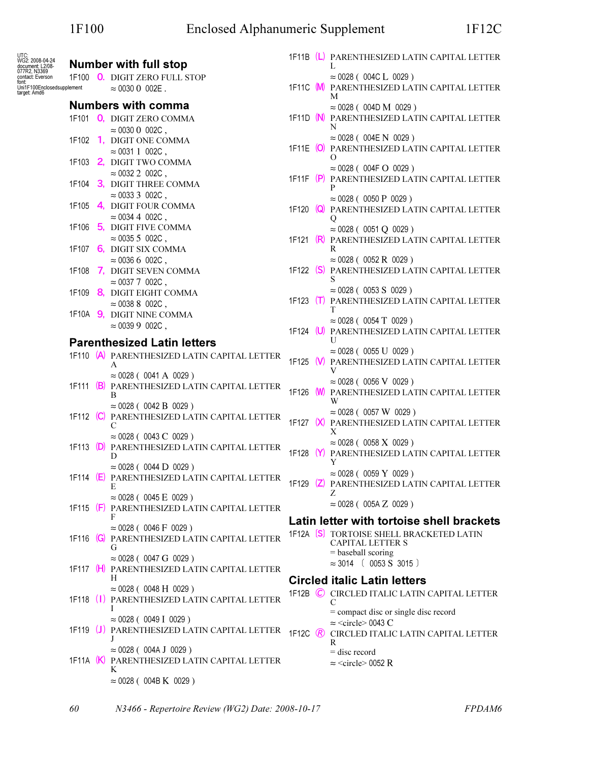| UTC:<br>WG2: 2008-04-24<br>document: L2/08-<br>077R2, N3369            |  | <b>Number with full stop</b>                                                   |                   | 1F11B (L) PARENTHESIZED LATIN CAPITAL LETTER                                   |
|------------------------------------------------------------------------|--|--------------------------------------------------------------------------------|-------------------|--------------------------------------------------------------------------------|
|                                                                        |  |                                                                                |                   | L                                                                              |
| contact: Everson<br>font:<br>Uni1F100Enclosedsupplement<br>target Amd6 |  | 1F100 O. DIGIT ZERO FULL STOP<br>$\approx 003000002E$ .                        |                   | $\approx$ 0028 ( 004C L 0029 )<br>1F11C M PARENTHESIZED LATIN CAPITAL LETTER   |
|                                                                        |  | <b>Numbers with comma</b>                                                      |                   | M                                                                              |
|                                                                        |  |                                                                                |                   | $\approx 0028$ (004D M 0029)                                                   |
|                                                                        |  | 1F101 0, DIGIT ZERO COMMA                                                      |                   | 1F11D (N) PARENTHESIZED LATIN CAPITAL LETTER<br>N                              |
|                                                                        |  | $\approx 003000002C$ ,                                                         |                   | $\approx 0028$ ( $\,$ 004E N $\,$ 0029 $)$                                     |
|                                                                        |  | 1F102 1, DIGIT ONE COMMA                                                       |                   | 1F11E (O) PARENTHESIZED LATIN CAPITAL LETTER                                   |
|                                                                        |  | $\approx 00311002C$ ,                                                          |                   | $\Omega$                                                                       |
|                                                                        |  | 1F103 2, DIGIT TWO COMMA<br>$\approx 0032$ 2 002C ,                            |                   | $\approx 0028$ (004F O 0029)                                                   |
|                                                                        |  | 1F104 3, DIGIT THREE COMMA                                                     |                   | 1F11F (P) PARENTHESIZED LATIN CAPITAL LETTER                                   |
|                                                                        |  | $\approx 003333002C$ ,                                                         |                   | P                                                                              |
|                                                                        |  | 1F105 4, DIGIT FOUR COMMA                                                      |                   | $\approx$ 0028 ( 0050 P 0029 )                                                 |
|                                                                        |  | $\approx 00344002C$ ,                                                          |                   | 1F120 Q PARENTHESIZED LATIN CAPITAL LETTER<br>Ő                                |
|                                                                        |  | 1F106 5, DIGIT FIVE COMMA                                                      |                   | $\approx 0028$ ( 0051 Q 0029 )                                                 |
|                                                                        |  | $\approx 00355002C$ ,                                                          |                   | 1F121 (R) PARENTHESIZED LATIN CAPITAL LETTER                                   |
|                                                                        |  | 1F107 6, DIGIT SIX COMMA                                                       |                   | R                                                                              |
|                                                                        |  | $\approx 0036 6 002C$ ,                                                        |                   | $\approx$ 0028 ( 0052 R 0029 )                                                 |
|                                                                        |  | 1F108 7, DIGIT SEVEN COMMA                                                     |                   | 1F122 (S) PARENTHESIZED LATIN CAPITAL LETTER                                   |
|                                                                        |  | $\approx 00377002C$ ,                                                          |                   | S                                                                              |
|                                                                        |  | 1F109 8, DIGIT EIGHT COMMA                                                     |                   | $\approx 0028$ ( 0053 S 0029 )<br>1F123 (T) PARENTHESIZED LATIN CAPITAL LETTER |
|                                                                        |  | $\approx 00388002C$ ,                                                          |                   |                                                                                |
|                                                                        |  | 1F10A 9, DIGIT NINE COMMA                                                      |                   | $\approx 0028$ ( 0054 T 0029 )                                                 |
|                                                                        |  | $\approx 003999002C$ ,                                                         |                   | 1F124 (U) PARENTHESIZED LATIN CAPITAL LETTER                                   |
|                                                                        |  | <b>Parenthesized Latin letters</b>                                             |                   | U                                                                              |
|                                                                        |  | 1F110 (A) PARENTHESIZED LATIN CAPITAL LETTER                                   |                   | $\approx 0028$ (0055 U 0029)                                                   |
|                                                                        |  | А                                                                              |                   | 1F125 (V) PARENTHESIZED LATIN CAPITAL LETTER<br>V                              |
|                                                                        |  | $\approx$ 0028 ( 0041 A 0029 )                                                 |                   | $\approx$ 0028 ( 0056 V 0029 )                                                 |
|                                                                        |  | 1F111 (B) PARENTHESIZED LATIN CAPITAL LETTER<br>В                              |                   | 1F126 W PARENTHESIZED LATIN CAPITAL LETTER                                     |
|                                                                        |  | $\approx$ 0028 ( 0042 B 0029 )                                                 |                   | W                                                                              |
|                                                                        |  | 1F112 (C) PARENTHESIZED LATIN CAPITAL LETTER                                   |                   | $\approx$ 0028 ( 0057 W 0029 )                                                 |
|                                                                        |  | C                                                                              |                   | 1F127 (X) PARENTHESIZED LATIN CAPITAL LETTER                                   |
|                                                                        |  | $\approx 0028$ (0043 C 0029)                                                   |                   | X                                                                              |
|                                                                        |  | 1F113 (D) PARENTHESIZED LATIN CAPITAL LETTER                                   |                   | $\approx$ 0028 ( 0058 X 0029 )<br>1F128 (Y) PARENTHESIZED LATIN CAPITAL LETTER |
|                                                                        |  | D                                                                              |                   | Y                                                                              |
|                                                                        |  | $\approx$ 0028 ( 0044 D 0029 )<br>1F114 (E) PARENTHESIZED LATIN CAPITAL LETTER |                   | $\approx 0028$ ( 0059 Y 0029 )                                                 |
|                                                                        |  | E                                                                              |                   | 1F129 (Z) PARENTHESIZED LATIN CAPITAL LETTER                                   |
|                                                                        |  | $\approx 0028$ ( 0045 E 0029 )                                                 |                   | Z                                                                              |
|                                                                        |  | 1F115 (F) PARENTHESIZED LATIN CAPITAL LETTER                                   |                   | $\approx 0028$ ( 005A Z 0029 )                                                 |
|                                                                        |  | F                                                                              |                   | Latin letter with tortoise shell brackets                                      |
|                                                                        |  | $\approx 0028$ ( 0046 F 0029 )                                                 |                   | 1F12A [S] TORTOISE SHELL BRACKETED LATIN                                       |
|                                                                        |  | 1F116 (G) PARENTHESIZED LATIN CAPITAL LETTER<br>G                              |                   | <b>CAPITAL LETTER S</b>                                                        |
|                                                                        |  | $\approx 0028$ (0047 G 0029)                                                   |                   | $=$ baseball scoring                                                           |
|                                                                        |  | 1F117 (H) PARENTHESIZED LATIN CAPITAL LETTER                                   |                   | $\approx 3014$ ( 0053 S 3015 )                                                 |
|                                                                        |  | H.                                                                             |                   | <b>Circled italic Latin letters</b>                                            |
|                                                                        |  | $\approx$ 0028 ( 0048 H 0029 )                                                 |                   | 1F12B C CIRCLED ITALIC LATIN CAPITAL LETTER                                    |
|                                                                        |  | 1F118 (1) PARENTHESIZED LATIN CAPITAL LETTER                                   |                   | C                                                                              |
|                                                                        |  |                                                                                |                   | = compact disc or single disc record                                           |
|                                                                        |  | $\approx 0028$ ( 0049 I 0029 )<br>1F119 (J) PARENTHESIZED LATIN CAPITAL LETTER |                   | $\approx$ <circle> 0043 C</circle>                                             |
|                                                                        |  |                                                                                | 1F12C $\circledR$ | CIRCLED ITALIC LATIN CAPITAL LETTER<br>R                                       |
|                                                                        |  | $\approx$ 0028 ( 004A J 0029 )                                                 |                   | $=$ disc record                                                                |
|                                                                        |  | 1F11A (K) PARENTHESIZED LATIN CAPITAL LETTER                                   |                   | $\approx$ <circle> 0052 R</circle>                                             |
|                                                                        |  | K                                                                              |                   |                                                                                |
|                                                                        |  | $\approx$ 0028 ( 004B K 0029 )                                                 |                   |                                                                                |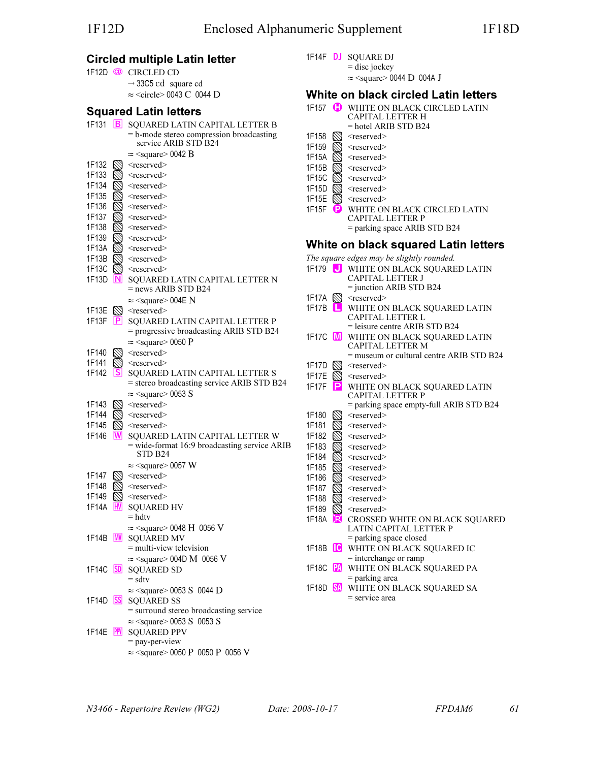## Circled multiple Latin letter

|                       |             | 1F12D © CIRCLED CD                                                                                         |
|-----------------------|-------------|------------------------------------------------------------------------------------------------------------|
|                       |             | $\rightarrow$ 33C5 cd square cd<br>$\approx$ <circle> 0043 C 0044 D</circle>                               |
|                       |             | <b>Squared Latin letters</b>                                                                               |
|                       |             | 1F131 B SQUARED LATIN CAPITAL LETTER B<br>= b-mode stereo compression broadcasting<br>service ARIB STD B24 |
|                       |             | $\approx$ <square> 0042 B</square>                                                                         |
| 1F132<br>1F133        | V)          | <reserved><br/><reserved></reserved></reserved>                                                            |
| 1F134                 |             | $<$ reserved $>$                                                                                           |
| 1F135                 |             | <reserved></reserved>                                                                                      |
| 1F136                 |             | $<$ reserved $>$                                                                                           |
| 1F137<br>1F138        |             | <reserved></reserved>                                                                                      |
| 1F139                 | $\boxtimes$ | $<$ reserved $>$<br>$<$ reserved $>$                                                                       |
| 1F13A                 | Ø           | $<$ reserved $>$                                                                                           |
| 1F13B                 | $\oslash$   | $<$ reserved $>$                                                                                           |
|                       |             | 1F13C $\otimes$ <reserved></reserved>                                                                      |
| 1F13D $\vert N \vert$ |             | SQUARED LATIN CAPITAL LETTER N<br>$=$ news ARIB STD B24                                                    |
| 1F13E                 |             | $\approx$ <square> 004E N<br/><math>\mathbb{N}</math> <reserved></reserved></square>                       |
| 1F13F                 | P           | SQUARED LATIN CAPITAL LETTER P                                                                             |
|                       |             | = progressive broadcasting ARIB STD B24                                                                    |
|                       |             | $\approx$ <square> 0050 P</square>                                                                         |
| 1F140                 |             | <reserved></reserved>                                                                                      |
| 1F141                 |             | $<$ reserved $>$                                                                                           |
| 1F142                 | ΙSΙ         | SQUARED LATIN CAPITAL LETTER S<br>= stereo broadcasting service ARIB STD B24                               |
|                       |             | $\approx$ <square> 0053 S</square>                                                                         |
| 1F143                 |             | <reserved></reserved>                                                                                      |
| 1F144                 |             | $<$ reserved $>$                                                                                           |
| 1F145                 |             | $<$ reserved $>$                                                                                           |
| 1F146                 | ΙW          | SQUARED LATIN CAPITAL LETTER W<br>= wide-format 16:9 broadcasting service ARIB<br>STD B24                  |
|                       |             | $\approx$ <square> 0057 W</square>                                                                         |
| 1F147                 |             | <reserved></reserved>                                                                                      |
| 1F148                 |             | <reserved></reserved>                                                                                      |
|                       |             | 1F149 $\otimes$ <reserved></reserved>                                                                      |
|                       |             | 1F14A <b>HV</b> SQUARED HV<br>$=$ hdtv                                                                     |
|                       |             | $\approx$ <square> 0048 H 0056 V</square>                                                                  |
| 1F14B                 |             | <b>M</b> SQUARED MV                                                                                        |
|                       |             | $=$ multi-view television                                                                                  |
|                       |             | $\approx$ <square> 004D M 0056 V</square>                                                                  |
|                       |             | 1F14C SD SQUARED SD                                                                                        |
|                       |             | $=$ sdtv<br>$\approx$ <square> 0053 S 0044 D</square>                                                      |
|                       |             | 1F14D SS SQUARED SS                                                                                        |
|                       |             | = surround stereo broadcasting service                                                                     |
|                       |             | $\approx$ <square> 0053 S 0053 S</square>                                                                  |
|                       |             | 1F14E PPV SQUARED PPV                                                                                      |
|                       |             | $=$ pay-per-view                                                                                           |
|                       |             | $\approx$ <square> 0050 P 0050 P 0056 V</square>                                                           |

- 1F14F **DJ** SQUARE DJ
	- $=$  disc jockey

 $\approx$  <square> 0044 D 004A J

#### White on black circled Latin letters 1F157 **C** WHITE ON BLACK CIRCLED LATIN

| וטו חו<br>w            | WHITE ON BLACK CIRCLED LATIN<br>CAPITAL LETTER H         |
|------------------------|----------------------------------------------------------|
|                        | $=$ hotel ARIB STD B24                                   |
| 1F158                  | <reserved></reserved>                                    |
| 1F159                  | <reserved></reserved>                                    |
| 1F15A                  | <reserved></reserved>                                    |
| 1F15B                  | <reserved></reserved>                                    |
| 1F15C                  | <reserved></reserved>                                    |
| 1F15D                  | $<$ reserved $>$                                         |
| 1F15E                  | <reserved></reserved>                                    |
| 1F15F<br>Ð             | WHITE ON BLACK CIRCLED LATIN                             |
|                        | <b>CAPITAL LETTER P</b>                                  |
|                        | = parking space ARIB STD B24                             |
|                        | White on black squared Latin letters                     |
|                        | The square edges may be slightly rounded.                |
|                        | 1F179 <b>J</b> WHITE ON BLACK SQUARED LATIN              |
|                        | CAPITAL LETTER J                                         |
|                        | $=$ junction ARIB STD B24                                |
| 1F17A                  | $\mathbb{S}$ <reserved></reserved>                       |
| 1F17B<br>ш             | WHITE ON BLACK SQUARED LATIN                             |
|                        | CAPITAL LETTER L                                         |
|                        | $=$ leisure centre ARIB STD B24                          |
|                        | 1F17C M WHITE ON BLACK SQUARED LATIN<br>CAPITAL LETTER M |
|                        | = museum or cultural centre ARIB STD B24                 |
| 1F17D                  | $<$ reserved $>$                                         |
| 1F17E<br>PА            | $<$ reserved $>$                                         |
| 1F17F<br>P             | WHITE ON BLACK SQUARED LATIN                             |
|                        | <b>CAPITAL LETTER P</b>                                  |
|                        | = parking space empty-full ARIB STD B24                  |
| 1F180                  | <reserved></reserved>                                    |
| 1F181                  | <reserved></reserved>                                    |
| 1F182                  | <reserved></reserved>                                    |
| 1F183                  | <reserved></reserved>                                    |
| 1F184                  | <reserved></reserved>                                    |
| 1F185                  | <reserved></reserved>                                    |
| 1F186                  | <reserved></reserved>                                    |
| 1F187                  | <reserved></reserved>                                    |
| 1F188                  | $<$ reserved $>$                                         |
| 1F189<br>⋉             | <reserved></reserved>                                    |
| 1F18A<br>DR.           | CROSSED WHITE ON BLACK SQUARED                           |
|                        | LATIN CAPITAL LETTER P<br>= parking space closed         |
| 1F18B $\overline{1}$ C | WHITE ON BLACK SQUARED IC                                |
|                        | $=$ interchange or ramp                                  |
| PA<br>1F18C            | WHITE ON BLACK SQUARED PA                                |
|                        | = parking area                                           |
| 1F18D <b>SA</b>        | WHITE ON BLACK SQUARED SA                                |
|                        | $=$ service area                                         |
|                        |                                                          |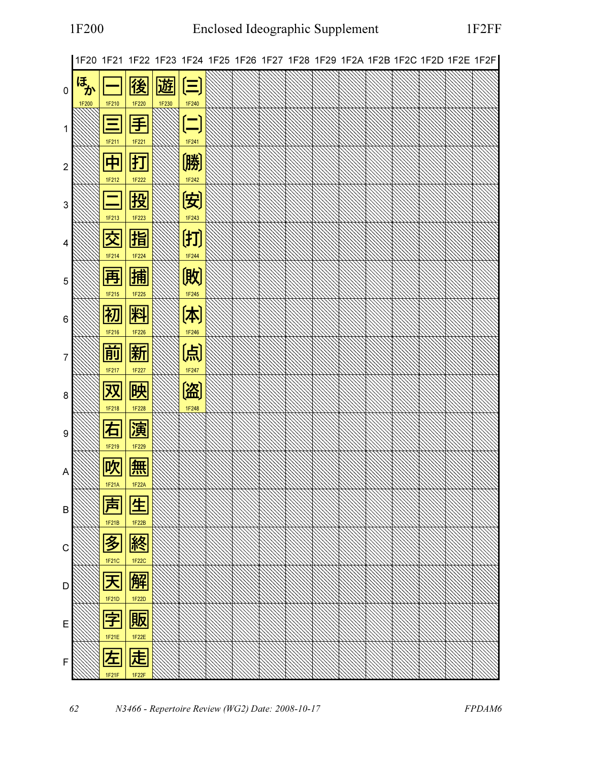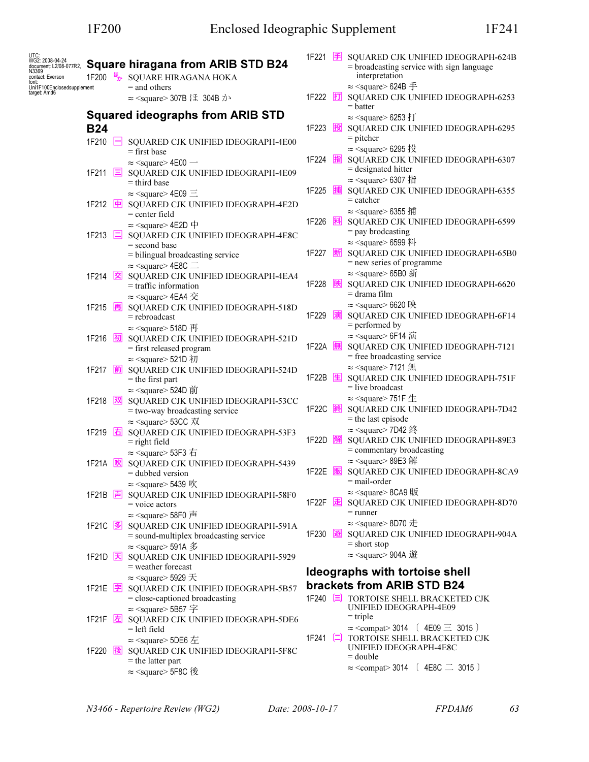| UTC:<br>WG2: 2008-04-24<br>document: L2/08-077R2,<br>N3369<br>contact: Everson<br>font: | 1F200                | <b>Square hiragana from ARIB STD B24</b><br><b>E</b> SQUARE HIRAGANA HOKA                                                                           |                     |   | 1F221 $\overline{\equiv}$ SQUARED CJK UNIFIED IDEOGRAPH-624B<br>$=$ broadcasting service with sign language<br>interpretation |
|-----------------------------------------------------------------------------------------|----------------------|-----------------------------------------------------------------------------------------------------------------------------------------------------|---------------------|---|-------------------------------------------------------------------------------------------------------------------------------|
| Uni1F100Enclosedsupplement<br>target: Amd6                                              |                      | $=$ and others<br>$\approx$ <square> 307B → 304B <math>\lambda</math></square>                                                                      | 1F222 打             |   | $\approx$ <square> 624B <math>\pm</math><br/>SQUARED CJK UNIFIED IDEOGRAPH-6253<br/><math>=</math> batter</square>            |
|                                                                                         | <b>B24</b>           | <b>Squared ideographs from ARIB STD</b>                                                                                                             | 1F223               | 投 | $\approx$ <square> 6253 打<br/>SQUARED CJK UNIFIED IDEOGRAPH-6295<br/><math>=</math> pitcher</square>                          |
|                                                                                         | 1F210<br>ь           | SQUARED CJK UNIFIED IDEOGRAPH-4E00<br>$=$ first base<br>$\approx$ <square> 4E00 <math>\rightarrow</math></square>                                   | 1F224               | 指 | $\approx$ <square> 6295 投<br/>SQUARED CJK UNIFIED IDEOGRAPH-6307<br/><math>=</math> designated hitter</square>                |
|                                                                                         | 1F211                | $\equiv$ SQUARED CJK UNIFIED IDEOGRAPH-4E09<br>$=$ third base<br>$\approx$ <square>4E09 <math>\equiv</math></square>                                | 1F225               | 捕 | $\approx$ <square> 6307 指<br/>SQUARED CJK UNIFIED IDEOGRAPH-6355</square>                                                     |
|                                                                                         | 中<br>1F212           | SQUARED CJK UNIFIED IDEOGRAPH-4E2D<br>$=$ center field<br>$\approx$ <square> 4E2D 中</square>                                                        | 1F226               | 料 | $=$ catcher<br>$\approx$ <square> 6355 捕<br/>SQUARED CJK UNIFIED IDEOGRAPH-6599</square>                                      |
|                                                                                         | 1F213 $\Box$         | SQUARED CJK UNIFIED IDEOGRAPH-4E8C<br>$=$ second base                                                                                               | 1F227               | 新 | $=$ pay brodcasting<br>$\approx$ <square> 6599 料<br/>SQUARED CJK UNIFIED IDEOGRAPH-65B0</square>                              |
|                                                                                         | 1F214<br>囪           | = bilingual broadcasting service<br>$\approx$ <square> 4E8C <math>\equiv</math><br/>SQUARED CJK UNIFIED IDEOGRAPH-4EA4</square>                     |                     |   | = new series of programme<br>$\approx$ <square> 65B0 新</square>                                                               |
|                                                                                         | 1F215<br>再           | $=$ traffic information<br>≈ <square> 4EA4 交<br/>SQUARED CJK UNIFIED IDEOGRAPH-518D</square>                                                        | 1F228               | 映 | SQUARED CJK UNIFIED IDEOGRAPH-6620<br>$=$ drama film<br>$\approx$ <square> 6620 映</square>                                    |
|                                                                                         |                      | $=$ rebroadcast<br>$\approx$ <square> 518D <math>\overline{H}</math></square>                                                                       | 1F229               | 演 | SQUARED CJK UNIFIED IDEOGRAPH-6F14<br>$=$ performed by<br>$\approx$ <square> 6F14 演</square>                                  |
|                                                                                         | 1F216<br>初           | SQUARED CJK UNIFIED IDEOGRAPH-521D<br>= first released program<br>≈ <square> 521D 初</square>                                                        | 1F22A               |   | SQUARED CJK UNIFIED IDEOGRAPH-7121<br>= free broadcasting service                                                             |
|                                                                                         | 前<br>1F217           | SQUARED CJK UNIFIED IDEOGRAPH-524D<br>$=$ the first part<br>$\approx$ <square> 524D <math>\overline{\text{m}}</math></square>                       | 1F22B 生             |   | $\approx$ <square>7121 無<br/>SQUARED CJK UNIFIED IDEOGRAPH-751F<br/>= live broadcast</square>                                 |
|                                                                                         | 汊<br>1F218           | SQUARED CJK UNIFIED IDEOGRAPH-53CC<br>= two-way broadcasting service<br>$\approx$ <square> 53CC <math>\overline{X}</math></square>                  | 1F22C 終             |   | $\approx$ <square>751F <math>\pm</math><br/>SQUARED CJK UNIFIED IDEOGRAPH-7D42<br/><math>=</math> the last episode</square>   |
|                                                                                         | 1F219 <b>右</b>       | SQUARED CJK UNIFIED IDEOGRAPH-53F3<br>$=$ right field<br>$\approx$ <square> 53F3 <math>\pm</math></square>                                          | 1F22D <u>解</u>      |   | ≈ <square> 7D42 終<br/>SQUARED CJK UNIFIED IDEOGRAPH-89E3<br/>= commentary broadcasting</square>                               |
|                                                                                         | 1F21A<br> 吹          | SQUARED CJK UNIFIED IDEOGRAPH-5439<br>$=$ dubbed version<br>$\approx$ <square> 5439 吹</square>                                                      | 1F22E               | 販 | $\approx$ <square> 89E3 解<br/>SQUARED CJK UNIFIED IDEOGRAPH-8CA9<br/>= mail-order</square>                                    |
|                                                                                         | 1F21B <mark>声</mark> | SQUARED CJK UNIFIED IDEOGRAPH-58F0<br>$=$ voice actors<br>$\approx$ <square> 58F0 <math>\bar{p}</math></square>                                     | 1F22F $\boxed{\pm}$ |   | ≈ <square> 8CA9 販<br/>SQUARED CJK UNIFIED IDEOGRAPH-8D70<br/><math>=</math> runner</square>                                   |
|                                                                                         | 1F21C  多             | SQUARED CJK UNIFIED IDEOGRAPH-591A<br>= sound-multiplex broadcasting service                                                                        | 1F230 遊             |   | $\approx$ <square> 8D70 <math>\pm</math><br/>SQUARED CJK UNIFIED IDEOGRAPH-904A<br/><math>=</math> short stop</square>        |
|                                                                                         |                      | $\approx$ <square> 591A <math>\mathscr{Z}</math><br/>1F21D <b>因</b> SQUARED CJK UNIFIED IDEOGRAPH-5929<br/><math>=</math> weather forecast</square> |                     |   | $\approx$ <square> 904A 遊<br/>Ideographs with tortoise shell</square>                                                         |
|                                                                                         | 1F21E <mark>字</mark> | $\approx$ <square> 5929 <math>\pm</math><br/>SQUARED CJK UNIFIED IDEOGRAPH-5B57<br/>= close-captioned broadcasting</square>                         |                     |   | brackets from ARIB STD B24<br>1F240 <a>[</a> TORTOISE SHELL BRACKETED CJK                                                     |
|                                                                                         | 1F21F  左             | $\approx$ <square> 5B57<math>\approx</math><br/>SQUARED CJK UNIFIED IDEOGRAPH-5DE6<br/><math>=</math> left field</square>                           |                     |   | UNIFIED IDEOGRAPH-4E09<br>$=$ triple<br>$\approx$ <compat> 3014 (4E09 <math>\equiv</math> 3015)</compat>                      |
|                                                                                         | 1F220<br>後           | $\approx$ <square> 5DE6 <math>\pm</math><br/>SQUARED CJK UNIFIED IDEOGRAPH-5F8C<br/><math>=</math> the latter part</square>                         | 1F241 [二]           |   | TORTOISE SHELL BRACKETED CJK<br>UNIFIED IDEOGRAPH-4E8C<br>$=$ double                                                          |
|                                                                                         |                      | $\approx$ <square> 5F8C 後</square>                                                                                                                  |                     |   | $\approx$ <compat>3014 (4E8C <math>\equiv</math> 3015)</compat>                                                               |